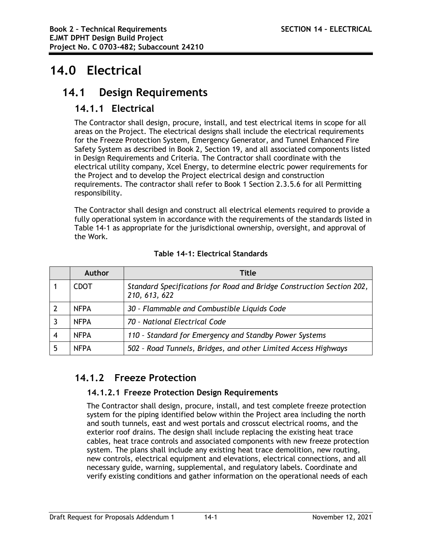# **14.0 Electrical**

# **14.1 Design Requirements**

# **14.1.1 Electrical**

The Contractor shall design, procure, install, and test electrical items in scope for all areas on the Project. The electrical designs shall include the electrical requirements for the Freeze Protection System, Emergency Generator, and Tunnel Enhanced Fire Safety System as described in Book 2, Section 19, and all associated components listed in Design Requirements and Criteria. The Contractor shall coordinate with the electrical utility company, Xcel Energy, to determine electric power requirements for the Project and to develop the Project electrical design and construction requirements. The contractor shall refer to Book 1 Section 2.3.5.6 for all Permitting responsibility.

The Contractor shall design and construct all electrical elements required to provide a fully operational system in accordance with the requirements of the standards listed in Table 14-1 as appropriate for the jurisdictional ownership, oversight, and approval of the Work.

|   | Author      | Title                                                                                  |
|---|-------------|----------------------------------------------------------------------------------------|
|   | <b>CDOT</b> | Standard Specifications for Road and Bridge Construction Section 202,<br>210, 613, 622 |
|   | <b>NFPA</b> | 30 - Flammable and Combustible Liquids Code                                            |
|   | <b>NFPA</b> | 70 - National Electrical Code                                                          |
| 4 | <b>NFPA</b> | 110 - Standard for Emergency and Standby Power Systems                                 |
|   | <b>NFPA</b> | 502 - Road Tunnels, Bridges, and other Limited Access Highways                         |

# **Table 14-1: Electrical Standards**

# **14.1.2 Freeze Protection**

# **14.1.2.1 Freeze Protection Design Requirements**

The Contractor shall design, procure, install, and test complete freeze protection system for the piping identified below within the Project area including the north and south tunnels, east and west portals and crosscut electrical rooms, and the exterior roof drains. The design shall include replacing the existing heat trace cables, heat trace controls and associated components with new freeze protection system. The plans shall include any existing heat trace demolition, new routing, new controls, electrical equipment and elevations, electrical connections, and all necessary guide, warning, supplemental, and regulatory labels. Coordinate and verify existing conditions and gather information on the operational needs of each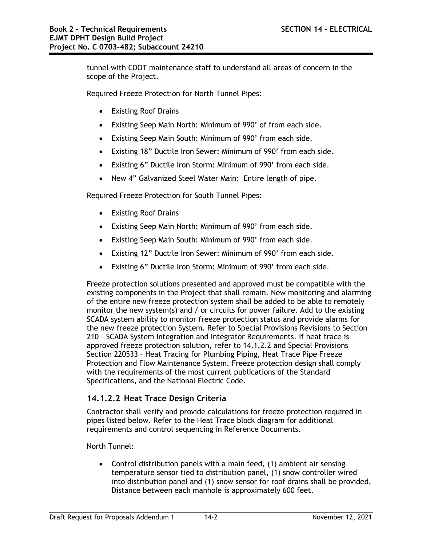tunnel with CDOT maintenance staff to understand all areas of concern in the scope of the Project.

Required Freeze Protection for North Tunnel Pipes:

- Existing Roof Drains
- Existing Seep Main North: Minimum of 990' of from each side.
- Existing Seep Main South: Minimum of 990' from each side.
- Existing 18" Ductile Iron Sewer: Minimum of 990' from each side.
- Existing 6" Ductile Iron Storm: Minimum of 990' from each side.
- New 4" Galvanized Steel Water Main: Entire length of pipe.

Required Freeze Protection for South Tunnel Pipes:

- Existing Roof Drains
- Existing Seep Main North: Minimum of 990' from each side.
- Existing Seep Main South: Minimum of 990' from each side.
- Existing 12" Ductile Iron Sewer: Minimum of 990' from each side.
- Existing 6" Ductile Iron Storm: Minimum of 990' from each side.

Freeze protection solutions presented and approved must be compatible with the existing components in the Project that shall remain. New monitoring and alarming of the entire new freeze protection system shall be added to be able to remotely monitor the new system(s) and / or circuits for power failure. Add to the existing SCADA system ability to monitor freeze protection status and provide alarms for the new freeze protection System. Refer to Special Provisions Revisions to Section 210 – SCADA System Integration and Integrator Requirements. If heat trace is approved freeze protection solution, refer to 14.1.2.2 and Special Provisions Section 220533 – Heat Tracing for Plumbing Piping, Heat Trace Pipe Freeze Protection and Flow Maintenance System. Freeze protection design shall comply with the requirements of the most current publications of the Standard Specifications, and the National Electric Code.

# **14.1.2.2 Heat Trace Design Criteria**

Contractor shall verify and provide calculations for freeze protection required in pipes listed below. Refer to the Heat Trace block diagram for additional requirements and control sequencing in Reference Documents.

North Tunnel:

 Control distribution panels with a main feed, (1) ambient air sensing temperature sensor tied to distribution panel, (1) snow controller wired into distribution panel and (1) snow sensor for roof drains shall be provided. Distance between each manhole is approximately 600 feet.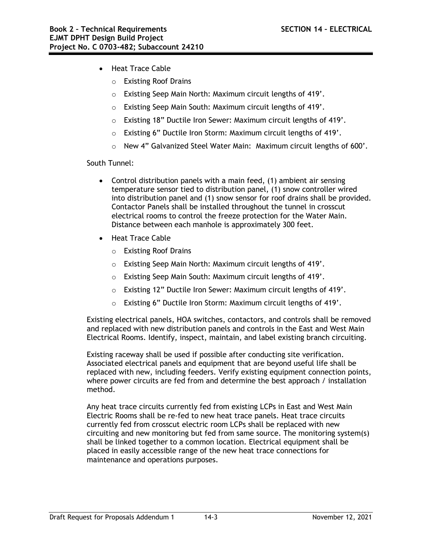- Heat Trace Cable
	- o Existing Roof Drains
	- o Existing Seep Main North: Maximum circuit lengths of 419'.
	- o Existing Seep Main South: Maximum circuit lengths of 419'.
	- o Existing 18" Ductile Iron Sewer: Maximum circuit lengths of 419'.
	- o Existing 6" Ductile Iron Storm: Maximum circuit lengths of 419'.
	- o New 4" Galvanized Steel Water Main: Maximum circuit lengths of 600'.

South Tunnel:

- Control distribution panels with a main feed, (1) ambient air sensing temperature sensor tied to distribution panel, (1) snow controller wired into distribution panel and (1) snow sensor for roof drains shall be provided. Contactor Panels shall be installed throughout the tunnel in crosscut electrical rooms to control the freeze protection for the Water Main. Distance between each manhole is approximately 300 feet.
- Heat Trace Cable
	- o Existing Roof Drains
	- o Existing Seep Main North: Maximum circuit lengths of 419'.
	- o Existing Seep Main South: Maximum circuit lengths of 419'.
	- o Existing 12" Ductile Iron Sewer: Maximum circuit lengths of 419'.
	- o Existing 6" Ductile Iron Storm: Maximum circuit lengths of 419'.

Existing electrical panels, HOA switches, contactors, and controls shall be removed and replaced with new distribution panels and controls in the East and West Main Electrical Rooms. Identify, inspect, maintain, and label existing branch circuiting.

Existing raceway shall be used if possible after conducting site verification. Associated electrical panels and equipment that are beyond useful life shall be replaced with new, including feeders. Verify existing equipment connection points, where power circuits are fed from and determine the best approach / installation method.

Any heat trace circuits currently fed from existing LCPs in East and West Main Electric Rooms shall be re-fed to new heat trace panels. Heat trace circuits currently fed from crosscut electric room LCPs shall be replaced with new circuiting and new monitoring but fed from same source. The monitoring system(s) shall be linked together to a common location. Electrical equipment shall be placed in easily accessible range of the new heat trace connections for maintenance and operations purposes.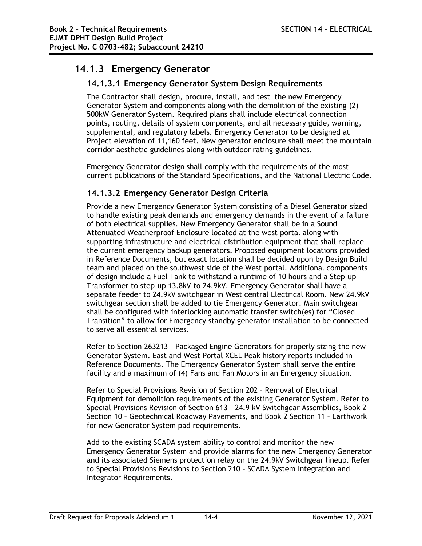# **14.1.3 Emergency Generator**

# **14.1.3.1 Emergency Generator System Design Requirements**

The Contractor shall design, procure, install, and test the new Emergency Generator System and components along with the demolition of the existing (2) 500kW Generator System. Required plans shall include electrical connection points, routing, details of system components, and all necessary guide, warning, supplemental, and regulatory labels. Emergency Generator to be designed at Project elevation of 11,160 feet. New generator enclosure shall meet the mountain corridor aesthetic guidelines along with outdoor rating guidelines.

Emergency Generator design shall comply with the requirements of the most current publications of the Standard Specifications, and the National Electric Code.

# **14.1.3.2 Emergency Generator Design Criteria**

Provide a new Emergency Generator System consisting of a Diesel Generator sized to handle existing peak demands and emergency demands in the event of a failure of both electrical supplies. New Emergency Generator shall be in a Sound Attenuated Weatherproof Enclosure located at the west portal along with supporting infrastructure and electrical distribution equipment that shall replace the current emergency backup generators. Proposed equipment locations provided in Reference Documents, but exact location shall be decided upon by Design Build team and placed on the southwest side of the West portal. Additional components of design include a Fuel Tank to withstand a runtime of 10 hours and a Step-up Transformer to step-up 13.8kV to 24.9kV. Emergency Generator shall have a separate feeder to 24.9kV switchgear in West central Electrical Room. New 24.9kV switchgear section shall be added to tie Emergency Generator. Main switchgear shall be configured with interlocking automatic transfer switch(es) for "Closed Transition" to allow for Emergency standby generator installation to be connected to serve all essential services.

Refer to Section 263213 – Packaged Engine Generators for properly sizing the new Generator System. East and West Portal XCEL Peak history reports included in Reference Documents. The Emergency Generator System shall serve the entire facility and a maximum of (4) Fans and Fan Motors in an Emergency situation.

Refer to Special Provisions Revision of Section 202 – Removal of Electrical Equipment for demolition requirements of the existing Generator System. Refer to Special Provisions Revision of Section 613 - 24.9 kV Switchgear Assemblies, Book 2 Section 10 – Geotechnical Roadway Pavements, and Book 2 Section 11 – Earthwork for new Generator System pad requirements.

Add to the existing SCADA system ability to control and monitor the new Emergency Generator System and provide alarms for the new Emergency Generator and its associated Siemens protection relay on the 24.9kV Switchgear lineup. Refer to Special Provisions Revisions to Section 210 – SCADA System Integration and Integrator Requirements.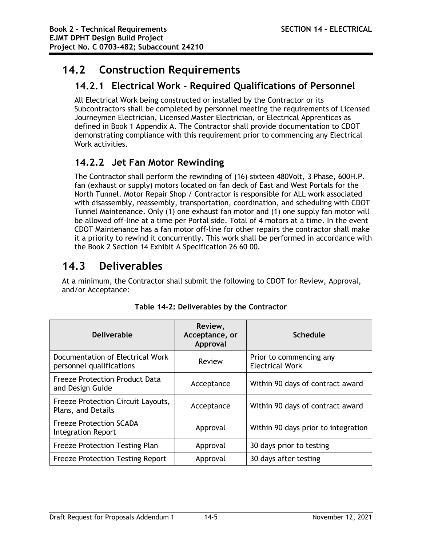# **14.2 Construction Requirements**

# **14.2.1 Electrical Work – Required Qualifications of Personnel**

All Electrical Work being constructed or installed by the Contractor or its Subcontractors shall be completed by personnel meeting the requirements of Licensed Journeymen Electrician, Licensed Master Electrician, or Electrical Apprentices as defined in Book 1 Appendix A. The Contractor shall provide documentation to CDOT demonstrating compliance with this requirement prior to commencing any Electrical Work activities.

# **14.2.2 Jet Fan Motor Rewinding**

The Contractor shall perform the rewinding of (16) sixteen 480Volt, 3 Phase, 600H.P. fan (exhaust or supply) motors located on fan deck of East and West Portals for the North Tunnel. Motor Repair Shop / Contractor is responsible for ALL work associated with disassembly, reassembly, transportation, coordination, and scheduling with CDOT Tunnel Maintenance. Only (1) one exhaust fan motor and (1) one supply fan motor will be allowed off-line at a time per Portal side. Total of 4 motors at a time. In the event CDOT Maintenance has a fan motor off-line for other repairs the contractor shall make it a priority to rewind it concurrently. This work shall be performed in accordance with the Book 2 Section 14 Exhibit A Specification 26 60 00.

# **14.3 Deliverables**

At a minimum, the Contractor shall submit the following to CDOT for Review, Approval, and/or Acceptance:

| <b>Deliverable</b>                                           | Review,<br>Acceptance, or<br>Approval | <b>Schedule</b>                                   |
|--------------------------------------------------------------|---------------------------------------|---------------------------------------------------|
| Documentation of Electrical Work<br>personnel qualifications | Review                                | Prior to commencing any<br><b>Electrical Work</b> |
| <b>Freeze Protection Product Data</b><br>and Design Guide    | Acceptance                            | Within 90 days of contract award                  |
| Freeze Protection Circuit Layouts,<br>Plans, and Details     | Acceptance                            | Within 90 days of contract award                  |
| <b>Freeze Protection SCADA</b><br><b>Integration Report</b>  | Approval                              | Within 90 days prior to integration               |
| <b>Freeze Protection Testing Plan</b>                        | Approval                              | 30 days prior to testing                          |
| <b>Freeze Protection Testing Report</b>                      | Approval                              | 30 days after testing                             |

**Table 14-2: Deliverables by the Contractor**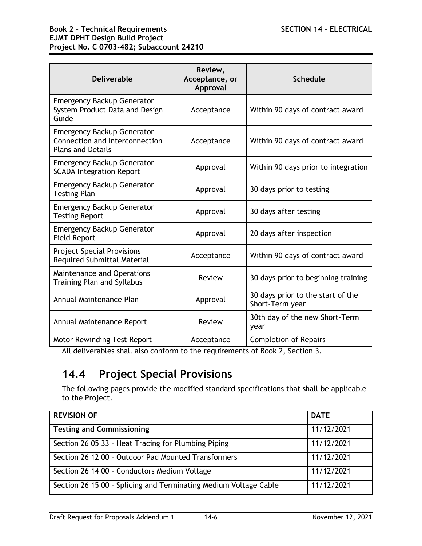| <b>Deliverable</b>                                                                              | Review,<br>Acceptance, or<br>Approval | <b>Schedule</b>                                      |
|-------------------------------------------------------------------------------------------------|---------------------------------------|------------------------------------------------------|
| <b>Emergency Backup Generator</b><br>System Product Data and Design<br>Guide                    | Acceptance                            | Within 90 days of contract award                     |
| <b>Emergency Backup Generator</b><br>Connection and Interconnection<br><b>Plans and Details</b> | Acceptance                            | Within 90 days of contract award                     |
| <b>Emergency Backup Generator</b><br><b>SCADA Integration Report</b>                            | Approval                              | Within 90 days prior to integration                  |
| <b>Emergency Backup Generator</b><br><b>Testing Plan</b>                                        | Approval                              | 30 days prior to testing                             |
| <b>Emergency Backup Generator</b><br><b>Testing Report</b>                                      | Approval                              | 30 days after testing                                |
| <b>Emergency Backup Generator</b><br><b>Field Report</b>                                        | Approval                              | 20 days after inspection                             |
| <b>Project Special Provisions</b><br><b>Required Submittal Material</b>                         | Acceptance                            | Within 90 days of contract award                     |
| <b>Maintenance and Operations</b><br><b>Training Plan and Syllabus</b>                          | Review                                | 30 days prior to beginning training                  |
| Annual Maintenance Plan                                                                         | Approval                              | 30 days prior to the start of the<br>Short-Term year |
| Annual Maintenance Report                                                                       | Review                                | 30th day of the new Short-Term<br>year               |
| <b>Motor Rewinding Test Report</b>                                                              | Acceptance                            | <b>Completion of Repairs</b>                         |

All deliverables shall also conform to the requirements of Book 2, Section 3.

# **14.4 Project Special Provisions**

The following pages provide the modified standard specifications that shall be applicable to the Project.

| <b>REVISION OF</b>                                               | <b>DATE</b> |
|------------------------------------------------------------------|-------------|
| <b>Testing and Commissioning</b>                                 | 11/12/2021  |
| Section 26 05 33 - Heat Tracing for Plumbing Piping              | 11/12/2021  |
| Section 26 12 00 - Outdoor Pad Mounted Transformers              | 11/12/2021  |
| Section 26 14 00 - Conductors Medium Voltage                     | 11/12/2021  |
| Section 26 15 00 - Splicing and Terminating Medium Voltage Cable | 11/12/2021  |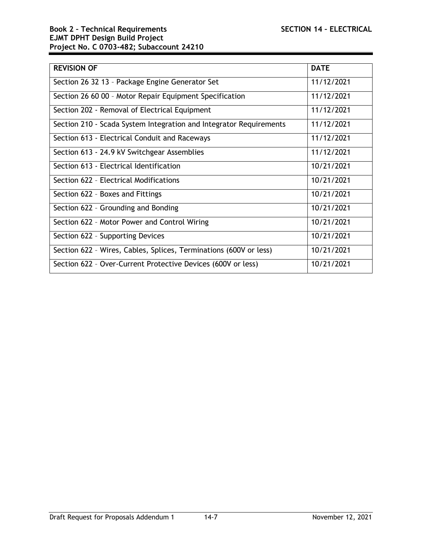| <b>REVISION OF</b>                                                 | <b>DATE</b> |
|--------------------------------------------------------------------|-------------|
| Section 26 32 13 - Package Engine Generator Set                    | 11/12/2021  |
| Section 26 60 00 - Motor Repair Equipment Specification            | 11/12/2021  |
| Section 202 - Removal of Electrical Equipment                      | 11/12/2021  |
| Section 210 - Scada System Integration and Integrator Requirements | 11/12/2021  |
| Section 613 - Electrical Conduit and Raceways                      | 11/12/2021  |
| Section 613 - 24.9 kV Switchgear Assemblies                        | 11/12/2021  |
| Section 613 - Electrical Identification                            | 10/21/2021  |
| Section 622 - Electrical Modifications                             | 10/21/2021  |
| Section 622 - Boxes and Fittings                                   | 10/21/2021  |
| Section 622 - Grounding and Bonding                                | 10/21/2021  |
| Section 622 - Motor Power and Control Wiring                       | 10/21/2021  |
| Section 622 - Supporting Devices                                   | 10/21/2021  |
| Section 622 - Wires, Cables, Splices, Terminations (600V or less)  | 10/21/2021  |
| Section 622 - Over-Current Protective Devices (600V or less)       | 10/21/2021  |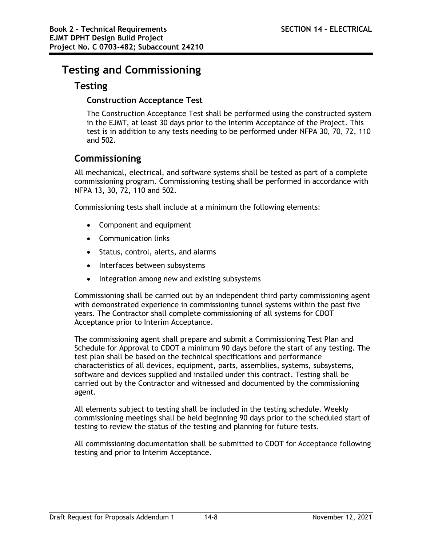# **Testing and Commissioning**

# **Testing**

# **Construction Acceptance Test**

The Construction Acceptance Test shall be performed using the constructed system in the EJMT, at least 30 days prior to the Interim Acceptance of the Project. This test is in addition to any tests needing to be performed under NFPA 30, 70, 72, 110 and 502.

# **Commissioning**

All mechanical, electrical, and software systems shall be tested as part of a complete commissioning program. Commissioning testing shall be performed in accordance with NFPA 13, 30, 72, 110 and 502.

Commissioning tests shall include at a minimum the following elements:

- Component and equipment
- Communication links
- Status, control, alerts, and alarms
- Interfaces between subsystems
- Integration among new and existing subsystems

Commissioning shall be carried out by an independent third party commissioning agent with demonstrated experience in commissioning tunnel systems within the past five years. The Contractor shall complete commissioning of all systems for CDOT Acceptance prior to Interim Acceptance.

The commissioning agent shall prepare and submit a Commissioning Test Plan and Schedule for Approval to CDOT a minimum 90 days before the start of any testing. The test plan shall be based on the technical specifications and performance characteristics of all devices, equipment, parts, assemblies, systems, subsystems, software and devices supplied and installed under this contract. Testing shall be carried out by the Contractor and witnessed and documented by the commissioning agent.

All elements subject to testing shall be included in the testing schedule. Weekly commissioning meetings shall be held beginning 90 days prior to the scheduled start of testing to review the status of the testing and planning for future tests.

All commissioning documentation shall be submitted to CDOT for Acceptance following testing and prior to Interim Acceptance.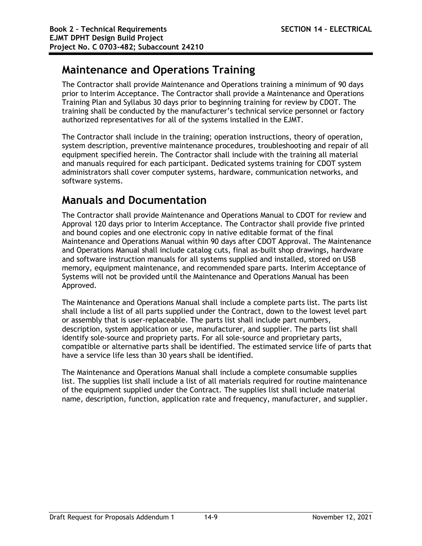# **Maintenance and Operations Training**

The Contractor shall provide Maintenance and Operations training a minimum of 90 days prior to Interim Acceptance. The Contractor shall provide a Maintenance and Operations Training Plan and Syllabus 30 days prior to beginning training for review by CDOT. The training shall be conducted by the manufacturer's technical service personnel or factory authorized representatives for all of the systems installed in the EJMT.

The Contractor shall include in the training; operation instructions, theory of operation, system description, preventive maintenance procedures, troubleshooting and repair of all equipment specified herein. The Contractor shall include with the training all material and manuals required for each participant. Dedicated systems training for CDOT system administrators shall cover computer systems, hardware, communication networks, and software systems.

# **Manuals and Documentation**

The Contractor shall provide Maintenance and Operations Manual to CDOT for review and Approval 120 days prior to Interim Acceptance. The Contractor shall provide five printed and bound copies and one electronic copy in native editable format of the final Maintenance and Operations Manual within 90 days after CDOT Approval. The Maintenance and Operations Manual shall include catalog cuts, final as-built shop drawings, hardware and software instruction manuals for all systems supplied and installed, stored on USB memory, equipment maintenance, and recommended spare parts. Interim Acceptance of Systems will not be provided until the Maintenance and Operations Manual has been Approved.

The Maintenance and Operations Manual shall include a complete parts list. The parts list shall include a list of all parts supplied under the Contract, down to the lowest level part or assembly that is user-replaceable. The parts list shall include part numbers, description, system application or use, manufacturer, and supplier. The parts list shall identify sole-source and propriety parts. For all sole-source and proprietary parts, compatible or alternative parts shall be identified. The estimated service life of parts that have a service life less than 30 years shall be identified.

The Maintenance and Operations Manual shall include a complete consumable supplies list. The supplies list shall include a list of all materials required for routine maintenance of the equipment supplied under the Contract. The supplies list shall include material name, description, function, application rate and frequency, manufacturer, and supplier.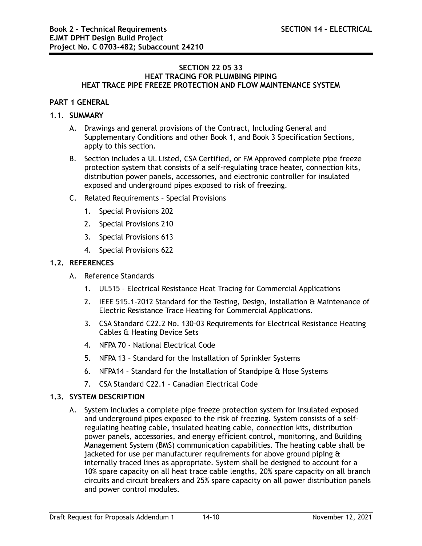#### **SECTION 22 05 33 HEAT TRACING FOR PLUMBING PIPING HEAT TRACE PIPE FREEZE PROTECTION AND FLOW MAINTENANCE SYSTEM**

## **PART 1 GENERAL**

## **1.1. SUMMARY**

- A. Drawings and general provisions of the Contract, Including General and Supplementary Conditions and other Book 1, and Book 3 Specification Sections, apply to this section.
- B. Section includes a UL Listed, CSA Certified, or FM Approved complete pipe freeze protection system that consists of a self-regulating trace heater, connection kits, distribution power panels, accessories, and electronic controller for insulated exposed and underground pipes exposed to risk of freezing.
- C. Related Requirements Special Provisions
	- 1. Special Provisions 202
	- 2. Special Provisions 210
	- 3. Special Provisions 613
	- 4. Special Provisions 622

## **1.2. REFERENCES**

- A. Reference Standards
	- 1. UL515 Electrical Resistance Heat Tracing for Commercial Applications
	- 2. IEEE 515.1-2012 Standard for the Testing, Design, Installation & Maintenance of Electric Resistance Trace Heating for Commercial Applications.
	- 3. CSA Standard C22.2 No. 130-03 Requirements for Electrical Resistance Heating Cables & Heating Device Sets
	- 4. NFPA 70 National Electrical Code
	- 5. NFPA 13 Standard for the Installation of Sprinkler Systems
	- 6. NFPA14 Standard for the Installation of Standpipe & Hose Systems
	- 7. CSA Standard C22.1 Canadian Electrical Code

## **1.3. SYSTEM DESCRIPTION**

A. System includes a complete pipe freeze protection system for insulated exposed and underground pipes exposed to the risk of freezing. System consists of a selfregulating heating cable, insulated heating cable, connection kits, distribution power panels, accessories, and energy efficient control, monitoring, and Building Management System (BMS) communication capabilities. The heating cable shall be jacketed for use per manufacturer requirements for above ground piping & internally traced lines as appropriate. System shall be designed to account for a 10% spare capacity on all heat trace cable lengths, 20% spare capacity on all branch circuits and circuit breakers and 25% spare capacity on all power distribution panels and power control modules.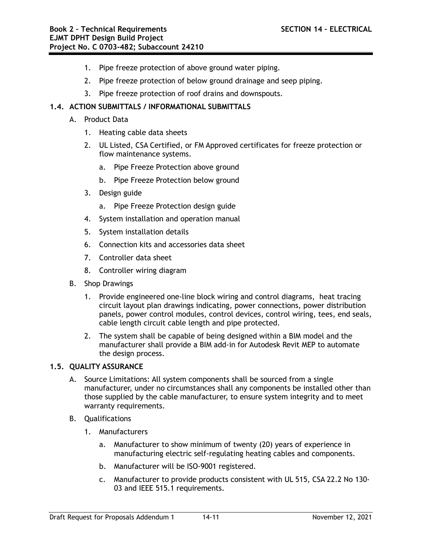- 1. Pipe freeze protection of above ground water piping.
- 2. Pipe freeze protection of below ground drainage and seep piping.
- 3. Pipe freeze protection of roof drains and downspouts.

# **1.4. ACTION SUBMITTALS / INFORMATIONAL SUBMITTALS**

- A. Product Data
	- 1. Heating cable data sheets
	- 2. UL Listed, CSA Certified, or FM Approved certificates for freeze protection or flow maintenance systems.
		- a. Pipe Freeze Protection above ground
		- b. Pipe Freeze Protection below ground
	- 3. Design guide
		- a. Pipe Freeze Protection design guide
	- 4. System installation and operation manual
	- 5. System installation details
	- 6. Connection kits and accessories data sheet
	- 7. Controller data sheet
	- 8. Controller wiring diagram
- B. Shop Drawings
	- 1. Provide engineered one-line block wiring and control diagrams, heat tracing circuit layout plan drawings indicating, power connections, power distribution panels, power control modules, control devices, control wiring, tees, end seals, cable length circuit cable length and pipe protected.
	- 2. The system shall be capable of being designed within a BIM model and the manufacturer shall provide a BIM add-in for Autodesk Revit MEP to automate the design process.

## **1.5. QUALITY ASSURANCE**

- A. Source Limitations: All system components shall be sourced from a single manufacturer, under no circumstances shall any components be installed other than those supplied by the cable manufacturer, to ensure system integrity and to meet warranty requirements.
- B. Qualifications
	- 1. Manufacturers
		- a. Manufacturer to show minimum of twenty (20) years of experience in manufacturing electric self-regulating heating cables and components.
		- b. Manufacturer will be ISO-9001 registered.
		- c. Manufacturer to provide products consistent with UL 515, CSA 22.2 No 130- 03 and IEEE 515.1 requirements.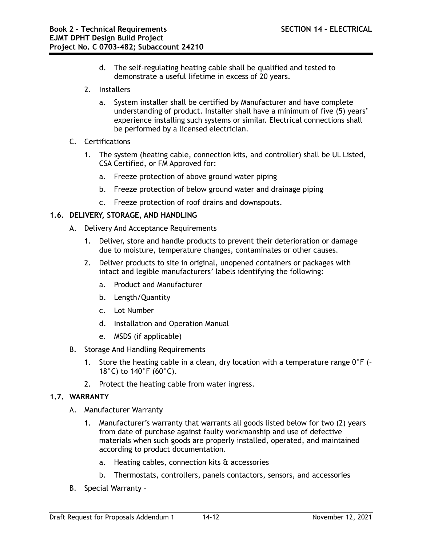- d. The self-regulating heating cable shall be qualified and tested to demonstrate a useful lifetime in excess of 20 years.
- 2. Installers
	- a. System installer shall be certified by Manufacturer and have complete understanding of product. Installer shall have a minimum of five (5) years' experience installing such systems or similar. Electrical connections shall be performed by a licensed electrician.
- C. Certifications
	- 1. The system (heating cable, connection kits, and controller) shall be UL Listed, CSA Certified, or FM Approved for:
		- a. Freeze protection of above ground water piping
		- b. Freeze protection of below ground water and drainage piping
		- c. Freeze protection of roof drains and downspouts.

## **1.6. DELIVERY, STORAGE, AND HANDLING**

- A. Delivery And Acceptance Requirements
	- 1. Deliver, store and handle products to prevent their deterioration or damage due to moisture, temperature changes, contaminates or other causes.
	- 2. Deliver products to site in original, unopened containers or packages with intact and legible manufacturers' labels identifying the following:
		- a. Product and Manufacturer
		- b. Length/Quantity
		- c. Lot Number
		- d. Installation and Operation Manual
		- e. MSDS (if applicable)
- B. Storage And Handling Requirements
	- 1. Store the heating cable in a clean, dry location with a temperature range  $0^{\circ}F$  (-18°C) to 140°F (60°C).
	- 2. Protect the heating cable from water ingress.

## **1.7. WARRANTY**

- A. Manufacturer Warranty
	- 1. Manufacturer's warranty that warrants all goods listed below for two (2) years from date of purchase against faulty workmanship and use of defective materials when such goods are properly installed, operated, and maintained according to product documentation.
		- a. Heating cables, connection kits & accessories
		- b. Thermostats, controllers, panels contactors, sensors, and accessories
- B. Special Warranty –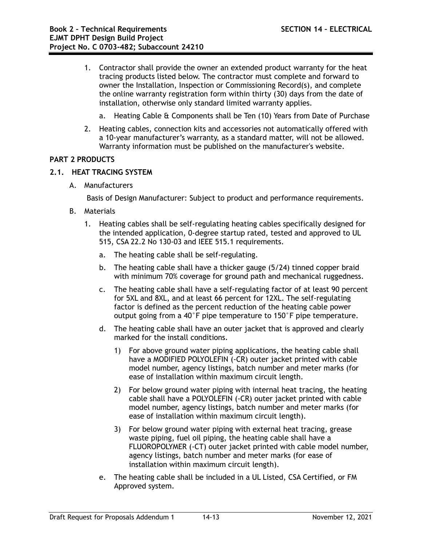- 1. Contractor shall provide the owner an extended product warranty for the heat tracing products listed below. The contractor must complete and forward to owner the Installation, Inspection or Commissioning Record(s), and complete the online warranty registration form within thirty (30) days from the date of installation, otherwise only standard limited warranty applies.
	- a. Heating Cable & Components shall be Ten (10) Years from Date of Purchase
- 2. Heating cables, connection kits and accessories not automatically offered with a 10-year manufacturer's warranty, as a standard matter, will not be allowed. Warranty information must be published on the manufacturer's website.

## **PART 2 PRODUCTS**

# **2.1. HEAT TRACING SYSTEM**

A. Manufacturers

Basis of Design Manufacturer: Subject to product and performance requirements.

- B. Materials
	- 1. Heating cables shall be self-regulating heating cables specifically designed for the intended application, 0-degree startup rated, tested and approved to UL 515, CSA 22.2 No 130-03 and IEEE 515.1 requirements.
		- a. The heating cable shall be self-regulating.
		- b. The heating cable shall have a thicker gauge (5/24) tinned copper braid with minimum 70% coverage for ground path and mechanical ruggedness.
		- c. The heating cable shall have a self-regulating factor of at least 90 percent for 5XL and 8XL, and at least 66 percent for 12XL. The self-regulating factor is defined as the percent reduction of the heating cable power output going from a 40°F pipe temperature to 150°F pipe temperature.
		- d. The heating cable shall have an outer jacket that is approved and clearly marked for the install conditions.
			- 1) For above ground water piping applications, the heating cable shall have a MODIFIED POLYOLEFIN (-CR) outer jacket printed with cable model number, agency listings, batch number and meter marks (for ease of installation within maximum circuit length.
			- 2) For below ground water piping with internal heat tracing, the heating cable shall have a POLYOLEFIN (-CR) outer jacket printed with cable model number, agency listings, batch number and meter marks (for ease of installation within maximum circuit length).
			- 3) For below ground water piping with external heat tracing, grease waste piping, fuel oil piping, the heating cable shall have a FLUOROPOLYMER (-CT) outer jacket printed with cable model number, agency listings, batch number and meter marks (for ease of installation within maximum circuit length).
		- e. The heating cable shall be included in a UL Listed, CSA Certified, or FM Approved system.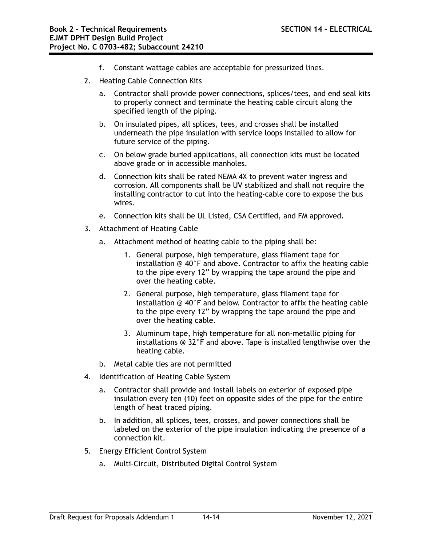- f. Constant wattage cables are acceptable for pressurized lines.
- 2. Heating Cable Connection Kits
	- a. Contractor shall provide power connections, splices/tees, and end seal kits to properly connect and terminate the heating cable circuit along the specified length of the piping.
	- b. On insulated pipes, all splices, tees, and crosses shall be installed underneath the pipe insulation with service loops installed to allow for future service of the piping.
	- c. On below grade buried applications, all connection kits must be located above grade or in accessible manholes.
	- d. Connection kits shall be rated NEMA 4X to prevent water ingress and corrosion. All components shall be UV stabilized and shall not require the installing contractor to cut into the heating-cable core to expose the bus wires.
	- e. Connection kits shall be UL Listed, CSA Certified, and FM approved.
- 3. Attachment of Heating Cable
	- a. Attachment method of heating cable to the piping shall be:
		- 1. General purpose, high temperature, glass filament tape for installation @ 40°F and above. Contractor to affix the heating cable to the pipe every 12" by wrapping the tape around the pipe and over the heating cable.
		- 2. General purpose, high temperature, glass filament tape for installation @ 40°F and below. Contractor to affix the heating cable to the pipe every 12" by wrapping the tape around the pipe and over the heating cable.
		- 3. Aluminum tape, high temperature for all non-metallic piping for installations @ 32°F and above. Tape is installed lengthwise over the heating cable.
	- b. Metal cable ties are not permitted
- 4. Identification of Heating Cable System
	- a. Contractor shall provide and install labels on exterior of exposed pipe insulation every ten (10) feet on opposite sides of the pipe for the entire length of heat traced piping.
	- b. In addition, all splices, tees, crosses, and power connections shall be labeled on the exterior of the pipe insulation indicating the presence of a connection kit.
- 5. Energy Efficient Control System
	- a. Multi-Circuit, Distributed Digital Control System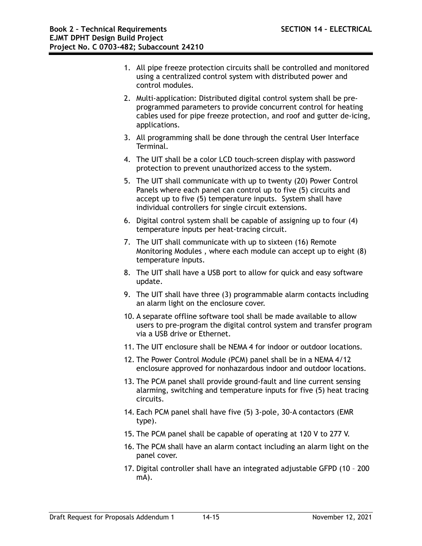- 1. All pipe freeze protection circuits shall be controlled and monitored using a centralized control system with distributed power and control modules.
- 2. Multi-application: Distributed digital control system shall be preprogrammed parameters to provide concurrent control for heating cables used for pipe freeze protection, and roof and gutter de-icing, applications.
- 3. All programming shall be done through the central User Interface Terminal.
- 4. The UIT shall be a color LCD touch-screen display with password protection to prevent unauthorized access to the system.
- 5. The UIT shall communicate with up to twenty (20) Power Control Panels where each panel can control up to five (5) circuits and accept up to five (5) temperature inputs. System shall have individual controllers for single circuit extensions.
- 6. Digital control system shall be capable of assigning up to four (4) temperature inputs per heat-tracing circuit.
- 7. The UIT shall communicate with up to sixteen (16) Remote Monitoring Modules , where each module can accept up to eight (8) temperature inputs.
- 8. The UIT shall have a USB port to allow for quick and easy software update.
- 9. The UIT shall have three (3) programmable alarm contacts including an alarm light on the enclosure cover.
- 10. A separate offline software tool shall be made available to allow users to pre-program the digital control system and transfer program via a USB drive or Ethernet.
- 11. The UIT enclosure shall be NEMA 4 for indoor or outdoor locations.
- 12. The Power Control Module (PCM) panel shall be in a NEMA 4/12 enclosure approved for nonhazardous indoor and outdoor locations.
- 13. The PCM panel shall provide ground-fault and line current sensing alarming, switching and temperature inputs for five (5) heat tracing circuits.
- 14. Each PCM panel shall have five (5) 3-pole, 30-A contactors (EMR type).
- 15. The PCM panel shall be capable of operating at 120 V to 277 V.
- 16. The PCM shall have an alarm contact including an alarm light on the panel cover.
- 17. Digital controller shall have an integrated adjustable GFPD (10 200 mA).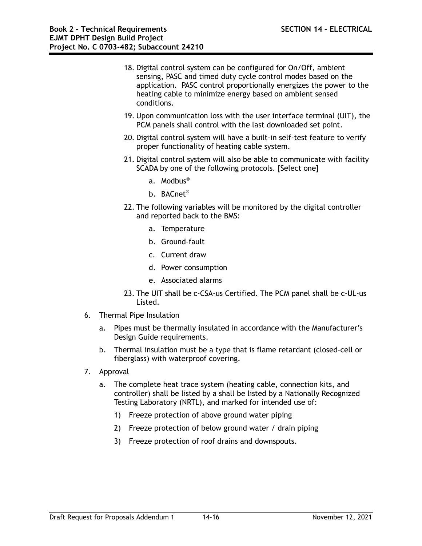- 18. Digital control system can be configured for On/Off, ambient sensing, PASC and timed duty cycle control modes based on the application. PASC control proportionally energizes the power to the heating cable to minimize energy based on ambient sensed conditions.
- 19. Upon communication loss with the user interface terminal (UIT), the PCM panels shall control with the last downloaded set point.
- 20. Digital control system will have a built-in self-test feature to verify proper functionality of heating cable system.
- 21. Digital control system will also be able to communicate with facility SCADA by one of the following protocols. [Select one]
	- a. Modbus®
	- b. BACnet®
- 22. The following variables will be monitored by the digital controller and reported back to the BMS:
	- a. Temperature
	- b. Ground-fault
	- c. Current draw
	- d. Power consumption
	- e. Associated alarms
- 23. The UIT shall be c-CSA-us Certified. The PCM panel shall be c-UL-us Listed.
- 6. Thermal Pipe Insulation
	- a. Pipes must be thermally insulated in accordance with the Manufacturer's Design Guide requirements.
	- b. Thermal insulation must be a type that is flame retardant (closed-cell or fiberglass) with waterproof covering.
- 7. Approval
	- a. The complete heat trace system (heating cable, connection kits, and controller) shall be listed by a shall be listed by a Nationally Recognized Testing Laboratory (NRTL), and marked for intended use of:
		- 1) Freeze protection of above ground water piping
		- 2) Freeze protection of below ground water / drain piping
		- 3) Freeze protection of roof drains and downspouts.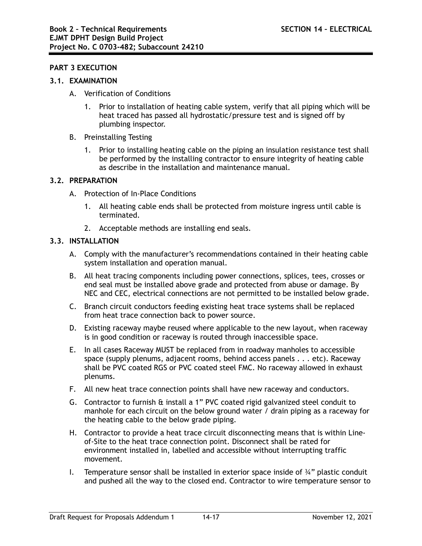#### **PART 3 EXECUTION**

#### **3.1. EXAMINATION**

- A. Verification of Conditions
	- 1. Prior to installation of heating cable system, verify that all piping which will be heat traced has passed all hydrostatic/pressure test and is signed off by plumbing inspector.
- B. Preinstalling Testing
	- 1. Prior to installing heating cable on the piping an insulation resistance test shall be performed by the installing contractor to ensure integrity of heating cable as describe in the installation and maintenance manual.

#### **3.2. PREPARATION**

- A. Protection of In-Place Conditions
	- 1. All heating cable ends shall be protected from moisture ingress until cable is terminated.
	- 2. Acceptable methods are installing end seals.

#### **3.3. INSTALLATION**

- A. Comply with the manufacturer's recommendations contained in their heating cable system installation and operation manual.
- B. All heat tracing components including power connections, splices, tees, crosses or end seal must be installed above grade and protected from abuse or damage. By NEC and CEC, electrical connections are not permitted to be installed below grade.
- C. Branch circuit conductors feeding existing heat trace systems shall be replaced from heat trace connection back to power source.
- D. Existing raceway maybe reused where applicable to the new layout, when raceway is in good condition or raceway is routed through inaccessible space.
- E. In all cases Raceway MUST be replaced from in roadway manholes to accessible space (supply plenums, adjacent rooms, behind access panels . . . etc). Raceway shall be PVC coated RGS or PVC coated steel FMC. No raceway allowed in exhaust plenums.
- F. All new heat trace connection points shall have new raceway and conductors.
- G. Contractor to furnish & install a 1" PVC coated rigid galvanized steel conduit to manhole for each circuit on the below ground water / drain piping as a raceway for the heating cable to the below grade piping.
- H. Contractor to provide a heat trace circuit disconnecting means that is within Lineof-Site to the heat trace connection point. Disconnect shall be rated for environment installed in, labelled and accessible without interrupting traffic movement.
- I. Temperature sensor shall be installed in exterior space inside of  $\frac{3}{4}$ " plastic conduit and pushed all the way to the closed end. Contractor to wire temperature sensor to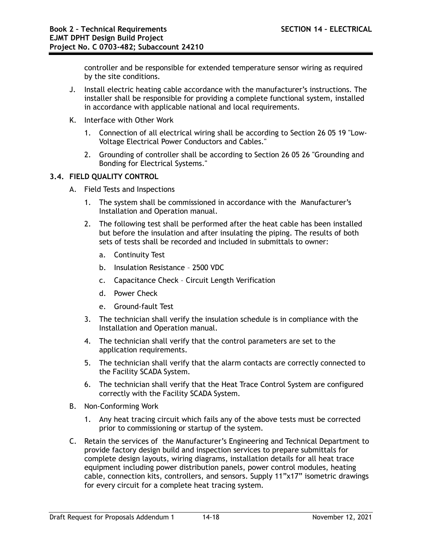controller and be responsible for extended temperature sensor wiring as required by the site conditions.

- J. Install electric heating cable accordance with the manufacturer's instructions. The installer shall be responsible for providing a complete functional system, installed in accordance with applicable national and local requirements.
- K. Interface with Other Work
	- 1. Connection of all electrical wiring shall be according to Section 26 05 19 "Low-Voltage Electrical Power Conductors and Cables."
	- 2. Grounding of controller shall be according to Section 26 05 26 "Grounding and Bonding for Electrical Systems."

## **3.4. FIELD QUALITY CONTROL**

- A. Field Tests and Inspections
	- 1. The system shall be commissioned in accordance with the Manufacturer's Installation and Operation manual.
	- 2. The following test shall be performed after the heat cable has been installed but before the insulation and after insulating the piping. The results of both sets of tests shall be recorded and included in submittals to owner:
		- a. Continuity Test
		- b. Insulation Resistance 2500 VDC
		- c. Capacitance Check Circuit Length Verification
		- d. Power Check
		- e. Ground-fault Test
	- 3. The technician shall verify the insulation schedule is in compliance with the Installation and Operation manual.
	- 4. The technician shall verify that the control parameters are set to the application requirements.
	- 5. The technician shall verify that the alarm contacts are correctly connected to the Facility SCADA System.
	- 6. The technician shall verify that the Heat Trace Control System are configured correctly with the Facility SCADA System.
- B. Non-Conforming Work
	- 1. Any heat tracing circuit which fails any of the above tests must be corrected prior to commissioning or startup of the system.
- C. Retain the services of the Manufacturer's Engineering and Technical Department to provide factory design build and inspection services to prepare submittals for complete design layouts, wiring diagrams, installation details for all heat trace equipment including power distribution panels, power control modules, heating cable, connection kits, controllers, and sensors. Supply 11"x17" isometric drawings for every circuit for a complete heat tracing system.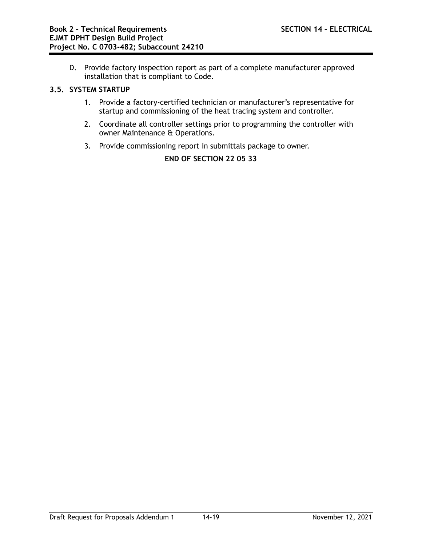D. Provide factory inspection report as part of a complete manufacturer approved installation that is compliant to Code.

#### **3.5. SYSTEM STARTUP**

- 1. Provide a factory-certified technician or manufacturer's representative for startup and commissioning of the heat tracing system and controller.
- 2. Coordinate all controller settings prior to programming the controller with owner Maintenance & Operations.
- 3. Provide commissioning report in submittals package to owner.

**END OF SECTION 22 05 33**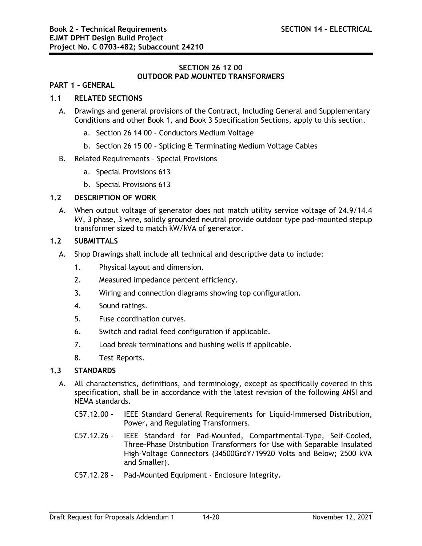## **SECTION 26 12 00 OUTDOOR PAD MOUNTED TRANSFORMERS**

#### **PART 1 – GENERAL**

#### **1.1 RELATED SECTIONS**

- A. Drawings and general provisions of the Contract, Including General and Supplementary Conditions and other Book 1, and Book 3 Specification Sections, apply to this section.
	- a. Section 26 14 00 Conductors Medium Voltage
	- b. Section 26 15 00 Splicing & Terminating Medium Voltage Cables

#### B. Related Requirements – Special Provisions

- a. Special Provisions 613
- b. Special Provisions 613

#### **1.2 DESCRIPTION OF WORK**

A. When output voltage of generator does not match utility service voltage of 24.9/14.4 kV, 3 phase, 3 wire, solidly grounded neutral provide outdoor type pad-mounted stepup transformer sized to match kW/kVA of generator.

#### **1.2 SUBMITTALS**

- A. Shop Drawings shall include all technical and descriptive data to include:
	- 1. Physical layout and dimension.
	- 2. Measured impedance percent efficiency.
	- 3. Wiring and connection diagrams showing top configuration.
	- 4. Sound ratings.
	- 5. Fuse coordination curves.
	- 6. Switch and radial feed configuration if applicable.
	- 7. Load break terminations and bushing wells if applicable.
	- 8. Test Reports.

#### **1.3 STANDARDS**

- A. All characteristics, definitions, and terminology, except as specifically covered in this specification, shall be in accordance with the latest revision of the following ANSI and NEMA standards.
	- C57.12.00 IEEE Standard General Requirements for Liquid-Immersed Distribution, Power, and Regulating Transformers.
	- C57.12.26 IEEE Standard for Pad-Mounted, Compartmental-Type, Self-Cooled, Three-Phase Distribution Transformers for Use with Separable Insulated High-Voltage Connectors (34500GrdY/19920 Volts and Below; 2500 kVA and Smaller).
	- C57.12.28 Pad-Mounted Equipment Enclosure Integrity.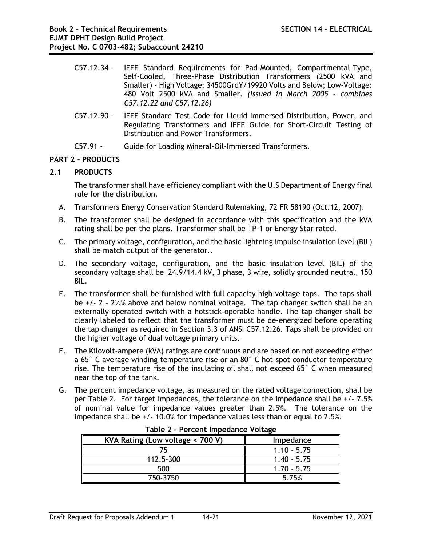- C57.12.34 IEEE Standard Requirements for Pad-Mounted, Compartmental-Type, Self-Cooled, Three-Phase Distribution Transformers (2500 kVA and Smaller) - High Voltage: 34500GrdY/19920 Volts and Below; Low-Voltage: 480 Volt 2500 kVA and Smaller. *(Issued in March 2005 - combines C57.12.22 and C57.12.26)*
- C57.12.90 IEEE Standard Test Code for Liquid-Immersed Distribution, Power, and Regulating Transformers and IEEE Guide for Short-Circuit Testing of Distribution and Power Transformers.
- C57.91 Guide for Loading Mineral-Oil-Immersed Transformers.

# **PART 2 - PRODUCTS**

# **2.1 PRODUCTS**

The transformer shall have efficiency compliant with the U.S Department of Energy final rule for the distribution.

- A. Transformers Energy Conservation Standard Rulemaking, 72 FR 58190 (Oct.12, 2007).
- B. The transformer shall be designed in accordance with this specification and the kVA rating shall be per the plans. Transformer shall be TP-1 or Energy Star rated.
- C. The primary voltage, configuration, and the basic lightning impulse insulation level (BIL) shall be match output of the generator..
- D. The secondary voltage, configuration, and the basic insulation level (BIL) of the secondary voltage shall be 24.9/14.4 kV, 3 phase, 3 wire, solidly grounded neutral, 150 BIL.
- E. The transformer shall be furnished with full capacity high-voltage taps. The taps shall be +/- 2 - 2½% above and below nominal voltage. The tap changer switch shall be an externally operated switch with a hotstick-operable handle. The tap changer shall be clearly labeled to reflect that the transformer must be de-energized before operating the tap changer as required in Section 3.3 of ANSI C57.12.26. Taps shall be provided on the higher voltage of dual voltage primary units.
- F. The Kilovolt-ampere (kVA) ratings are continuous and are based on not exceeding either a 65° C average winding temperature rise or an 80° C hot-spot conductor temperature rise. The temperature rise of the insulating oil shall not exceed 65° C when measured near the top of the tank.
- G. The percent impedance voltage, as measured on the rated voltage connection, shall be per Table 2. For target impedances, the tolerance on the impedance shall be +/- 7.5% of nominal value for impedance values greater than 2.5%. The tolerance on the impedance shall be +/- 10.0% for impedance values less than or equal to 2.5%.

| Table 2 - Fercent impedance Voltage |               |  |
|-------------------------------------|---------------|--|
| KVA Rating (Low voltage < 700 V)    | Impedance     |  |
|                                     | $1.10 - 5.75$ |  |
| 112.5-300                           | $1.40 - 5.75$ |  |
| 500                                 | $1.70 - 5.75$ |  |
| 750-3750                            | 5.75%         |  |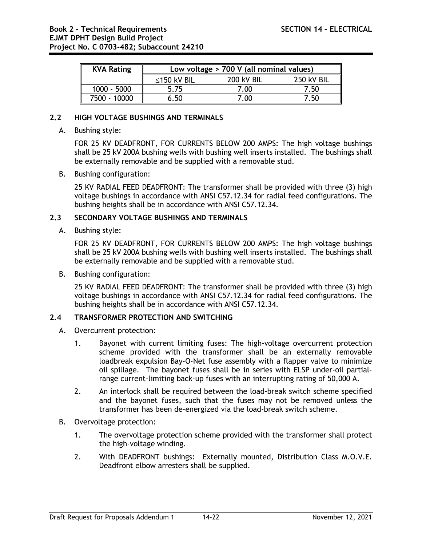| <b>KVA Rating</b> | Low voltage > 700 V (all nominal values) |                   |                   |
|-------------------|------------------------------------------|-------------------|-------------------|
|                   | ≤150 kV BIL                              | <b>200 kV BIL</b> | <b>250 kV BIL</b> |
| $1000 - 5000$     | 5.75                                     | 7.00              | 7.50              |
| 7500 - 10000      | 6.50                                     | 7.00              | 7.50              |

## **2.2 HIGH VOLTAGE BUSHINGS AND TERMINALS**

A. Bushing style:

FOR 25 KV DEADFRONT, FOR CURRENTS BELOW 200 AMPS: The high voltage bushings shall be 25 kV 200A bushing wells with bushing well inserts installed. The bushings shall be externally removable and be supplied with a removable stud.

B. Bushing configuration:

25 KV RADIAL FEED DEADFRONT: The transformer shall be provided with three (3) high voltage bushings in accordance with ANSI C57.12.34 for radial feed configurations. The bushing heights shall be in accordance with ANSI C57.12.34.

## **2.3 SECONDARY VOLTAGE BUSHINGS AND TERMINALS**

A. Bushing style:

FOR 25 KV DEADFRONT, FOR CURRENTS BELOW 200 AMPS: The high voltage bushings shall be 25 kV 200A bushing wells with bushing well inserts installed. The bushings shall be externally removable and be supplied with a removable stud.

B. Bushing configuration:

25 KV RADIAL FEED DEADFRONT: The transformer shall be provided with three (3) high voltage bushings in accordance with ANSI C57.12.34 for radial feed configurations. The bushing heights shall be in accordance with ANSI C57.12.34.

## **2.4 TRANSFORMER PROTECTION AND SWITCHING**

- A. Overcurrent protection:
	- 1. Bayonet with current limiting fuses: The high-voltage overcurrent protection scheme provided with the transformer shall be an externally removable loadbreak expulsion Bay-O-Net fuse assembly with a flapper valve to minimize oil spillage. The bayonet fuses shall be in series with ELSP under-oil partialrange current-limiting back-up fuses with an interrupting rating of 50,000 A.
	- 2. An interlock shall be required between the load-break switch scheme specified and the bayonet fuses, such that the fuses may not be removed unless the transformer has been de-energized via the load-break switch scheme.
- B. Overvoltage protection:
	- 1. The overvoltage protection scheme provided with the transformer shall protect the high-voltage winding.
	- 2. With DEADFRONT bushings: Externally mounted, Distribution Class M.O.V.E. Deadfront elbow arresters shall be supplied.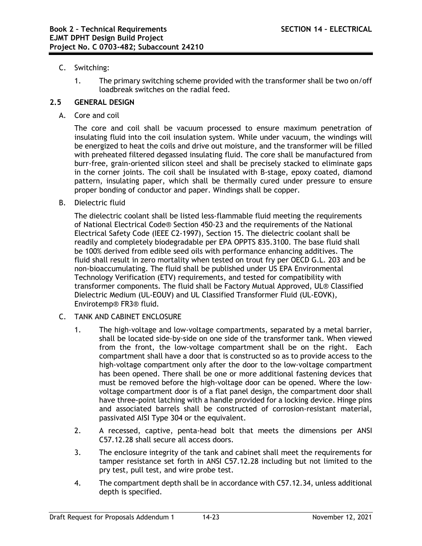# C. Switching:

1. The primary switching scheme provided with the transformer shall be two on/off loadbreak switches on the radial feed.

# **2.5 GENERAL DESIGN**

A. Core and coil

The core and coil shall be vacuum processed to ensure maximum penetration of insulating fluid into the coil insulation system. While under vacuum, the windings will be energized to heat the coils and drive out moisture, and the transformer will be filled with preheated filtered degassed insulating fluid. The core shall be manufactured from burr-free, grain-oriented silicon steel and shall be precisely stacked to eliminate gaps in the corner joints. The coil shall be insulated with B-stage, epoxy coated, diamond pattern, insulating paper, which shall be thermally cured under pressure to ensure proper bonding of conductor and paper. Windings shall be copper.

B. Dielectric fluid

The dielectric coolant shall be listed less-flammable fluid meeting the requirements of National Electrical Code® Section 450-23 and the requirements of the National Electrical Safety Code (IEEE C2-1997), Section 15. The dielectric coolant shall be readily and completely biodegradable per EPA OPPTS 835.3100. The base fluid shall be 100% derived from edible seed oils with performance enhancing additives. The fluid shall result in zero mortality when tested on trout fry per OECD G.L. 203 and be non-bioaccumulating. The fluid shall be published under US EPA Environmental Technology Verification (ETV) requirements, and tested for compatibility with transformer components. The fluid shall be Factory Mutual Approved, UL® Classified Dielectric Medium (UL-EOUV) and UL Classified Transformer Fluid (UL-EOVK), Envirotemp® FR3® fluid.

- C. TANK AND CABINET ENCLOSURE
	- 1. The high-voltage and low-voltage compartments, separated by a metal barrier, shall be located side-by-side on one side of the transformer tank. When viewed from the front, the low-voltage compartment shall be on the right. Each compartment shall have a door that is constructed so as to provide access to the high-voltage compartment only after the door to the low-voltage compartment has been opened. There shall be one or more additional fastening devices that must be removed before the high-voltage door can be opened. Where the lowvoltage compartment door is of a flat panel design, the compartment door shall have three-point latching with a handle provided for a locking device. Hinge pins and associated barrels shall be constructed of corrosion-resistant material, passivated AISI Type 304 or the equivalent.
	- 2. A recessed, captive, penta-head bolt that meets the dimensions per ANSI C57.12.28 shall secure all access doors.
	- 3. The enclosure integrity of the tank and cabinet shall meet the requirements for tamper resistance set forth in ANSI C57.12.28 including but not limited to the pry test, pull test, and wire probe test.
	- 4. The compartment depth shall be in accordance with C57.12.34, unless additional depth is specified.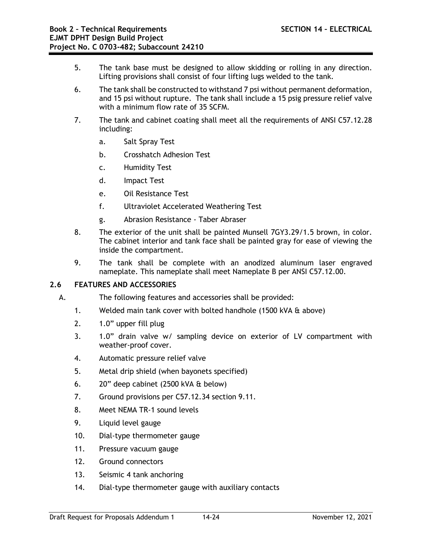- 5. The tank base must be designed to allow skidding or rolling in any direction. Lifting provisions shall consist of four lifting lugs welded to the tank.
- 6. The tank shall be constructed to withstand 7 psi without permanent deformation, and 15 psi without rupture. The tank shall include a 15 psig pressure relief valve with a minimum flow rate of 35 SCFM.
- 7. The tank and cabinet coating shall meet all the requirements of ANSI C57.12.28 including:
	- a. Salt Spray Test
	- b. Crosshatch Adhesion Test
	- c. Humidity Test
	- d. Impact Test
	- e. Oil Resistance Test
	- f. Ultraviolet Accelerated Weathering Test
	- g. Abrasion Resistance Taber Abraser
- 8. The exterior of the unit shall be painted Munsell 7GY3.29/1.5 brown, in color. The cabinet interior and tank face shall be painted gray for ease of viewing the inside the compartment.
- 9. The tank shall be complete with an anodized aluminum laser engraved nameplate. This nameplate shall meet Nameplate B per ANSI C57.12.00.

# **2.6 FEATURES AND ACCESSORIES**

- A. The following features and accessories shall be provided:
	- 1. Welded main tank cover with bolted handhole (1500 kVA & above)
	- 2. 1.0" upper fill plug
	- 3. 1.0" drain valve w/ sampling device on exterior of LV compartment with weather-proof cover.
	- 4. Automatic pressure relief valve
	- 5. Metal drip shield (when bayonets specified)
	- 6. 20" deep cabinet (2500 kVA & below)
	- 7. Ground provisions per C57.12.34 section 9.11.
	- 8. Meet NEMA TR-1 sound levels
	- 9. Liquid level gauge
	- 10. Dial-type thermometer gauge
	- 11. Pressure vacuum gauge
	- 12. Ground connectors
	- 13. Seismic 4 tank anchoring
	- 14. Dial-type thermometer gauge with auxiliary contacts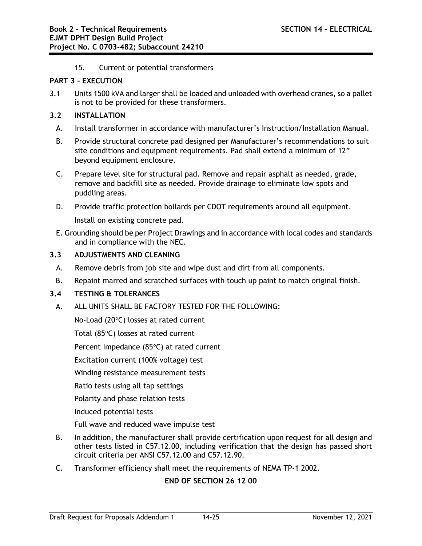15. Current or potential transformers

#### **PART 3 – EXECUTION**

3.1 Units 1500 kVA and larger shall be loaded and unloaded with overhead cranes, so a pallet is not to be provided for these transformers.

#### **3.2 INSTALLATION**

- A. Install transformer in accordance with manufacturer's Instruction/Installation Manual.
- B. Provide structural concrete pad designed per Manufacturer's recommendations to suit site conditions and equipment requirements. Pad shall extend a minimum of 12" beyond equipment enclosure.
- C. Prepare level site for structural pad. Remove and repair asphalt as needed, grade, remove and backfill site as needed. Provide drainage to eliminate low spots and puddling areas.
- D. Provide traffic protection bollards per CDOT requirements around all equipment.

Install on existing concrete pad.

E. Grounding should be per Project Drawings and in accordance with local codes and standards and in compliance with the NEC.

## **3.3 ADJUSTMENTS AND CLEANING**

- A. Remove debris from job site and wipe dust and dirt from all components.
- B. Repaint marred and scratched surfaces with touch up paint to match original finish.

## **3.4 TESTING & TOLERANCES**

A. ALL UNITS SHALL BE FACTORY TESTED FOR THE FOLLOWING:

No-Load (20°C) losses at rated current

Total (85°C) losses at rated current

Percent Impedance (85°C) at rated current

Excitation current (100% voltage) test

Winding resistance measurement tests

Ratio tests using all tap settings

Polarity and phase relation tests

Induced potential tests

Full wave and reduced wave impulse test

- B. In addition, the manufacturer shall provide certification upon request for all design and other tests listed in C57.12.00, including verification that the design has passed short circuit criteria per ANSI C57.12.00 and C57.12.90.
- C. Transformer efficiency shall meet the requirements of NEMA TP-1 2002.

# **END OF SECTION 26 12 00**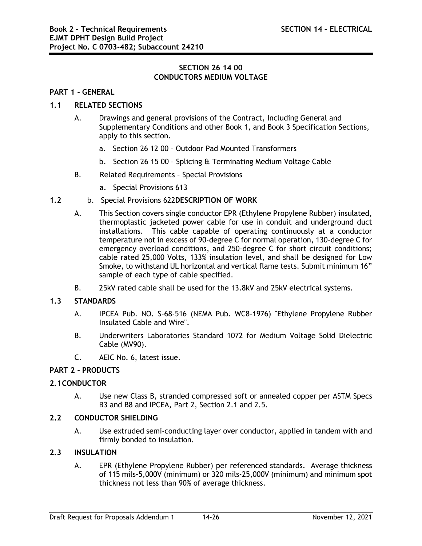# **SECTION 26 14 00 CONDUCTORS MEDIUM VOLTAGE**

## **PART 1 - GENERAL**

# **1.1 RELATED SECTIONS**

- A. Drawings and general provisions of the Contract, Including General and Supplementary Conditions and other Book 1, and Book 3 Specification Sections, apply to this section.
	- a. Section 26 12 00 Outdoor Pad Mounted Transformers
	- b. Section 26 15 00 Splicing & Terminating Medium Voltage Cable
- B. Related Requirements Special Provisions
	- a. Special Provisions 613

#### **1.2** b. Special Provisions 622**DESCRIPTION OF WORK**

- A. This Section covers single conductor EPR (Ethylene Propylene Rubber) insulated, thermoplastic jacketed power cable for use in conduit and underground duct installations. This cable capable of operating continuously at a conductor temperature not in excess of 90-degree C for normal operation, 130-degree C for emergency overload conditions, and 250-degree C for short circuit conditions; cable rated 25,000 Volts, 133% insulation level, and shall be designed for Low Smoke, to withstand UL horizontal and vertical flame tests. Submit minimum 16" sample of each type of cable specified.
- B. 25kV rated cable shall be used for the 13.8kV and 25kV electrical systems.

#### **1.3 STANDARDS**

- A. IPCEA Pub. NO. S-68-516 (NEMA Pub. WC8-1976) "Ethylene Propylene Rubber Insulated Cable and Wire".
- B. Underwriters Laboratories Standard 1072 for Medium Voltage Solid Dielectric Cable (MV90).
- C. AEIC No. 6, latest issue.

#### **PART 2 - PRODUCTS**

#### **2.1CONDUCTOR**

A. Use new Class B, stranded compressed soft or annealed copper per ASTM Specs B3 and B8 and IPCEA, Part 2, Section 2.1 and 2.5.

#### **2.2 CONDUCTOR SHIELDING**

A. Use extruded semi-conducting layer over conductor, applied in tandem with and firmly bonded to insulation.

#### **2.3 INSULATION**

A. EPR (Ethylene Propylene Rubber) per referenced standards. Average thickness of 115 mils-5,000V (minimum) or 320 mils-25,000V (minimum) and minimum spot thickness not less than 90% of average thickness.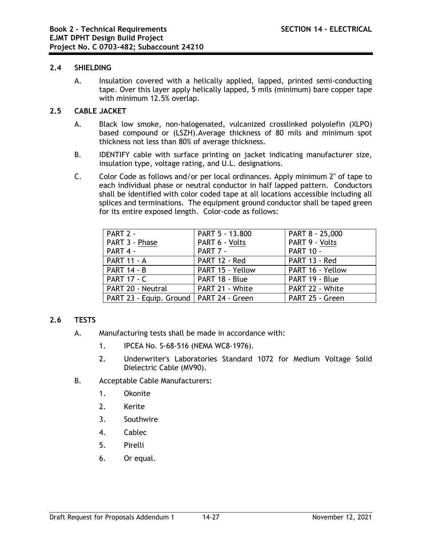#### **2.4 SHIELDING**

A. Insulation covered with a helically applied, lapped, printed semi-conducting tape. Over this layer apply helically lapped, 5 mils (minimum) bare copper tape with minimum 12.5% overlap.

## **2.5 CABLE JACKET**

- A. Black low smoke, non-halogenated, vulcanized crosslinked polyolefin (XLPO) based compound or (LSZH).Average thickness of 80 mils and minimum spot thickness not less than 80% of average thickness.
- B. IDENTIFY cable with surface printing on jacket indicating manufacturer size, insulation type, voltage rating, and U.L. designations.
- C. Color Code as follows and/or per local ordinances. Apply minimum 2" of tape to each individual phase or neutral conductor in half lapped pattern. Conductors shall be identified with color coded tape at all locations accessible including all splices and terminations. The equipment ground conductor shall be taped green for its entire exposed length. Color-code as follows:

| PART 2 -                                  | PART 5 - 13.800  | PART 8 - 25,000  |
|-------------------------------------------|------------------|------------------|
| PART 3 - Phase                            | PART 6 - Volts   | PART 9 - Volts   |
| PART 4 -                                  | PART 7 -         | <b>PART 10 -</b> |
| <b>PART 11 - A</b>                        | PART 12 - Red    | PART 13 - Red    |
| <b>PART 14 - B</b>                        | PART 15 - Yellow | PART 16 - Yellow |
| <b>PART 17 - C</b>                        | PART 18 - Blue   | PART 19 - Blue   |
| PART 20 - Neutral                         | PART 21 - White  | PART 22 - White  |
| PART 23 - Equip. Ground   PART 24 - Green |                  | PART 25 - Green  |

# **2.6 TESTS**

- A. Manufacturing tests shall be made in accordance with:
	- 1. IPCEA No. S-68-516 (NEMA WC8-1976).
	- 2. Underwriter's Laboratories Standard 1072 for Medium Voltage Solid Dielectric Cable (MV90).
- B. Acceptable Cable Manufacturers:
	- 1. Okonite
	- 2. Kerite
	- 3. Southwire
	- 4. Cablec
	- 5. Pirelli
	- 6. Or equal.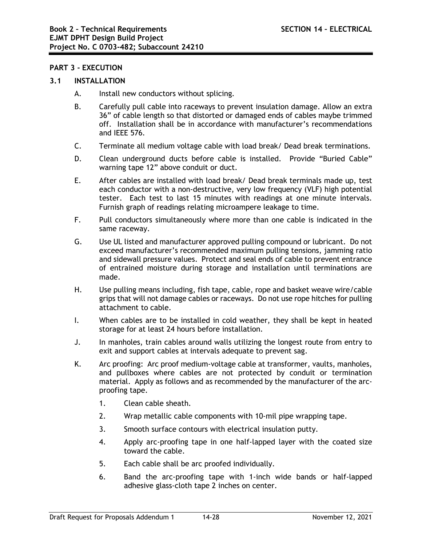#### **PART 3 - EXECUTION**

#### **3.1 INSTALLATION**

- A. Install new conductors without splicing.
- B. Carefully pull cable into raceways to prevent insulation damage. Allow an extra 36" of cable length so that distorted or damaged ends of cables maybe trimmed off. Installation shall be in accordance with manufacturer's recommendations and IEEE 576.
- C. Terminate all medium voltage cable with load break/ Dead break terminations.
- D. Clean underground ducts before cable is installed. Provide "Buried Cable" warning tape 12" above conduit or duct.
- E. After cables are installed with load break/ Dead break terminals made up, test each conductor with a non-destructive, very low frequency (VLF) high potential tester. Each test to last 15 minutes with readings at one minute intervals. Furnish graph of readings relating microampere leakage to time.
- F. Pull conductors simultaneously where more than one cable is indicated in the same raceway.
- G. Use UL listed and manufacturer approved pulling compound or lubricant. Do not exceed manufacturer's recommended maximum pulling tensions, jamming ratio and sidewall pressure values. Protect and seal ends of cable to prevent entrance of entrained moisture during storage and installation until terminations are made.
- H. Use pulling means including, fish tape, cable, rope and basket weave wire/cable grips that will not damage cables or raceways. Do not use rope hitches for pulling attachment to cable.
- I. When cables are to be installed in cold weather, they shall be kept in heated storage for at least 24 hours before installation.
- J. In manholes, train cables around walls utilizing the longest route from entry to exit and support cables at intervals adequate to prevent sag.
- K. Arc proofing: Arc proof medium-voltage cable at transformer, vaults, manholes, and pullboxes where cables are not protected by conduit or termination material. Apply as follows and as recommended by the manufacturer of the arcproofing tape.
	- 1. Clean cable sheath.
	- 2. Wrap metallic cable components with 10-mil pipe wrapping tape.
	- 3. Smooth surface contours with electrical insulation putty.
	- 4. Apply arc-proofing tape in one half-lapped layer with the coated size toward the cable.
	- 5. Each cable shall be arc proofed individually.
	- 6. Band the arc-proofing tape with 1-inch wide bands or half-lapped adhesive glass-cloth tape 2 inches on center.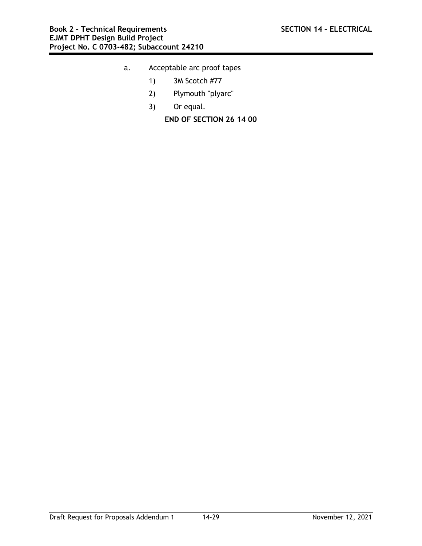- a. Acceptable arc proof tapes
	- 1) 3M Scotch #77
	- 2) Plymouth "plyarc"
	- 3) Or equal.

**END OF SECTION 26 14 00**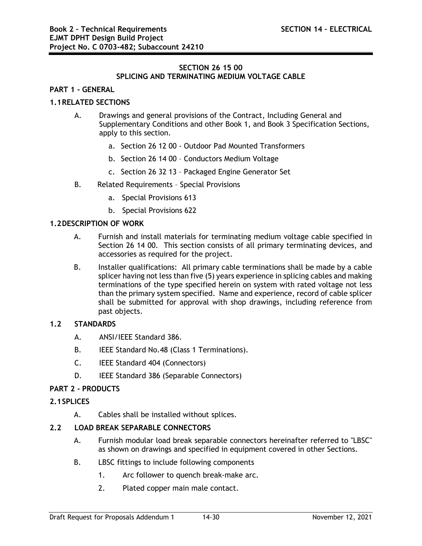## **SECTION 26 15 00 SPLICING AND TERMINATING MEDIUM VOLTAGE CABLE**

#### **PART 1 - GENERAL**

## **1.1RELATED SECTIONS**

- A. Drawings and general provisions of the Contract, Including General and Supplementary Conditions and other Book 1, and Book 3 Specification Sections, apply to this section.
	- a. Section 26 12 00 Outdoor Pad Mounted Transformers
	- b. Section 26 14 00 Conductors Medium Voltage
	- c. Section 26 32 13 Packaged Engine Generator Set
- B. Related Requirements Special Provisions
	- a. Special Provisions 613
	- b. Special Provisions 622

#### **1.2DESCRIPTION OF WORK**

- A. Furnish and install materials for terminating medium voltage cable specified in Section 26 14 00. This section consists of all primary terminating devices, and accessories as required for the project.
- B. Installer qualifications: All primary cable terminations shall be made by a cable splicer having not less than five (5) years experience in splicing cables and making terminations of the type specified herein on system with rated voltage not less than the primary system specified. Name and experience, record of cable splicer shall be submitted for approval with shop drawings, including reference from past objects.

#### **1.2 STANDARDS**

- A. ANSI/IEEE Standard 386.
- B. IEEE Standard No.48 (Class 1 Terminations).
- C. IEEE Standard 404 (Connectors)
- D. IEEE Standard 386 (Separable Connectors)

#### **PART 2 - PRODUCTS**

#### **2.1SPLICES**

A. Cables shall be installed without splices.

#### **2.2 LOAD BREAK SEPARABLE CONNECTORS**

- A. Furnish modular load break separable connectors hereinafter referred to "LBSC" as shown on drawings and specified in equipment covered in other Sections.
- B. LBSC fittings to include following components
	- 1. Arc follower to quench break-make arc.
	- 2. Plated copper main male contact.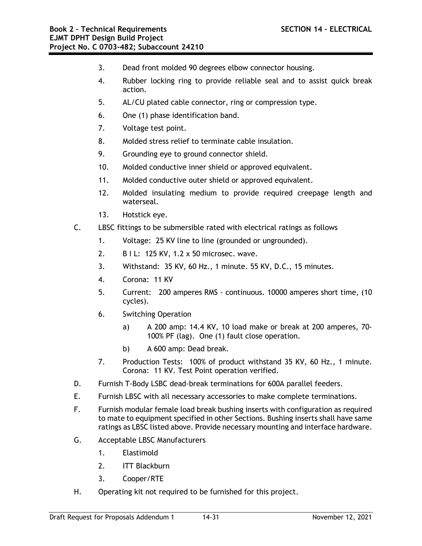- 3. Dead front molded 90 degrees elbow connector housing.
- 4. Rubber locking ring to provide reliable seal and to assist quick break action.
- 5. AL/CU plated cable connector, ring or compression type.
- 6. One (1) phase identification band.
- 7. Voltage test point.
- 8. Molded stress relief to terminate cable insulation.
- 9. Grounding eye to ground connector shield.
- 10. Molded conductive inner shield or approved equivalent.
- 11. Molded conductive outer shield or approved equivalent.
- 12. Molded insulating medium to provide required creepage length and waterseal.
- 13. Hotstick eye.
- C. LBSC fittings to be submersible rated with electrical ratings as follows
	- 1. Voltage: 25 KV line to line (grounded or ungrounded).
	- 2. B I L: 125 KV, 1.2 x 50 microsec. wave.
	- 3. Withstand: 35 KV, 60 Hz., 1 minute. 55 KV, D.C., 15 minutes.
	- 4. Corona: 11 KV
	- 5. Current: 200 amperes RMS continuous. 10000 amperes short time, (10 cycles).
	- 6. Switching Operation
		- a) A 200 amp: 14.4 KV, 10 load make or break at 200 amperes, 70- 100% PF (lag). One (1) fault close operation.
		- b) A 600 amp: Dead break.
	- 7. Production Tests: 100% of product withstand 35 KV, 60 Hz., 1 minute. Corona: 11 KV. Test Point operation verified.
- D. Furnish T-Body LSBC dead-break terminations for 600A parallel feeders.
- E. Furnish LBSC with all necessary accessories to make complete terminations.
- F. Furnish modular female load break bushing inserts with configuration as required to mate to equipment specified in other Sections. Bushing inserts shall have same ratings as LBSC listed above. Provide necessary mounting and interface hardware.
- G. Acceptable LBSC Manufacturers
	- 1. Elastimold
	- 2. ITT Blackburn
	- 3. Cooper/RTE
- H. Operating kit not required to be furnished for this project.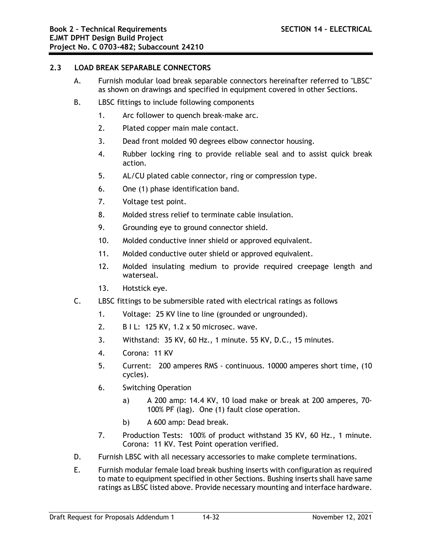#### **2.3 LOAD BREAK SEPARABLE CONNECTORS**

- A. Furnish modular load break separable connectors hereinafter referred to "LBSC" as shown on drawings and specified in equipment covered in other Sections.
- B. LBSC fittings to include following components
	- 1. Arc follower to quench break-make arc.
	- 2. Plated copper main male contact.
	- 3. Dead front molded 90 degrees elbow connector housing.
	- 4. Rubber locking ring to provide reliable seal and to assist quick break action.
	- 5. AL/CU plated cable connector, ring or compression type.
	- 6. One (1) phase identification band.
	- 7. Voltage test point.
	- 8. Molded stress relief to terminate cable insulation.
	- 9. Grounding eye to ground connector shield.
	- 10. Molded conductive inner shield or approved equivalent.
	- 11. Molded conductive outer shield or approved equivalent.
	- 12. Molded insulating medium to provide required creepage length and waterseal.
	- 13. Hotstick eye.
- C. LBSC fittings to be submersible rated with electrical ratings as follows
	- 1. Voltage: 25 KV line to line (grounded or ungrounded).
	- 2. B I L: 125 KV, 1.2 x 50 microsec. wave.
	- 3. Withstand: 35 KV, 60 Hz., 1 minute. 55 KV, D.C., 15 minutes.
	- 4. Corona: 11 KV
	- 5. Current: 200 amperes RMS continuous. 10000 amperes short time, (10 cycles).
	- 6. Switching Operation
		- a) A 200 amp: 14.4 KV, 10 load make or break at 200 amperes, 70- 100% PF (lag). One (1) fault close operation.
		- b) A 600 amp: Dead break.
	- 7. Production Tests: 100% of product withstand 35 KV, 60 Hz., 1 minute. Corona: 11 KV. Test Point operation verified.
- D. Furnish LBSC with all necessary accessories to make complete terminations.
- E. Furnish modular female load break bushing inserts with configuration as required to mate to equipment specified in other Sections. Bushing inserts shall have same ratings as LBSC listed above. Provide necessary mounting and interface hardware.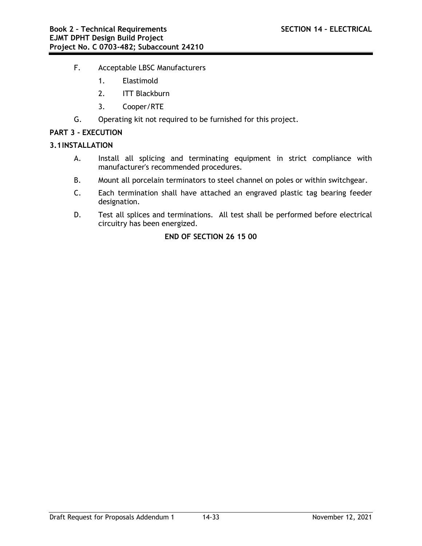- F. Acceptable LBSC Manufacturers
	- 1. Elastimold
	- 2. ITT Blackburn
	- 3. Cooper/RTE
- G. Operating kit not required to be furnished for this project.

#### **PART 3 - EXECUTION**

#### **3.1INSTALLATION**

- A. Install all splicing and terminating equipment in strict compliance with manufacturer's recommended procedures.
- B. Mount all porcelain terminators to steel channel on poles or within switchgear.
- C. Each termination shall have attached an engraved plastic tag bearing feeder designation.
- D. Test all splices and terminations. All test shall be performed before electrical circuitry has been energized.

# **END OF SECTION 26 15 00**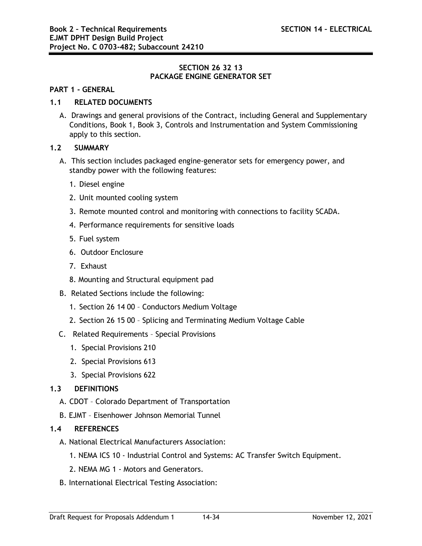## **SECTION 26 32 13 PACKAGE ENGINE GENERATOR SET**

#### **PART 1 - GENERAL**

# **1.1 RELATED DOCUMENTS**

A. Drawings and general provisions of the Contract, including General and Supplementary Conditions, Book 1, Book 3, Controls and Instrumentation and System Commissioning apply to this section.

### **1.2 SUMMARY**

- A. This section includes packaged engine-generator sets for emergency power, and standby power with the following features:
	- 1. Diesel engine
	- 2. Unit mounted cooling system
	- 3. Remote mounted control and monitoring with connections to facility SCADA.
	- 4. Performance requirements for sensitive loads
	- 5. Fuel system
	- 6. Outdoor Enclosure
	- 7. Exhaust
	- 8. Mounting and Structural equipment pad
- B. Related Sections include the following:
	- 1. Section 26 14 00 Conductors Medium Voltage
	- 2. Section 26 15 00 Splicing and Terminating Medium Voltage Cable
- C. Related Requirements Special Provisions
	- 1. Special Provisions 210
	- 2. Special Provisions 613
	- 3. Special Provisions 622

## **1.3 DEFINITIONS**

- A. CDOT Colorado Department of Transportation
- B. EJMT Eisenhower Johnson Memorial Tunnel

## **1.4 REFERENCES**

- A. National Electrical Manufacturers Association:
	- 1. NEMA ICS 10 Industrial Control and Systems: AC Transfer Switch Equipment.
	- 2. NEMA MG 1 Motors and Generators.
- B. International Electrical Testing Association: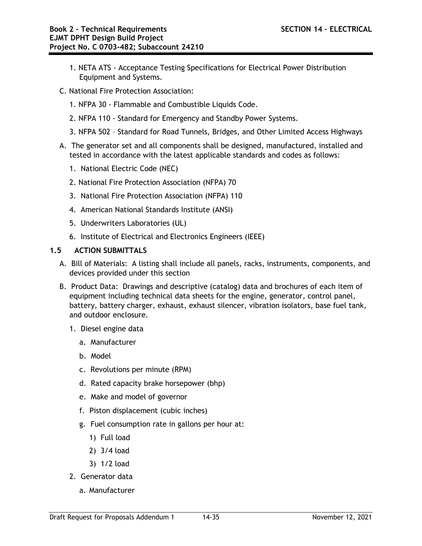- 1. NETA ATS Acceptance Testing Specifications for Electrical Power Distribution Equipment and Systems.
- C. National Fire Protection Association:
	- 1. NFPA 30 Flammable and Combustible Liquids Code.
	- 2. NFPA 110 Standard for Emergency and Standby Power Systems.
	- 3. NFPA 502 Standard for Road Tunnels, Bridges, and Other Limited Access Highways
- A. The generator set and all components shall be designed, manufactured, installed and tested in accordance with the latest applicable standards and codes as follows:
	- 1. National Electric Code (NEC)
	- 2. National Fire Protection Association (NFPA) 70
	- 3. National Fire Protection Association (NFPA) 110
	- 4. American National Standards Institute (ANSI)
	- 5. Underwriters Laboratories (UL)
	- 6. Institute of Electrical and Electronics Engineers (IEEE)

# **1.5 ACTION SUBMITTALS**

- A. Bill of Materials: A listing shall include all panels, racks, instruments, components, and devices provided under this section
- B. Product Data: Drawings and descriptive (catalog) data and brochures of each item of equipment including technical data sheets for the engine, generator, control panel, battery, battery charger, exhaust, exhaust silencer, vibration isolators, base fuel tank, and outdoor enclosure.
	- 1. Diesel engine data
		- a. Manufacturer
		- b. Model
		- c. Revolutions per minute (RPM)
		- d. Rated capacity brake horsepower (bhp)
		- e. Make and model of governor
		- f. Piston displacement (cubic inches)
		- g. Fuel consumption rate in gallons per hour at:
			- 1) Full load
			- 2) 3/4 load
			- 3) 1/2 load
	- 2. Generator data
		- a. Manufacturer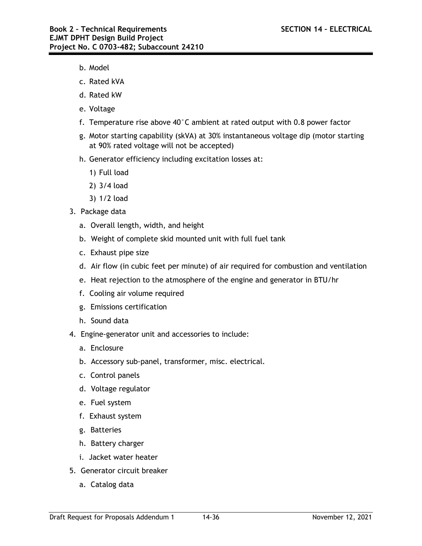- b. Model
- c. Rated kVA
- d. Rated kW
- e. Voltage
- f. Temperature rise above 40°C ambient at rated output with 0.8 power factor
- g. Motor starting capability (skVA) at 30% instantaneous voltage dip (motor starting at 90% rated voltage will not be accepted)
- h. Generator efficiency including excitation losses at:
	- 1) Full load
	- 2) 3/4 load
	- 3) 1/2 load
- 3. Package data
	- a. Overall length, width, and height
	- b. Weight of complete skid mounted unit with full fuel tank
	- c. Exhaust pipe size
	- d. Air flow (in cubic feet per minute) of air required for combustion and ventilation
	- e. Heat rejection to the atmosphere of the engine and generator in BTU/hr
	- f. Cooling air volume required
	- g. Emissions certification
	- h. Sound data
- 4. Engine-generator unit and accessories to include:
	- a. Enclosure
	- b. Accessory sub-panel, transformer, misc. electrical.
	- c. Control panels
	- d. Voltage regulator
	- e. Fuel system
	- f. Exhaust system
	- g. Batteries
	- h. Battery charger
	- i. Jacket water heater
- 5. Generator circuit breaker
	- a. Catalog data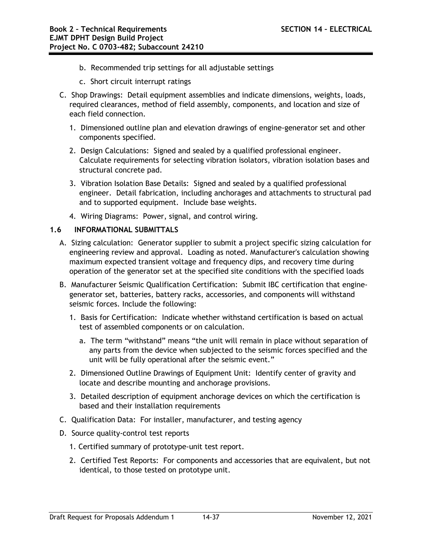- b. Recommended trip settings for all adjustable settings
- c. Short circuit interrupt ratings
- C. Shop Drawings: Detail equipment assemblies and indicate dimensions, weights, loads, required clearances, method of field assembly, components, and location and size of each field connection.
	- 1. Dimensioned outline plan and elevation drawings of engine-generator set and other components specified.
	- 2. Design Calculations: Signed and sealed by a qualified professional engineer. Calculate requirements for selecting vibration isolators, vibration isolation bases and structural concrete pad.
	- 3. Vibration Isolation Base Details: Signed and sealed by a qualified professional engineer. Detail fabrication, including anchorages and attachments to structural pad and to supported equipment. Include base weights.
	- 4. Wiring Diagrams: Power, signal, and control wiring.

## **1.6 INFORMATIONAL SUBMITTALS**

- A. Sizing calculation: Generator supplier to submit a project specific sizing calculation for engineering review and approval. Loading as noted. Manufacturer's calculation showing maximum expected transient voltage and frequency dips, and recovery time during operation of the generator set at the specified site conditions with the specified loads
- B. Manufacturer Seismic Qualification Certification: Submit IBC certification that enginegenerator set, batteries, battery racks, accessories, and components will withstand seismic forces. Include the following:
	- 1. Basis for Certification: Indicate whether withstand certification is based on actual test of assembled components or on calculation.
		- a. The term "withstand" means "the unit will remain in place without separation of any parts from the device when subjected to the seismic forces specified and the unit will be fully operational after the seismic event."
	- 2. Dimensioned Outline Drawings of Equipment Unit: Identify center of gravity and locate and describe mounting and anchorage provisions.
	- 3. Detailed description of equipment anchorage devices on which the certification is based and their installation requirements
- C. Qualification Data: For installer, manufacturer, and testing agency
- D. Source quality-control test reports
	- 1. Certified summary of prototype-unit test report.
	- 2. Certified Test Reports: For components and accessories that are equivalent, but not identical, to those tested on prototype unit.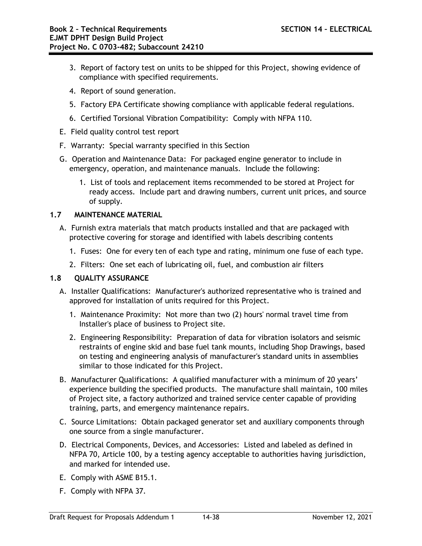- 3. Report of factory test on units to be shipped for this Project, showing evidence of compliance with specified requirements.
- 4. Report of sound generation.
- 5. Factory EPA Certificate showing compliance with applicable federal regulations.
- 6. Certified Torsional Vibration Compatibility: Comply with NFPA 110.
- E. Field quality control test report
- F. Warranty: Special warranty specified in this Section
- G. Operation and Maintenance Data: For packaged engine generator to include in emergency, operation, and maintenance manuals. Include the following:
	- 1. List of tools and replacement items recommended to be stored at Project for ready access. Include part and drawing numbers, current unit prices, and source of supply.

# **1.7 MAINTENANCE MATERIAL**

- A. Furnish extra materials that match products installed and that are packaged with protective covering for storage and identified with labels describing contents
	- 1. Fuses: One for every ten of each type and rating, minimum one fuse of each type.
	- 2. Filters: One set each of lubricating oil, fuel, and combustion air filters

## **1.8 QUALITY ASSURANCE**

- A. Installer Qualifications: Manufacturer's authorized representative who is trained and approved for installation of units required for this Project.
	- 1. Maintenance Proximity: Not more than two (2) hours' normal travel time from Installer's place of business to Project site.
	- 2. Engineering Responsibility: Preparation of data for vibration isolators and seismic restraints of engine skid and base fuel tank mounts, including Shop Drawings, based on testing and engineering analysis of manufacturer's standard units in assemblies similar to those indicated for this Project.
- B. Manufacturer Qualifications: A qualified manufacturer with a minimum of 20 years' experience building the specified products. The manufacture shall maintain, 100 miles of Project site, a factory authorized and trained service center capable of providing training, parts, and emergency maintenance repairs.
- C. Source Limitations: Obtain packaged generator set and auxiliary components through one source from a single manufacturer.
- D. Electrical Components, Devices, and Accessories: Listed and labeled as defined in NFPA 70, Article 100, by a testing agency acceptable to authorities having jurisdiction, and marked for intended use.
- E. Comply with ASME B15.1.
- F. Comply with NFPA 37.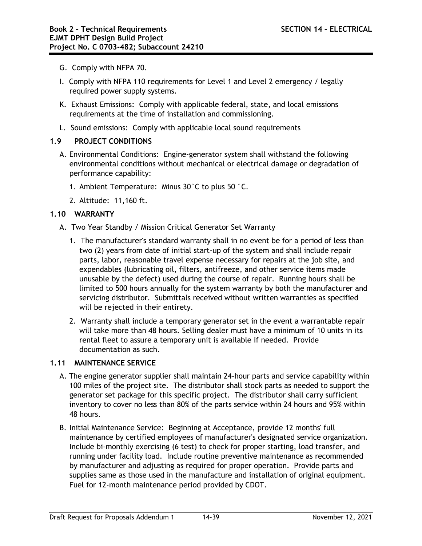- G. Comply with NFPA 70.
- I. Comply with NFPA 110 requirements for Level 1 and Level 2 emergency / legally required power supply systems.
- K. Exhaust Emissions: Comply with applicable federal, state, and local emissions requirements at the time of installation and commissioning.
- L. Sound emissions: Comply with applicable local sound requirements

# **1.9 PROJECT CONDITIONS**

- A. Environmental Conditions: Engine-generator system shall withstand the following environmental conditions without mechanical or electrical damage or degradation of performance capability:
	- 1. Ambient Temperature: Minus 30°C to plus 50 °C.
	- 2. Altitude: 11,160 ft.

# **1.10 WARRANTY**

- A. Two Year Standby / Mission Critical Generator Set Warranty
	- 1. The manufacturer's standard warranty shall in no event be for a period of less than two (2) years from date of initial start-up of the system and shall include repair parts, labor, reasonable travel expense necessary for repairs at the job site, and expendables (lubricating oil, filters, antifreeze, and other service items made unusable by the defect) used during the course of repair. Running hours shall be limited to 500 hours annually for the system warranty by both the manufacturer and servicing distributor. Submittals received without written warranties as specified will be rejected in their entirety.
	- 2. Warranty shall include a temporary generator set in the event a warrantable repair will take more than 48 hours. Selling dealer must have a minimum of 10 units in its rental fleet to assure a temporary unit is available if needed. Provide documentation as such.

## **1.11 MAINTENANCE SERVICE**

- A. The engine generator supplier shall maintain 24-hour parts and service capability within 100 miles of the project site. The distributor shall stock parts as needed to support the generator set package for this specific project. The distributor shall carry sufficient inventory to cover no less than 80% of the parts service within 24 hours and 95% within 48 hours.
- B. Initial Maintenance Service: Beginning at Acceptance, provide 12 months' full maintenance by certified employees of manufacturer's designated service organization. Include bi-monthly exercising (6 test) to check for proper starting, load transfer, and running under facility load. Include routine preventive maintenance as recommended by manufacturer and adjusting as required for proper operation. Provide parts and supplies same as those used in the manufacture and installation of original equipment. Fuel for 12-month maintenance period provided by CDOT.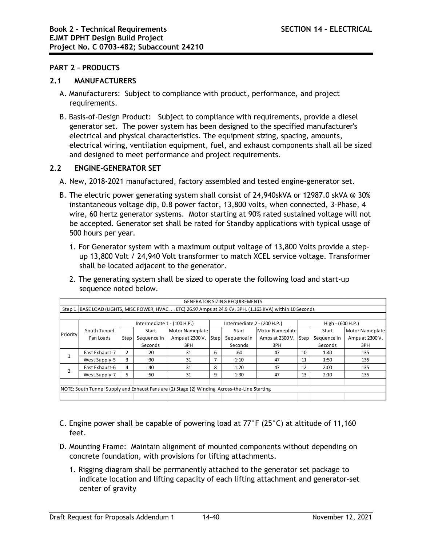### **PART 2 – PRODUCTS**

### **2.1 MANUFACTURERS**

- A. Manufacturers: Subject to compliance with product, performance, and project requirements.
- B. Basis-of-Design Product: Subject to compliance with requirements, provide a diesel generator set. The power system has been designed to the specified manufacturer's electrical and physical characteristics. The equipment sizing, spacing, amounts, electrical wiring, ventilation equipment, fuel, and exhaust components shall all be sized and designed to meet performance and project requirements.

## **2.2 ENGINE-GENERATOR SET**

- A. New, 2018-2021 manufactured, factory assembled and tested engine-generator set.
- B. The electric power generating system shall consist of 24,940skVA or 12987.0 skVA @ 30% instantaneous voltage dip, 0.8 power factor, 13,800 volts, when connected, 3-Phase, 4 wire, 60 hertz generator systems. Motor starting at 90% rated sustained voltage will not be accepted. Generator set shall be rated for Standby applications with typical usage of 500 hours per year.
	- 1. For Generator system with a maximum output voltage of 13,800 Volts provide a stepup 13,800 Volt / 24,940 Volt transformer to match XCEL service voltage. Transformer shall be located adjacent to the generator.
	- 2. The generating system shall be sized to operate the following load and start-up sequence noted below.

| <b>GENERATOR SIZING REQUIREMENTS</b>                                                                       |                |                             |             |                      |                             |             |                 |                   |             |                        |
|------------------------------------------------------------------------------------------------------------|----------------|-----------------------------|-------------|----------------------|-----------------------------|-------------|-----------------|-------------------|-------------|------------------------|
| Step 1 BASE LOAD (LIGHTS, MISC POWER, HVAC. ETC) 26.97 Amps at 24.9 KV, 3PH, (1,163 KVA) within 10 Seconds |                |                             |             |                      |                             |             |                 |                   |             |                        |
|                                                                                                            |                |                             |             |                      |                             |             |                 |                   |             |                        |
| Priority                                                                                                   |                | Intermediate 1 - (100 H.P.) |             |                      | Intermediate 2 - (200 H.P.) |             |                 | High - (600 H.P.) |             |                        |
|                                                                                                            | South Tunnel   |                             | Start       | Motor Nameplate      |                             | Start       | Motor Nameplate |                   | Start       | <b>Motor Nameplate</b> |
|                                                                                                            | Fan Loads      | Step                        | Sequence in | Amps at 2300 V, Step |                             | Sequence in | Amps at 2300 V, | <b>Step</b>       | Sequence in | Amps at 2300 V,        |
|                                                                                                            |                |                             | Seconds     | 3PH                  |                             | Seconds     | 3PH             |                   | Seconds     | 3PH                    |
|                                                                                                            | East Exhaust-7 | $\overline{2}$              | :20         | 31                   | 6                           | :60         | 47              | 10                | 1:40        | 135                    |
|                                                                                                            | West Supply-5  | 3                           | :30         | 31                   | 7                           | 1:10        | 47              | 11                | 1:50        | 135                    |
|                                                                                                            | East Exhaust-6 | 4                           | :40         | 31                   | 8                           | 1:20        | 47              | 12                | 2:00        | 135                    |
|                                                                                                            | West Supply-7  | 5                           | :50         | 31                   | 9                           | 1:30        | 47              | 13                | 2:10        | 135                    |
|                                                                                                            |                |                             |             |                      |                             |             |                 |                   |             |                        |
| NOTE: South Tunnel Supply and Exhaust Fans are (2) Stage (2) Winding Across-the-Line Starting              |                |                             |             |                      |                             |             |                 |                   |             |                        |
|                                                                                                            |                |                             |             |                      |                             |             |                 |                   |             |                        |

- C. Engine power shall be capable of powering load at 77°F (25°C) at altitude of 11,160 feet.
- D. Mounting Frame: Maintain alignment of mounted components without depending on concrete foundation, with provisions for lifting attachments.
	- 1. Rigging diagram shall be permanently attached to the generator set package to indicate location and lifting capacity of each lifting attachment and generator-set center of gravity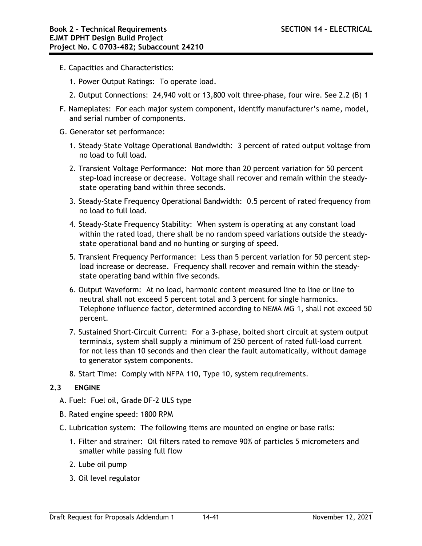- E. Capacities and Characteristics:
	- 1. Power Output Ratings: To operate load.
	- 2. Output Connections: 24,940 volt or 13,800 volt three-phase, four wire. See 2.2 (B) 1
- F. Nameplates: For each major system component, identify manufacturer's name, model, and serial number of components.
- G. Generator set performance:
	- 1. Steady-State Voltage Operational Bandwidth: 3 percent of rated output voltage from no load to full load.
	- 2. Transient Voltage Performance: Not more than 20 percent variation for 50 percent step-load increase or decrease. Voltage shall recover and remain within the steadystate operating band within three seconds.
	- 3. Steady-State Frequency Operational Bandwidth: 0.5 percent of rated frequency from no load to full load.
	- 4. Steady-State Frequency Stability: When system is operating at any constant load within the rated load, there shall be no random speed variations outside the steadystate operational band and no hunting or surging of speed.
	- 5. Transient Frequency Performance: Less than 5 percent variation for 50 percent stepload increase or decrease. Frequency shall recover and remain within the steadystate operating band within five seconds.
	- 6. Output Waveform: At no load, harmonic content measured line to line or line to neutral shall not exceed 5 percent total and 3 percent for single harmonics. Telephone influence factor, determined according to NEMA MG 1, shall not exceed 50 percent.
	- 7. Sustained Short-Circuit Current: For a 3-phase, bolted short circuit at system output terminals, system shall supply a minimum of 250 percent of rated full-load current for not less than 10 seconds and then clear the fault automatically, without damage to generator system components.
	- 8. Start Time: Comply with NFPA 110, Type 10, system requirements.

## **2.3 ENGINE**

- A. Fuel: Fuel oil, Grade DF-2 ULS type
- B. Rated engine speed: 1800 RPM
- C. Lubrication system: The following items are mounted on engine or base rails:
	- 1. Filter and strainer: Oil filters rated to remove 90% of particles 5 micrometers and smaller while passing full flow
	- 2. Lube oil pump
	- 3. Oil level regulator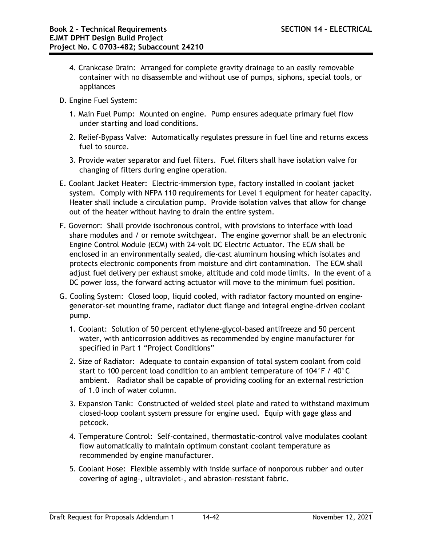- 4. Crankcase Drain: Arranged for complete gravity drainage to an easily removable container with no disassemble and without use of pumps, siphons, special tools, or appliances
- D. Engine Fuel System:
	- 1. Main Fuel Pump: Mounted on engine. Pump ensures adequate primary fuel flow under starting and load conditions.
	- 2. Relief-Bypass Valve: Automatically regulates pressure in fuel line and returns excess fuel to source.
	- 3. Provide water separator and fuel filters. Fuel filters shall have isolation valve for changing of filters during engine operation.
- E. Coolant Jacket Heater: Electric-immersion type, factory installed in coolant jacket system. Comply with NFPA 110 requirements for Level 1 equipment for heater capacity. Heater shall include a circulation pump. Provide isolation valves that allow for change out of the heater without having to drain the entire system.
- F. Governor: Shall provide isochronous control, with provisions to interface with load share modules and / or remote switchgear. The engine governor shall be an electronic Engine Control Module (ECM) with 24-volt DC Electric Actuator. The ECM shall be enclosed in an environmentally sealed, die-cast aluminum housing which isolates and protects electronic components from moisture and dirt contamination. The ECM shall adjust fuel delivery per exhaust smoke, altitude and cold mode limits. In the event of a DC power loss, the forward acting actuator will move to the minimum fuel position.
- G. Cooling System: Closed loop, liquid cooled, with radiator factory mounted on enginegenerator-set mounting frame, radiator duct flange and integral engine-driven coolant pump.
	- 1. Coolant: Solution of 50 percent ethylene-glycol-based antifreeze and 50 percent water, with anticorrosion additives as recommended by engine manufacturer for specified in Part 1 "Project Conditions"
	- 2. Size of Radiator: Adequate to contain expansion of total system coolant from cold start to 100 percent load condition to an ambient temperature of 104°F / 40°C ambient. Radiator shall be capable of providing cooling for an external restriction of 1.0 inch of water column.
	- 3. Expansion Tank: Constructed of welded steel plate and rated to withstand maximum closed-loop coolant system pressure for engine used. Equip with gage glass and petcock.
	- 4. Temperature Control: Self-contained, thermostatic-control valve modulates coolant flow automatically to maintain optimum constant coolant temperature as recommended by engine manufacturer.
	- 5. Coolant Hose: Flexible assembly with inside surface of nonporous rubber and outer covering of aging-, ultraviolet-, and abrasion-resistant fabric.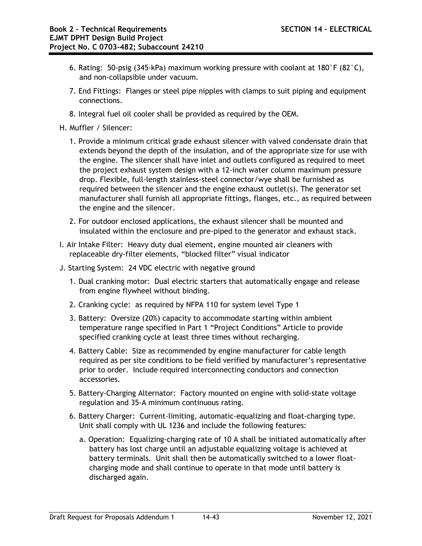- 6. Rating: 50-psig (345-kPa) maximum working pressure with coolant at 180°F (82°C), and non-collapsible under vacuum.
- 7. End Fittings: Flanges or steel pipe nipples with clamps to suit piping and equipment connections.
- 8. Integral fuel oil cooler shall be provided as required by the OEM.
- H. Muffler / Silencer:
	- 1. Provide a minimum critical grade exhaust silencer with valved condensate drain that extends beyond the depth of the insulation, and of the appropriate size for use with the engine. The silencer shall have inlet and outlets configured as required to meet the project exhaust system design with a 12-inch water column maximum pressure drop. Flexible, full-length stainless-steel connector/wye shall be furnished as required between the silencer and the engine exhaust outlet(s). The generator set manufacturer shall furnish all appropriate fittings, flanges, etc., as required between the engine and the silencer.
	- 2. For outdoor enclosed applications, the exhaust silencer shall be mounted and insulated within the enclosure and pre-piped to the generator and exhaust stack.
- I. Air Intake Filter: Heavy duty dual element, engine mounted air cleaners with replaceable dry-filter elements, "blocked filter" visual indicator
- J. Starting System: 24 VDC electric with negative ground
	- 1. Dual cranking motor: Dual electric starters that automatically engage and release from engine flywheel without binding.
	- 2. Cranking cycle: as required by NFPA 110 for system level Type 1
	- 3. Battery: Oversize (20%) capacity to accommodate starting within ambient temperature range specified in Part 1 "Project Conditions" Article to provide specified cranking cycle at least three times without recharging.
	- 4. Battery Cable: Size as recommended by engine manufacturer for cable length required as per site conditions to be field verified by manufacturer's representative prior to order. Include required interconnecting conductors and connection accessories.
	- 5. Battery-Charging Alternator: Factory mounted on engine with solid-state voltage regulation and 35-A minimum continuous rating.
	- 6. Battery Charger: Current-limiting, automatic-equalizing and float-charging type. Unit shall comply with UL 1236 and include the following features:
		- a. Operation: Equalizing-charging rate of 10 A shall be initiated automatically after battery has lost charge until an adjustable equalizing voltage is achieved at battery terminals. Unit shall then be automatically switched to a lower floatcharging mode and shall continue to operate in that mode until battery is discharged again.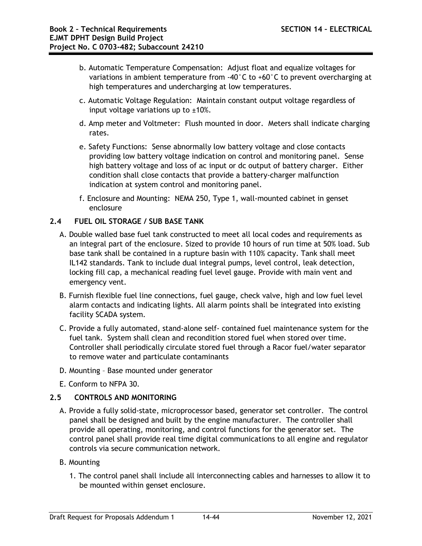- b. Automatic Temperature Compensation: Adjust float and equalize voltages for variations in ambient temperature from -40°C to +60°C to prevent overcharging at high temperatures and undercharging at low temperatures.
- c. Automatic Voltage Regulation: Maintain constant output voltage regardless of input voltage variations up to  $\pm 10\%$ .
- d. Amp meter and Voltmeter: Flush mounted in door. Meters shall indicate charging rates.
- e. Safety Functions: Sense abnormally low battery voltage and close contacts providing low battery voltage indication on control and monitoring panel. Sense high battery voltage and loss of ac input or dc output of battery charger. Either condition shall close contacts that provide a battery-charger malfunction indication at system control and monitoring panel.
- f. Enclosure and Mounting: NEMA 250, Type 1, wall-mounted cabinet in genset enclosure

# **2.4 FUEL OIL STORAGE / SUB BASE TANK**

- A. Double walled base fuel tank constructed to meet all local codes and requirements as an integral part of the enclosure. Sized to provide 10 hours of run time at 50% load. Sub base tank shall be contained in a rupture basin with 110% capacity. Tank shall meet IL142 standards. Tank to include dual integral pumps, level control, leak detection, locking fill cap, a mechanical reading fuel level gauge. Provide with main vent and emergency vent.
- B. Furnish flexible fuel line connections, fuel gauge, check valve, high and low fuel level alarm contacts and indicating lights. All alarm points shall be integrated into existing facility SCADA system.
- C. Provide a fully automated, stand-alone self- contained fuel maintenance system for the fuel tank. System shall clean and recondition stored fuel when stored over time. Controller shall periodically circulate stored fuel through a Racor fuel/water separator to remove water and particulate contaminants
- D. Mounting Base mounted under generator
- E. Conform to NFPA 30.

## **2.5 CONTROLS AND MONITORING**

- A. Provide a fully solid-state, microprocessor based, generator set controller. The control panel shall be designed and built by the engine manufacturer. The controller shall provide all operating, monitoring, and control functions for the generator set. The control panel shall provide real time digital communications to all engine and regulator controls via secure communication network.
- B. Mounting
	- 1. The control panel shall include all interconnecting cables and harnesses to allow it to be mounted within genset enclosure.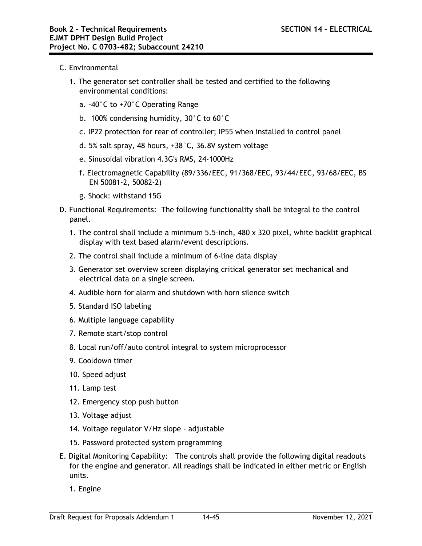- C. Environmental
	- 1. The generator set controller shall be tested and certified to the following environmental conditions:
		- a. -40°C to +70°C Operating Range
		- b. 100% condensing humidity, 30°C to 60°C
		- c. IP22 protection for rear of controller; IP55 when installed in control panel
		- d. 5% salt spray, 48 hours, +38°C, 36.8V system voltage
		- e. Sinusoidal vibration 4.3G's RMS, 24-1000Hz
		- f. Electromagnetic Capability (89/336/EEC, 91/368/EEC, 93/44/EEC, 93/68/EEC, BS EN 50081-2, 50082-2)
		- g. Shock: withstand 15G
- D. Functional Requirements: The following functionality shall be integral to the control panel.
	- 1. The control shall include a minimum 5.5-inch, 480 x 320 pixel, white backlit graphical display with text based alarm/event descriptions.
	- 2. The control shall include a minimum of 6-line data display
	- 3. Generator set overview screen displaying critical generator set mechanical and electrical data on a single screen.
	- 4. Audible horn for alarm and shutdown with horn silence switch
	- 5. Standard ISO labeling
	- 6. Multiple language capability
	- 7. Remote start/stop control
	- 8. Local run/off/auto control integral to system microprocessor
	- 9. Cooldown timer
	- 10. Speed adjust
	- 11. Lamp test
	- 12. Emergency stop push button
	- 13. Voltage adjust
	- 14. Voltage regulator V/Hz slope adjustable
	- 15. Password protected system programming
- E. Digital Monitoring Capability: The controls shall provide the following digital readouts for the engine and generator. All readings shall be indicated in either metric or English units.
	- 1. Engine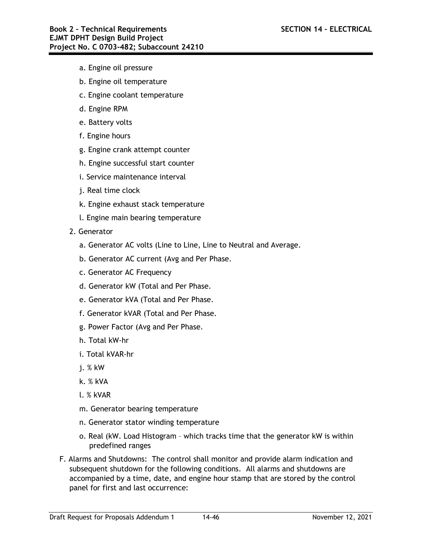- a. Engine oil pressure
- b. Engine oil temperature
- c. Engine coolant temperature
- d. Engine RPM
- e. Battery volts
- f. Engine hours
- g. Engine crank attempt counter
- h. Engine successful start counter
- i. Service maintenance interval
- j. Real time clock
- k. Engine exhaust stack temperature
- l. Engine main bearing temperature
- 2. Generator
	- a. Generator AC volts (Line to Line, Line to Neutral and Average.
	- b. Generator AC current (Avg and Per Phase.
	- c. Generator AC Frequency
	- d. Generator kW (Total and Per Phase.
	- e. Generator kVA (Total and Per Phase.
	- f. Generator kVAR (Total and Per Phase.
	- g. Power Factor (Avg and Per Phase.
	- h. Total kW-hr
	- i. Total kVAR-hr
	- j. % kW
	- k. % kVA
	- l. % kVAR
	- m. Generator bearing temperature
	- n. Generator stator winding temperature
	- o. Real (kW. Load Histogram which tracks time that the generator kW is within predefined ranges
- F. Alarms and Shutdowns: The control shall monitor and provide alarm indication and subsequent shutdown for the following conditions. All alarms and shutdowns are accompanied by a time, date, and engine hour stamp that are stored by the control panel for first and last occurrence: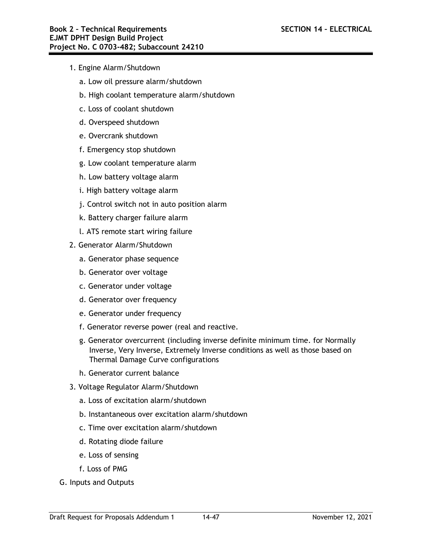- 1. Engine Alarm/Shutdown
	- a. Low oil pressure alarm/shutdown
	- b. High coolant temperature alarm/shutdown
	- c. Loss of coolant shutdown
	- d. Overspeed shutdown
	- e. Overcrank shutdown
	- f. Emergency stop shutdown
	- g. Low coolant temperature alarm
	- h. Low battery voltage alarm
	- i. High battery voltage alarm
	- j. Control switch not in auto position alarm
	- k. Battery charger failure alarm
	- l. ATS remote start wiring failure
- 2. Generator Alarm/Shutdown
	- a. Generator phase sequence
	- b. Generator over voltage
	- c. Generator under voltage
	- d. Generator over frequency
	- e. Generator under frequency
	- f. Generator reverse power (real and reactive.
	- g. Generator overcurrent (including inverse definite minimum time. for Normally Inverse, Very Inverse, Extremely Inverse conditions as well as those based on Thermal Damage Curve configurations
	- h. Generator current balance
- 3. Voltage Regulator Alarm/Shutdown
	- a. Loss of excitation alarm/shutdown
	- b. Instantaneous over excitation alarm/shutdown
	- c. Time over excitation alarm/shutdown
	- d. Rotating diode failure
	- e. Loss of sensing
	- f. Loss of PMG
- G. Inputs and Outputs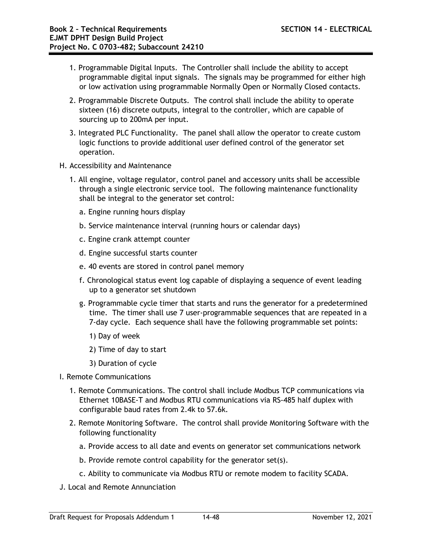- 1. Programmable Digital Inputs. The Controller shall include the ability to accept programmable digital input signals. The signals may be programmed for either high or low activation using programmable Normally Open or Normally Closed contacts.
- 2. Programmable Discrete Outputs. The control shall include the ability to operate sixteen (16) discrete outputs, integral to the controller, which are capable of sourcing up to 200mA per input.
- 3. Integrated PLC Functionality. The panel shall allow the operator to create custom logic functions to provide additional user defined control of the generator set operation.
- H. Accessibility and Maintenance
	- 1. All engine, voltage regulator, control panel and accessory units shall be accessible through a single electronic service tool. The following maintenance functionality shall be integral to the generator set control:
		- a. Engine running hours display
		- b. Service maintenance interval (running hours or calendar days)
		- c. Engine crank attempt counter
		- d. Engine successful starts counter
		- e. 40 events are stored in control panel memory
		- f. Chronological status event log capable of displaying a sequence of event leading up to a generator set shutdown
		- g. Programmable cycle timer that starts and runs the generator for a predetermined time. The timer shall use 7 user-programmable sequences that are repeated in a 7-day cycle. Each sequence shall have the following programmable set points:
			- 1) Day of week
			- 2) Time of day to start
			- 3) Duration of cycle
- I. Remote Communications
	- 1. Remote Communications. The control shall include Modbus TCP communications via Ethernet 10BASE-T and Modbus RTU communications via RS-485 half duplex with configurable baud rates from 2.4k to 57.6k.
	- 2. Remote Monitoring Software. The control shall provide Monitoring Software with the following functionality
		- a. Provide access to all date and events on generator set communications network
		- b. Provide remote control capability for the generator set(s).
		- c. Ability to communicate via Modbus RTU or remote modem to facility SCADA.
- J. Local and Remote Annunciation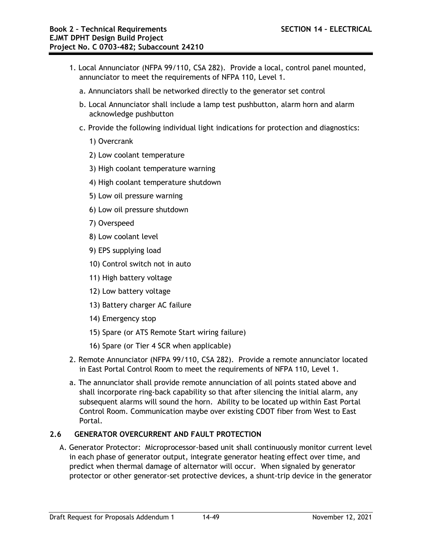- 1. Local Annunciator (NFPA 99/110, CSA 282). Provide a local, control panel mounted, annunciator to meet the requirements of NFPA 110, Level 1.
	- a. Annunciators shall be networked directly to the generator set control
	- b. Local Annunciator shall include a lamp test pushbutton, alarm horn and alarm acknowledge pushbutton
	- c. Provide the following individual light indications for protection and diagnostics:
		- 1) Overcrank
		- 2) Low coolant temperature
		- 3) High coolant temperature warning
		- 4) High coolant temperature shutdown
		- 5) Low oil pressure warning
		- 6) Low oil pressure shutdown
		- 7) Overspeed
		- 8) Low coolant level
		- 9) EPS supplying load
		- 10) Control switch not in auto
		- 11) High battery voltage
		- 12) Low battery voltage
		- 13) Battery charger AC failure
		- 14) Emergency stop
		- 15) Spare (or ATS Remote Start wiring failure)
		- 16) Spare (or Tier 4 SCR when applicable)
- 2. Remote Annunciator (NFPA 99/110, CSA 282). Provide a remote annunciator located in East Portal Control Room to meet the requirements of NFPA 110, Level 1.
- a. The annunciator shall provide remote annunciation of all points stated above and shall incorporate ring-back capability so that after silencing the initial alarm, any subsequent alarms will sound the horn. Ability to be located up within East Portal Control Room. Communication maybe over existing CDOT fiber from West to East Portal.

# **2.6 GENERATOR OVERCURRENT AND FAULT PROTECTION**

A. Generator Protector: Microprocessor-based unit shall continuously monitor current level in each phase of generator output, integrate generator heating effect over time, and predict when thermal damage of alternator will occur. When signaled by generator protector or other generator-set protective devices, a shunt-trip device in the generator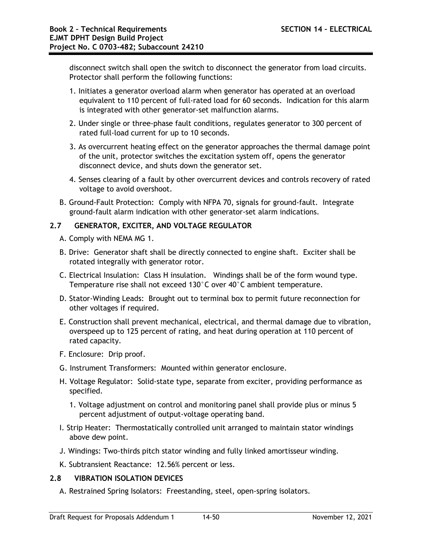disconnect switch shall open the switch to disconnect the generator from load circuits. Protector shall perform the following functions:

- 1. Initiates a generator overload alarm when generator has operated at an overload equivalent to 110 percent of full-rated load for 60 seconds. Indication for this alarm is integrated with other generator-set malfunction alarms.
- 2. Under single or three-phase fault conditions, regulates generator to 300 percent of rated full-load current for up to 10 seconds.
- 3. As overcurrent heating effect on the generator approaches the thermal damage point of the unit, protector switches the excitation system off, opens the generator disconnect device, and shuts down the generator set.
- 4. Senses clearing of a fault by other overcurrent devices and controls recovery of rated voltage to avoid overshoot.
- B. Ground-Fault Protection: Comply with NFPA 70, signals for ground-fault. Integrate ground-fault alarm indication with other generator-set alarm indications.

## **2.7 GENERATOR, EXCITER, AND VOLTAGE REGULATOR**

- A. Comply with NEMA MG 1.
- B. Drive: Generator shaft shall be directly connected to engine shaft. Exciter shall be rotated integrally with generator rotor.
- C. Electrical Insulation: Class H insulation. Windings shall be of the form wound type. Temperature rise shall not exceed 130°C over 40°C ambient temperature.
- D. Stator-Winding Leads: Brought out to terminal box to permit future reconnection for other voltages if required.
- E. Construction shall prevent mechanical, electrical, and thermal damage due to vibration, overspeed up to 125 percent of rating, and heat during operation at 110 percent of rated capacity.
- F. Enclosure: Drip proof.
- G. Instrument Transformers: Mounted within generator enclosure.
- H. Voltage Regulator: Solid-state type, separate from exciter, providing performance as specified.
	- 1. Voltage adjustment on control and monitoring panel shall provide plus or minus 5 percent adjustment of output-voltage operating band.
- I. Strip Heater: Thermostatically controlled unit arranged to maintain stator windings above dew point.
- J. Windings: Two-thirds pitch stator winding and fully linked amortisseur winding.
- K. Subtransient Reactance: 12.56% percent or less.

# **2.8 VIBRATION ISOLATION DEVICES**

A. Restrained Spring Isolators: Freestanding, steel, open-spring isolators.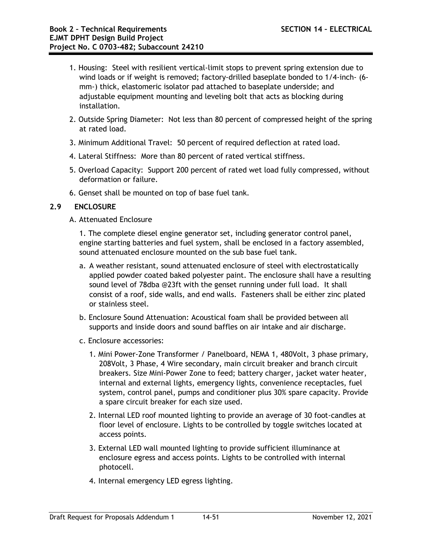- 1. Housing: Steel with resilient vertical-limit stops to prevent spring extension due to wind loads or if weight is removed; factory-drilled baseplate bonded to 1/4-inch- (6 mm-) thick, elastomeric isolator pad attached to baseplate underside; and adjustable equipment mounting and leveling bolt that acts as blocking during installation.
- 2. Outside Spring Diameter: Not less than 80 percent of compressed height of the spring at rated load.
- 3. Minimum Additional Travel: 50 percent of required deflection at rated load.
- 4. Lateral Stiffness: More than 80 percent of rated vertical stiffness.
- 5. Overload Capacity: Support 200 percent of rated wet load fully compressed, without deformation or failure.
- 6. Genset shall be mounted on top of base fuel tank.

# **2.9 ENCLOSURE**

## A. Attenuated Enclosure

1. The complete diesel engine generator set, including generator control panel, engine starting batteries and fuel system, shall be enclosed in a factory assembled, sound attenuated enclosure mounted on the sub base fuel tank.

- a. A weather resistant, sound attenuated enclosure of steel with electrostatically applied powder coated baked polyester paint. The enclosure shall have a resulting sound level of 78dba @23ft with the genset running under full load. It shall consist of a roof, side walls, and end walls. Fasteners shall be either zinc plated or stainless steel.
- b. Enclosure Sound Attenuation: Acoustical foam shall be provided between all supports and inside doors and sound baffles on air intake and air discharge.
- c. Enclosure accessories:
	- 1. Mini Power-Zone Transformer / Panelboard, NEMA 1, 480Volt, 3 phase primary, 208Volt, 3 Phase, 4 Wire secondary, main circuit breaker and branch circuit breakers. Size Mini-Power Zone to feed; battery charger, jacket water heater, internal and external lights, emergency lights, convenience receptacles, fuel system, control panel, pumps and conditioner plus 30% spare capacity. Provide a spare circuit breaker for each size used.
	- 2. Internal LED roof mounted lighting to provide an average of 30 foot-candles at floor level of enclosure. Lights to be controlled by toggle switches located at access points.
	- 3. External LED wall mounted lighting to provide sufficient illuminance at enclosure egress and access points. Lights to be controlled with internal photocell.
	- 4. Internal emergency LED egress lighting.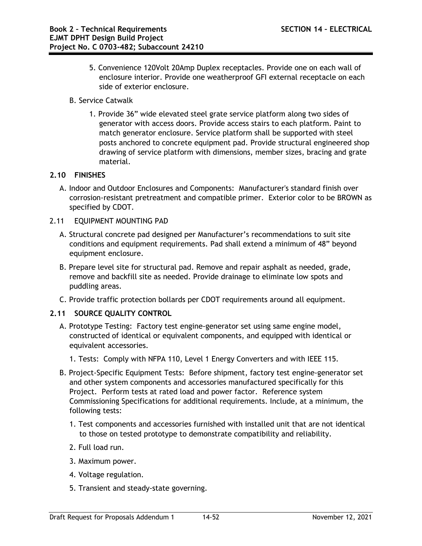- 5. Convenience 120Volt 20Amp Duplex receptacles. Provide one on each wall of enclosure interior. Provide one weatherproof GFI external receptacle on each side of exterior enclosure.
- B. Service Catwalk
	- 1. Provide 36" wide elevated steel grate service platform along two sides of generator with access doors. Provide access stairs to each platform. Paint to match generator enclosure. Service platform shall be supported with steel posts anchored to concrete equipment pad. Provide structural engineered shop drawing of service platform with dimensions, member sizes, bracing and grate material.

# **2.10 FINISHES**

- A. Indoor and Outdoor Enclosures and Components: Manufacturer's standard finish over corrosion-resistant pretreatment and compatible primer. Exterior color to be BROWN as specified by CDOT.
- 2.11 EQUIPMENT MOUNTING PAD
	- A. Structural concrete pad designed per Manufacturer's recommendations to suit site conditions and equipment requirements. Pad shall extend a minimum of 48" beyond equipment enclosure.
	- B. Prepare level site for structural pad. Remove and repair asphalt as needed, grade, remove and backfill site as needed. Provide drainage to eliminate low spots and puddling areas.
	- C. Provide traffic protection bollards per CDOT requirements around all equipment.

# **2.11 SOURCE QUALITY CONTROL**

- A. Prototype Testing: Factory test engine-generator set using same engine model, constructed of identical or equivalent components, and equipped with identical or equivalent accessories.
	- 1. Tests: Comply with NFPA 110, Level 1 Energy Converters and with IEEE 115.
- B. Project-Specific Equipment Tests: Before shipment, factory test engine-generator set and other system components and accessories manufactured specifically for this Project. Perform tests at rated load and power factor. Reference system Commissioning Specifications for additional requirements. Include, at a minimum, the following tests:
	- 1. Test components and accessories furnished with installed unit that are not identical to those on tested prototype to demonstrate compatibility and reliability.
	- 2. Full load run.
	- 3. Maximum power.
	- 4. Voltage regulation.
	- 5. Transient and steady-state governing.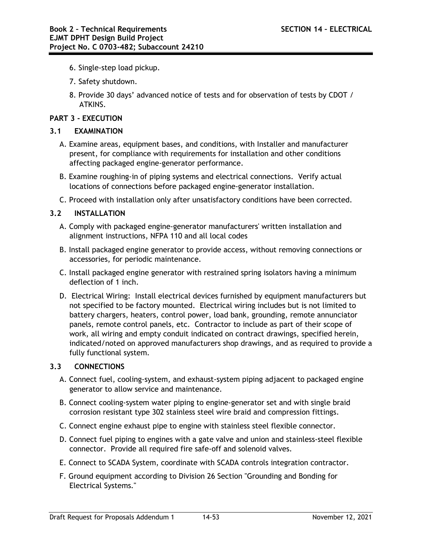- 6. Single-step load pickup.
- 7. Safety shutdown.
- 8. Provide 30 days' advanced notice of tests and for observation of tests by CDOT / ATKINS.

# **PART 3 - EXECUTION**

# **3.1 EXAMINATION**

- A. Examine areas, equipment bases, and conditions, with Installer and manufacturer present, for compliance with requirements for installation and other conditions affecting packaged engine-generator performance.
- B. Examine roughing-in of piping systems and electrical connections. Verify actual locations of connections before packaged engine-generator installation.
- C. Proceed with installation only after unsatisfactory conditions have been corrected.

# **3.2 INSTALLATION**

- A. Comply with packaged engine-generator manufacturers' written installation and alignment instructions, NFPA 110 and all local codes
- B. Install packaged engine generator to provide access, without removing connections or accessories, for periodic maintenance.
- C. Install packaged engine generator with restrained spring isolators having a minimum deflection of 1 inch.
- D. Electrical Wiring: Install electrical devices furnished by equipment manufacturers but not specified to be factory mounted. Electrical wiring includes but is not limited to battery chargers, heaters, control power, load bank, grounding, remote annunciator panels, remote control panels, etc. Contractor to include as part of their scope of work, all wiring and empty conduit indicated on contract drawings, specified herein, indicated/noted on approved manufacturers shop drawings, and as required to provide a fully functional system.

## **3.3 CONNECTIONS**

- A. Connect fuel, cooling-system, and exhaust-system piping adjacent to packaged engine generator to allow service and maintenance.
- B. Connect cooling-system water piping to engine-generator set and with single braid corrosion resistant type 302 stainless steel wire braid and compression fittings.
- C. Connect engine exhaust pipe to engine with stainless steel flexible connector.
- D. Connect fuel piping to engines with a gate valve and union and stainless-steel flexible connector. Provide all required fire safe-off and solenoid valves.
- E. Connect to SCADA System, coordinate with SCADA controls integration contractor.
- F. Ground equipment according to Division 26 Section "Grounding and Bonding for Electrical Systems."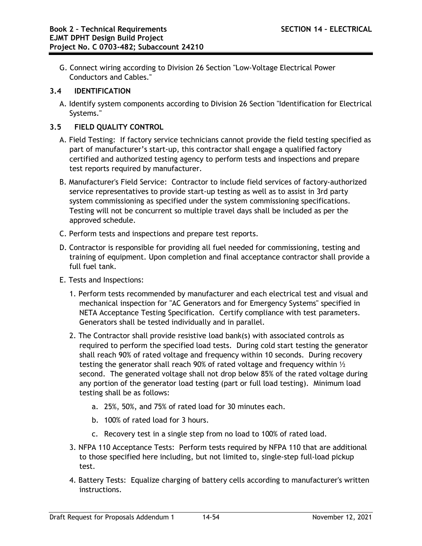G. Connect wiring according to Division 26 Section "Low-Voltage Electrical Power Conductors and Cables."

# **3.4 IDENTIFICATION**

A. Identify system components according to Division 26 Section "Identification for Electrical Systems."

# **3.5 FIELD QUALITY CONTROL**

- A. Field Testing: If factory service technicians cannot provide the field testing specified as part of manufacturer's start-up, this contractor shall engage a qualified factory certified and authorized testing agency to perform tests and inspections and prepare test reports required by manufacturer.
- B. Manufacturer's Field Service: Contractor to include field services of factory-authorized service representatives to provide start-up testing as well as to assist in 3rd party system commissioning as specified under the system commissioning specifications. Testing will not be concurrent so multiple travel days shall be included as per the approved schedule.
- C. Perform tests and inspections and prepare test reports.
- D. Contractor is responsible for providing all fuel needed for commissioning, testing and training of equipment. Upon completion and final acceptance contractor shall provide a full fuel tank.
- E. Tests and Inspections:
	- 1. Perform tests recommended by manufacturer and each electrical test and visual and mechanical inspection for "AC Generators and for Emergency Systems" specified in NETA Acceptance Testing Specification. Certify compliance with test parameters. Generators shall be tested individually and in parallel.
	- 2. The Contractor shall provide resistive load bank(s) with associated controls as required to perform the specified load tests. During cold start testing the generator shall reach 90% of rated voltage and frequency within 10 seconds. During recovery testing the generator shall reach 90% of rated voltage and frequency within ½ second. The generated voltage shall not drop below 85% of the rated voltage during any portion of the generator load testing (part or full load testing). Minimum load testing shall be as follows:
		- a. 25%, 50%, and 75% of rated load for 30 minutes each.
		- b. 100% of rated load for 3 hours.
		- c. Recovery test in a single step from no load to 100% of rated load.
	- 3. NFPA 110 Acceptance Tests: Perform tests required by NFPA 110 that are additional to those specified here including, but not limited to, single-step full-load pickup test.
	- 4. Battery Tests: Equalize charging of battery cells according to manufacturer's written instructions.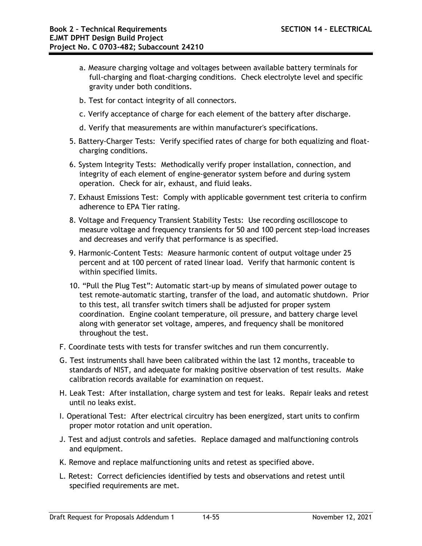- a. Measure charging voltage and voltages between available battery terminals for full-charging and float-charging conditions. Check electrolyte level and specific gravity under both conditions.
- b. Test for contact integrity of all connectors.
- c. Verify acceptance of charge for each element of the battery after discharge.
- d. Verify that measurements are within manufacturer's specifications.
- 5. Battery-Charger Tests: Verify specified rates of charge for both equalizing and floatcharging conditions.
- 6. System Integrity Tests: Methodically verify proper installation, connection, and integrity of each element of engine-generator system before and during system operation. Check for air, exhaust, and fluid leaks.
- 7. Exhaust Emissions Test: Comply with applicable government test criteria to confirm adherence to EPA Tier rating.
- 8. Voltage and Frequency Transient Stability Tests: Use recording oscilloscope to measure voltage and frequency transients for 50 and 100 percent step-load increases and decreases and verify that performance is as specified.
- 9. Harmonic-Content Tests: Measure harmonic content of output voltage under 25 percent and at 100 percent of rated linear load. Verify that harmonic content is within specified limits.
- 10. "Pull the Plug Test": Automatic start-up by means of simulated power outage to test remote-automatic starting, transfer of the load, and automatic shutdown. Prior to this test, all transfer switch timers shall be adjusted for proper system coordination. Engine coolant temperature, oil pressure, and battery charge level along with generator set voltage, amperes, and frequency shall be monitored throughout the test.
- F. Coordinate tests with tests for transfer switches and run them concurrently.
- G. Test instruments shall have been calibrated within the last 12 months, traceable to standards of NIST, and adequate for making positive observation of test results. Make calibration records available for examination on request.
- H. Leak Test: After installation, charge system and test for leaks. Repair leaks and retest until no leaks exist.
- I. Operational Test: After electrical circuitry has been energized, start units to confirm proper motor rotation and unit operation.
- J. Test and adjust controls and safeties. Replace damaged and malfunctioning controls and equipment.
- K. Remove and replace malfunctioning units and retest as specified above.
- L. Retest: Correct deficiencies identified by tests and observations and retest until specified requirements are met.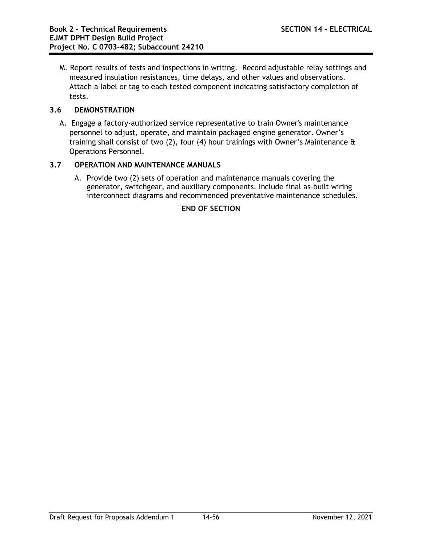M. Report results of tests and inspections in writing. Record adjustable relay settings and measured insulation resistances, time delays, and other values and observations. Attach a label or tag to each tested component indicating satisfactory completion of tests.

# **3.6 DEMONSTRATION**

A. Engage a factory-authorized service representative to train Owner's maintenance personnel to adjust, operate, and maintain packaged engine generator. Owner's training shall consist of two  $(2)$ , four  $(4)$  hour trainings with Owner's Maintenance  $\theta$ Operations Personnel.

## **3.7 OPERATION AND MAINTENANCE MANUALS**

A. Provide two (2) sets of operation and maintenance manuals covering the generator, switchgear, and auxiliary components. Include final as-built wiring interconnect diagrams and recommended preventative maintenance schedules.

# **END OF SECTION**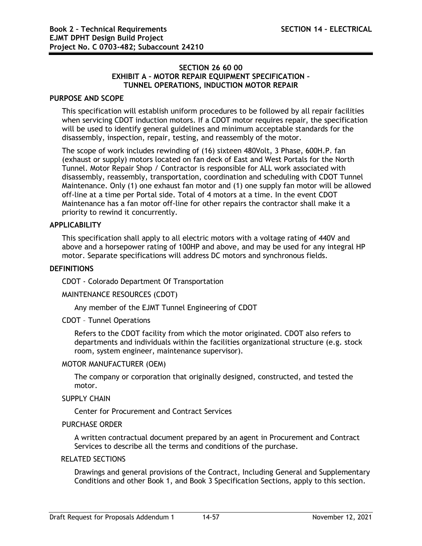### **SECTION 26 60 00 EXHIBIT A – MOTOR REPAIR EQUIPMENT SPECIFICATION – TUNNEL OPERATIONS, INDUCTION MOTOR REPAIR**

### **PURPOSE AND SCOPE**

This specification will establish uniform procedures to be followed by all repair facilities when servicing CDOT induction motors. If a CDOT motor requires repair, the specification will be used to identify general guidelines and minimum acceptable standards for the disassembly, inspection, repair, testing, and reassembly of the motor.

The scope of work includes rewinding of (16) sixteen 480Volt, 3 Phase, 600H.P. fan (exhaust or supply) motors located on fan deck of East and West Portals for the North Tunnel. Motor Repair Shop / Contractor is responsible for ALL work associated with disassembly, reassembly, transportation, coordination and scheduling with CDOT Tunnel Maintenance. Only (1) one exhaust fan motor and (1) one supply fan motor will be allowed off-line at a time per Portal side. Total of 4 motors at a time. In the event CDOT Maintenance has a fan motor off-line for other repairs the contractor shall make it a priority to rewind it concurrently.

## **APPLICABILITY**

This specification shall apply to all electric motors with a voltage rating of 440V and above and a horsepower rating of 100HP and above, and may be used for any integral HP motor. Separate specifications will address DC motors and synchronous fields.

#### **DEFINITIONS**

CDOT - Colorado Department Of Transportation

#### MAINTENANCE RESOURCES (CDOT)

Any member of the EJMT Tunnel Engineering of CDOT

#### CDOT – Tunnel Operations

Refers to the CDOT facility from which the motor originated. CDOT also refers to departments and individuals within the facilities organizational structure (e.g. stock room, system engineer, maintenance supervisor).

### MOTOR MANUFACTURER (OEM)

The company or corporation that originally designed, constructed, and tested the motor.

### SUPPLY CHAIN

Center for Procurement and Contract Services

#### PURCHASE ORDER

A written contractual document prepared by an agent in Procurement and Contract Services to describe all the terms and conditions of the purchase.

### RELATED SECTIONS

Drawings and general provisions of the Contract, Including General and Supplementary Conditions and other Book 1, and Book 3 Specification Sections, apply to this section.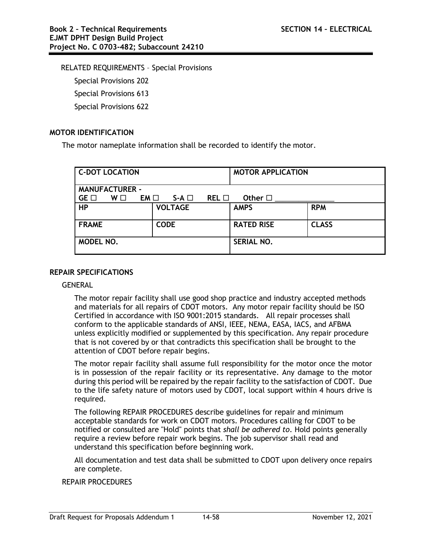RELATED REQUIREMENTS – Special Provisions

Special Provisions 202 Special Provisions 613

Special Provisions 622

# **MOTOR IDENTIFICATION**

The motor nameplate information shall be recorded to identify the motor.

|                       | <b>C-DOT LOCATION</b> |      |                |                 | <b>MOTOR APPLICATION</b> |              |  |  |
|-----------------------|-----------------------|------|----------------|-----------------|--------------------------|--------------|--|--|
| <b>MANUFACTURER -</b> |                       |      |                |                 |                          |              |  |  |
| $GE \Box$             | W□                    | EM O | $S-A \square$  | $REL$ $\square$ | Other $\square$          |              |  |  |
| <b>HP</b>             |                       |      | <b>VOLTAGE</b> |                 | <b>AMPS</b>              | <b>RPM</b>   |  |  |
| <b>FRAME</b>          |                       |      | <b>CODE</b>    |                 | <b>RATED RISE</b>        | <b>CLASS</b> |  |  |
| MODEL NO.             |                       |      |                |                 | <b>SERIAL NO.</b>        |              |  |  |

### **REPAIR SPECIFICATIONS**

**GENERAL** 

The motor repair facility shall use good shop practice and industry accepted methods and materials for all repairs of CDOT motors. Any motor repair facility should be ISO Certified in accordance with ISO 9001:2015 standards. All repair processes shall conform to the applicable standards of ANSI, IEEE, NEMA, EASA, IACS, and AFBMA unless explicitly modified or supplemented by this specification. Any repair procedure that is not covered by or that contradicts this specification shall be brought to the attention of CDOT before repair begins.

The motor repair facility shall assume full responsibility for the motor once the motor is in possession of the repair facility or its representative. Any damage to the motor during this period will be repaired by the repair facility to the satisfaction of CDOT. Due to the life safety nature of motors used by CDOT, local support within 4 hours drive is required.

The following REPAIR PROCEDURES describe guidelines for repair and minimum acceptable standards for work on CDOT motors. Procedures calling for CDOT to be notified or consulted are "Hold" points that *shall be adhered to*. Hold points generally require a review before repair work begins. The job supervisor shall read and understand this specification before beginning work.

All documentation and test data shall be submitted to CDOT upon delivery once repairs are complete.

## REPAIR PROCEDURES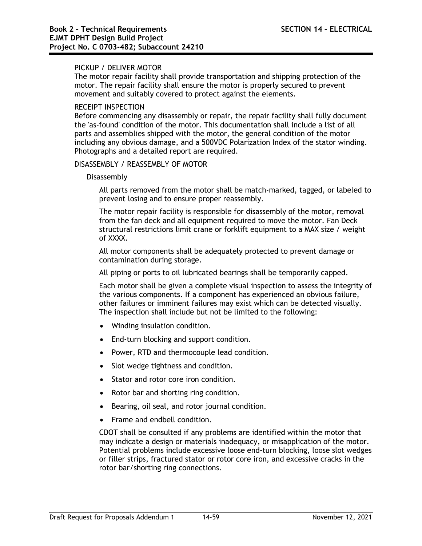### PICKUP / DELIVER MOTOR

The motor repair facility shall provide transportation and shipping protection of the motor. The repair facility shall ensure the motor is properly secured to prevent movement and suitably covered to protect against the elements.

### RECEIPT INSPECTION

Before commencing any disassembly or repair, the repair facility shall fully document the 'as-found' condition of the motor. This documentation shall include a list of all parts and assemblies shipped with the motor, the general condition of the motor including any obvious damage, and a 500VDC Polarization Index of the stator winding. Photographs and a detailed report are required.

### DISASSEMBLY / REASSEMBLY OF MOTOR

#### Disassembly

All parts removed from the motor shall be match-marked, tagged, or labeled to prevent losing and to ensure proper reassembly.

The motor repair facility is responsible for disassembly of the motor, removal from the fan deck and all equipment required to move the motor. Fan Deck structural restrictions limit crane or forklift equipment to a MAX size / weight of XXXX.

All motor components shall be adequately protected to prevent damage or contamination during storage.

All piping or ports to oil lubricated bearings shall be temporarily capped.

Each motor shall be given a complete visual inspection to assess the integrity of the various components. If a component has experienced an obvious failure, other failures or imminent failures may exist which can be detected visually. The inspection shall include but not be limited to the following:

- Winding insulation condition.
- End-turn blocking and support condition.
- Power, RTD and thermocouple lead condition.
- Slot wedge tightness and condition.
- Stator and rotor core iron condition.
- Rotor bar and shorting ring condition.
- Bearing, oil seal, and rotor journal condition.
- Frame and endbell condition.

CDOT shall be consulted if any problems are identified within the motor that may indicate a design or materials inadequacy, or misapplication of the motor. Potential problems include excessive loose end-turn blocking, loose slot wedges or filler strips, fractured stator or rotor core iron, and excessive cracks in the rotor bar/shorting ring connections.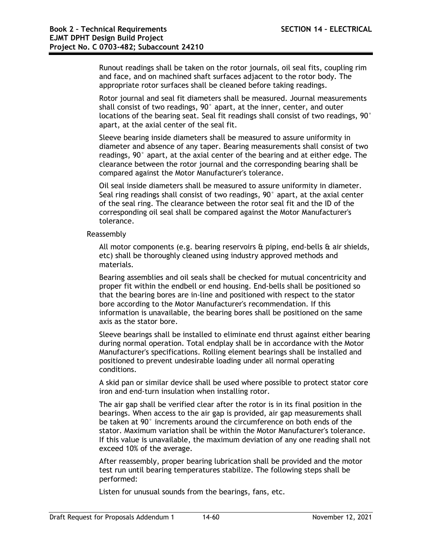Runout readings shall be taken on the rotor journals, oil seal fits, coupling rim and face, and on machined shaft surfaces adjacent to the rotor body. The appropriate rotor surfaces shall be cleaned before taking readings.

Rotor journal and seal fit diameters shall be measured. Journal measurements shall consist of two readings, 90° apart, at the inner, center, and outer locations of the bearing seat. Seal fit readings shall consist of two readings, 90° apart, at the axial center of the seal fit.

Sleeve bearing inside diameters shall be measured to assure uniformity in diameter and absence of any taper. Bearing measurements shall consist of two readings, 90° apart, at the axial center of the bearing and at either edge. The clearance between the rotor journal and the corresponding bearing shall be compared against the Motor Manufacturer's tolerance.

Oil seal inside diameters shall be measured to assure uniformity in diameter. Seal ring readings shall consist of two readings, 90° apart, at the axial center of the seal ring. The clearance between the rotor seal fit and the ID of the corresponding oil seal shall be compared against the Motor Manufacturer's tolerance.

Reassembly

All motor components (e.g. bearing reservoirs & piping, end-bells & air shields, etc) shall be thoroughly cleaned using industry approved methods and materials.

Bearing assemblies and oil seals shall be checked for mutual concentricity and proper fit within the endbell or end housing. End-bells shall be positioned so that the bearing bores are in-line and positioned with respect to the stator bore according to the Motor Manufacturer's recommendation. If this information is unavailable, the bearing bores shall be positioned on the same axis as the stator bore.

Sleeve bearings shall be installed to eliminate end thrust against either bearing during normal operation. Total endplay shall be in accordance with the Motor Manufacturer's specifications. Rolling element bearings shall be installed and positioned to prevent undesirable loading under all normal operating conditions.

A skid pan or similar device shall be used where possible to protect stator core iron and end-turn insulation when installing rotor.

The air gap shall be verified clear after the rotor is in its final position in the bearings. When access to the air gap is provided, air gap measurements shall be taken at 90° increments around the circumference on both ends of the stator. Maximum variation shall be within the Motor Manufacturer's tolerance. If this value is unavailable, the maximum deviation of any one reading shall not exceed 10% of the average.

After reassembly, proper bearing lubrication shall be provided and the motor test run until bearing temperatures stabilize. The following steps shall be performed:

Listen for unusual sounds from the bearings, fans, etc.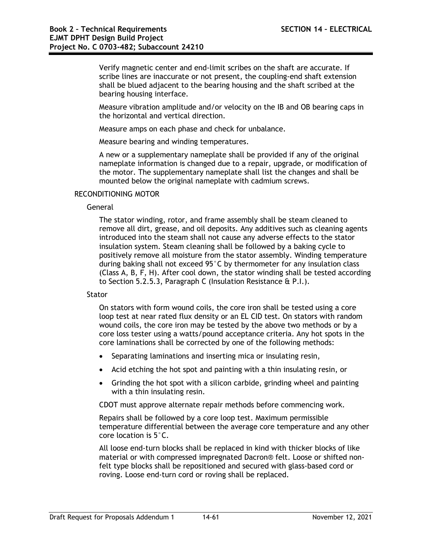Verify magnetic center and end-limit scribes on the shaft are accurate. If scribe lines are inaccurate or not present, the coupling-end shaft extension shall be blued adjacent to the bearing housing and the shaft scribed at the bearing housing interface.

Measure vibration amplitude and/or velocity on the IB and OB bearing caps in the horizontal and vertical direction.

Measure amps on each phase and check for unbalance.

Measure bearing and winding temperatures.

A new or a supplementary nameplate shall be provided if any of the original nameplate information is changed due to a repair, upgrade, or modification of the motor. The supplementary nameplate shall list the changes and shall be mounted below the original nameplate with cadmium screws.

### RECONDITIONING MOTOR

#### General

The stator winding, rotor, and frame assembly shall be steam cleaned to remove all dirt, grease, and oil deposits. Any additives such as cleaning agents introduced into the steam shall not cause any adverse effects to the stator insulation system. Steam cleaning shall be followed by a baking cycle to positively remove all moisture from the stator assembly. Winding temperature during baking shall not exceed 95°C by thermometer for any insulation class (Class A, B, F, H). After cool down, the stator winding shall be tested according to Section 5.2.5.3, Paragraph C (Insulation Resistance & P.I.).

#### **Stator**

On stators with form wound coils, the core iron shall be tested using a core loop test at near rated flux density or an EL CID test. On stators with random wound coils, the core iron may be tested by the above two methods or by a core loss tester using a watts/pound acceptance criteria. Any hot spots in the core laminations shall be corrected by one of the following methods:

- Separating laminations and inserting mica or insulating resin,
- Acid etching the hot spot and painting with a thin insulating resin, or
- Grinding the hot spot with a silicon carbide, grinding wheel and painting with a thin insulating resin.

CDOT must approve alternate repair methods before commencing work.

Repairs shall be followed by a core loop test. Maximum permissible temperature differential between the average core temperature and any other core location is 5°C.

All loose end-turn blocks shall be replaced in kind with thicker blocks of like material or with compressed impregnated Dacron® felt. Loose or shifted nonfelt type blocks shall be repositioned and secured with glass-based cord or roving. Loose end-turn cord or roving shall be replaced.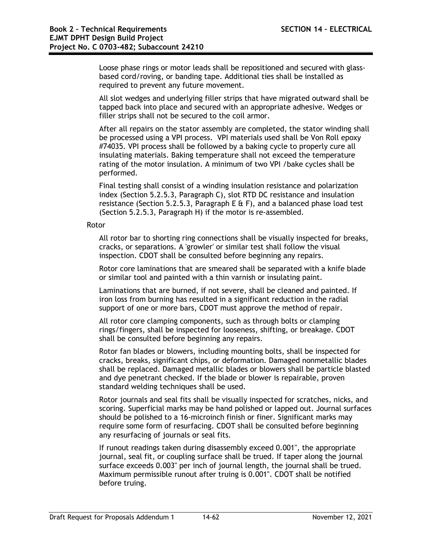Loose phase rings or motor leads shall be repositioned and secured with glassbased cord/roving, or banding tape. Additional ties shall be installed as required to prevent any future movement.

All slot wedges and underlying filler strips that have migrated outward shall be tapped back into place and secured with an appropriate adhesive. Wedges or filler strips shall not be secured to the coil armor.

After all repairs on the stator assembly are completed, the stator winding shall be processed using a VPI process. VPI materials used shall be Von Roll epoxy #74035. VPI process shall be followed by a baking cycle to properly cure all insulating materials. Baking temperature shall not exceed the temperature rating of the motor insulation. A minimum of two VPI /bake cycles shall be performed.

Final testing shall consist of a winding insulation resistance and polarization index (Section 5.2.5.3, Paragraph C), slot RTD DC resistance and insulation resistance (Section 5.2.5.3, Paragraph E  $\&$  F), and a balanced phase load test (Section 5.2.5.3, Paragraph H) if the motor is re-assembled.

### Rotor

All rotor bar to shorting ring connections shall be visually inspected for breaks, cracks, or separations. A 'growler' or similar test shall follow the visual inspection. CDOT shall be consulted before beginning any repairs.

Rotor core laminations that are smeared shall be separated with a knife blade or similar tool and painted with a thin varnish or insulating paint.

Laminations that are burned, if not severe, shall be cleaned and painted. If iron loss from burning has resulted in a significant reduction in the radial support of one or more bars, CDOT must approve the method of repair.

All rotor core clamping components, such as through bolts or clamping rings/fingers, shall be inspected for looseness, shifting, or breakage. CDOT shall be consulted before beginning any repairs.

Rotor fan blades or blowers, including mounting bolts, shall be inspected for cracks, breaks, significant chips, or deformation. Damaged nonmetallic blades shall be replaced. Damaged metallic blades or blowers shall be particle blasted and dye penetrant checked. If the blade or blower is repairable, proven standard welding techniques shall be used.

Rotor journals and seal fits shall be visually inspected for scratches, nicks, and scoring. Superficial marks may be hand polished or lapped out. Journal surfaces should be polished to a 16-microinch finish or finer. Significant marks may require some form of resurfacing. CDOT shall be consulted before beginning any resurfacing of journals or seal fits.

If runout readings taken during disassembly exceed 0.001", the appropriate journal, seal fit, or coupling surface shall be trued. If taper along the journal surface exceeds 0.003" per inch of journal length, the journal shall be trued. Maximum permissible runout after truing is 0.001". CDOT shall be notified before truing.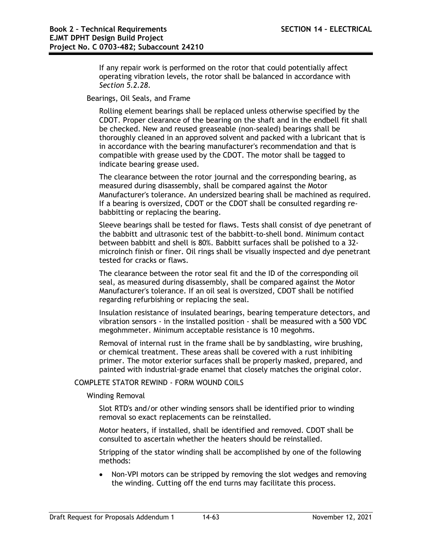If any repair work is performed on the rotor that could potentially affect operating vibration levels, the rotor shall be balanced in accordance with *Section 5.2.28*.

Bearings, Oil Seals, and Frame

Rolling element bearings shall be replaced unless otherwise specified by the CDOT. Proper clearance of the bearing on the shaft and in the endbell fit shall be checked. New and reused greaseable (non-sealed) bearings shall be thoroughly cleaned in an approved solvent and packed with a lubricant that is in accordance with the bearing manufacturer's recommendation and that is compatible with grease used by the CDOT. The motor shall be tagged to indicate bearing grease used.

The clearance between the rotor journal and the corresponding bearing, as measured during disassembly, shall be compared against the Motor Manufacturer's tolerance. An undersized bearing shall be machined as required. If a bearing is oversized, CDOT or the CDOT shall be consulted regarding rebabbitting or replacing the bearing.

Sleeve bearings shall be tested for flaws. Tests shall consist of dye penetrant of the babbitt and ultrasonic test of the babbitt-to-shell bond. Minimum contact between babbitt and shell is 80%. Babbitt surfaces shall be polished to a 32 microinch finish or finer. Oil rings shall be visually inspected and dye penetrant tested for cracks or flaws.

The clearance between the rotor seal fit and the ID of the corresponding oil seal, as measured during disassembly, shall be compared against the Motor Manufacturer's tolerance. If an oil seal is oversized, CDOT shall be notified regarding refurbishing or replacing the seal.

Insulation resistance of insulated bearings, bearing temperature detectors, and vibration sensors - in the installed position - shall be measured with a 500 VDC megohmmeter. Minimum acceptable resistance is 10 megohms.

Removal of internal rust in the frame shall be by sandblasting, wire brushing, or chemical treatment. These areas shall be covered with a rust inhibiting primer. The motor exterior surfaces shall be properly masked, prepared, and painted with industrial-grade enamel that closely matches the original color.

#### COMPLETE STATOR REWIND - FORM WOUND COILS

Winding Removal

Slot RTD's and/or other winding sensors shall be identified prior to winding removal so exact replacements can be reinstalled.

Motor heaters, if installed, shall be identified and removed. CDOT shall be consulted to ascertain whether the heaters should be reinstalled.

Stripping of the stator winding shall be accomplished by one of the following methods:

• Non-VPI motors can be stripped by removing the slot wedges and removing the winding. Cutting off the end turns may facilitate this process.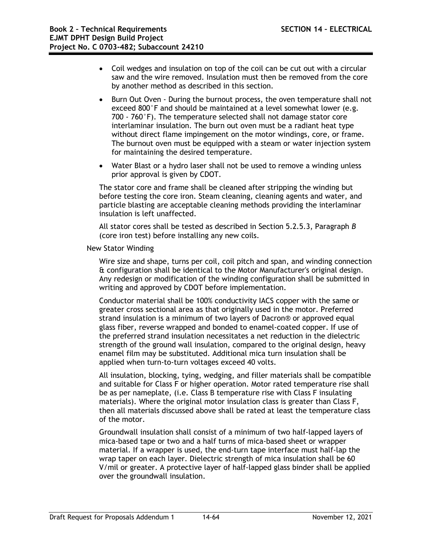- Coil wedges and insulation on top of the coil can be cut out with a circular saw and the wire removed. Insulation must then be removed from the core by another method as described in this section.
- Burn Out Oven During the burnout process, the oven temperature shall not exceed 800°F and should be maintained at a level somewhat lower (e.g. 700 - 760°F). The temperature selected shall not damage stator core interlaminar insulation. The burn out oven must be a radiant heat type without direct flame impingement on the motor windings, core, or frame. The burnout oven must be equipped with a steam or water injection system for maintaining the desired temperature.
- Water Blast or a hydro laser shall not be used to remove a winding unless prior approval is given by CDOT.

The stator core and frame shall be cleaned after stripping the winding but before testing the core iron. Steam cleaning, cleaning agents and water, and particle blasting are acceptable cleaning methods providing the interlaminar insulation is left unaffected.

All stator cores shall be tested as described in Section 5.2.5.3, Paragraph *B* (core iron test) before installing any new coils.

New Stator Winding

Wire size and shape, turns per coil, coil pitch and span, and winding connection & configuration shall be identical to the Motor Manufacturer's original design. Any redesign or modification of the winding configuration shall be submitted in writing and approved by CDOT before implementation.

Conductor material shall be 100% conductivity IACS copper with the same or greater cross sectional area as that originally used in the motor. Preferred strand insulation is a minimum of two layers of Dacron® or approved equal glass fiber, reverse wrapped and bonded to enamel-coated copper. If use of the preferred strand insulation necessitates a net reduction in the dielectric strength of the ground wall insulation, compared to the original design, heavy enamel film may be substituted. Additional mica turn insulation shall be applied when turn-to-turn voltages exceed 40 volts.

All insulation, blocking, tying, wedging, and filler materials shall be compatible and suitable for Class F or higher operation. Motor rated temperature rise shall be as per nameplate, (i.e. Class B temperature rise with Class F insulating materials). Where the original motor insulation class is greater than Class F, then all materials discussed above shall be rated at least the temperature class of the motor.

Groundwall insulation shall consist of a minimum of two half-lapped layers of mica-based tape or two and a half turns of mica-based sheet or wrapper material. If a wrapper is used, the end-turn tape interface must half-lap the wrap taper on each layer. Dielectric strength of mica insulation shall be 60 V/mil or greater. A protective layer of half-lapped glass binder shall be applied over the groundwall insulation.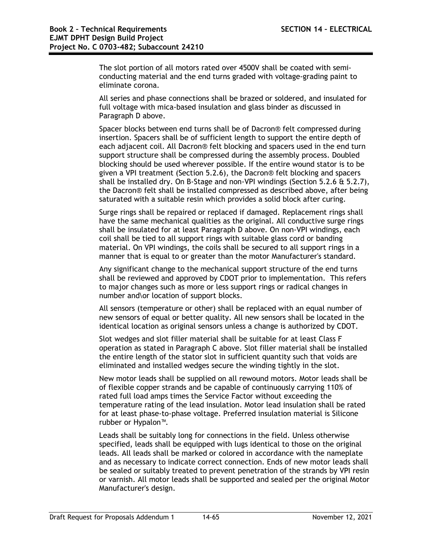The slot portion of all motors rated over 4500V shall be coated with semiconducting material and the end turns graded with voltage-grading paint to eliminate corona.

All series and phase connections shall be brazed or soldered, and insulated for full voltage with mica-based insulation and glass binder as discussed in Paragraph D above.

Spacer blocks between end turns shall be of Dacron® felt compressed during insertion. Spacers shall be of sufficient length to support the entire depth of each adjacent coil. All Dacron® felt blocking and spacers used in the end turn support structure shall be compressed during the assembly process. Doubled blocking should be used wherever possible. If the entire wound stator is to be given a VPI treatment (Section 5.2.6), the Dacron® felt blocking and spacers shall be installed dry. On B-Stage and non-VPI windings (Section 5.2.6 & 5.2.7), the Dacron® felt shall be installed compressed as described above, after being saturated with a suitable resin which provides a solid block after curing.

Surge rings shall be repaired or replaced if damaged. Replacement rings shall have the same mechanical qualities as the original. All conductive surge rings shall be insulated for at least Paragraph D above. On non-VPI windings, each coil shall be tied to all support rings with suitable glass cord or banding material. On VPI windings, the coils shall be secured to all support rings in a manner that is equal to or greater than the motor Manufacturer's standard.

Any significant change to the mechanical support structure of the end turns shall be reviewed and approved by CDOT prior to implementation. This refers to major changes such as more or less support rings or radical changes in number and\or location of support blocks.

All sensors (temperature or other) shall be replaced with an equal number of new sensors of equal or better quality. All new sensors shall be located in the identical location as original sensors unless a change is authorized by CDOT.

Slot wedges and slot filler material shall be suitable for at least Class F operation as stated in Paragraph C above. Slot filler material shall be installed the entire length of the stator slot in sufficient quantity such that voids are eliminated and installed wedges secure the winding tightly in the slot.

New motor leads shall be supplied on all rewound motors. Motor leads shall be of flexible copper strands and be capable of continuously carrying 110% of rated full load amps times the Service Factor without exceeding the temperature rating of the lead insulation. Motor lead insulation shall be rated for at least phase-to-phase voltage. Preferred insulation material is Silicone rubber or Hypalon™.

Leads shall be suitably long for connections in the field. Unless otherwise specified, leads shall be equipped with lugs identical to those on the original leads. All leads shall be marked or colored in accordance with the nameplate and as necessary to indicate correct connection. Ends of new motor leads shall be sealed or suitably treated to prevent penetration of the strands by VPI resin or varnish. All motor leads shall be supported and sealed per the original Motor Manufacturer's design.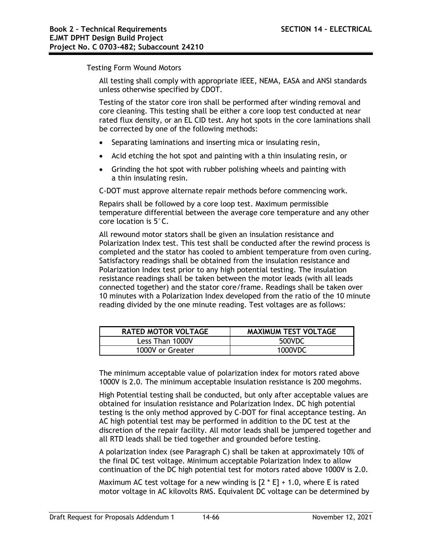Testing Form Wound Motors

All testing shall comply with appropriate IEEE, NEMA, EASA and ANSI standards unless otherwise specified by CDOT.

Testing of the stator core iron shall be performed after winding removal and core cleaning. This testing shall be either a core loop test conducted at near rated flux density, or an EL CID test. Any hot spots in the core laminations shall be corrected by one of the following methods:

- Separating laminations and inserting mica or insulating resin,
- Acid etching the hot spot and painting with a thin insulating resin, or
- Grinding the hot spot with rubber polishing wheels and painting with a thin insulating resin.

C-DOT must approve alternate repair methods before commencing work.

Repairs shall be followed by a core loop test. Maximum permissible temperature differential between the average core temperature and any other core location is 5°C.

All rewound motor stators shall be given an insulation resistance and Polarization Index test. This test shall be conducted after the rewind process is completed and the stator has cooled to ambient temperature from oven curing. Satisfactory readings shall be obtained from the insulation resistance and Polarization Index test prior to any high potential testing. The insulation resistance readings shall be taken between the motor leads (with all leads connected together) and the stator core/frame. Readings shall be taken over 10 minutes with a Polarization Index developed from the ratio of the 10 minute reading divided by the one minute reading. Test voltages are as follows:

| <b>RATED MOTOR VOLTAGE</b> | <b>MAXIMUM TEST VOLTAGE</b> |
|----------------------------|-----------------------------|
| Less Than 1000V            | 500VDC                      |
| 1000V or Greater           | 1000VDC                     |

The minimum acceptable value of polarization index for motors rated above 1000V is 2.0. The minimum acceptable insulation resistance is 200 megohms.

High Potential testing shall be conducted, but only after acceptable values are obtained for insulation resistance and Polarization Index. DC high potential testing is the only method approved by C-DOT for final acceptance testing. An AC high potential test may be performed in addition to the DC test at the discretion of the repair facility. All motor leads shall be jumpered together and all RTD leads shall be tied together and grounded before testing.

A polarization index (see Paragraph C) shall be taken at approximately 10% of the final DC test voltage. Minimum acceptable Polarization Index to allow continuation of the DC high potential test for motors rated above 1000V is 2.0.

Maximum AC test voltage for a new winding is  $[2 * E] + 1.0$ , where E is rated motor voltage in AC kilovolts RMS. Equivalent DC voltage can be determined by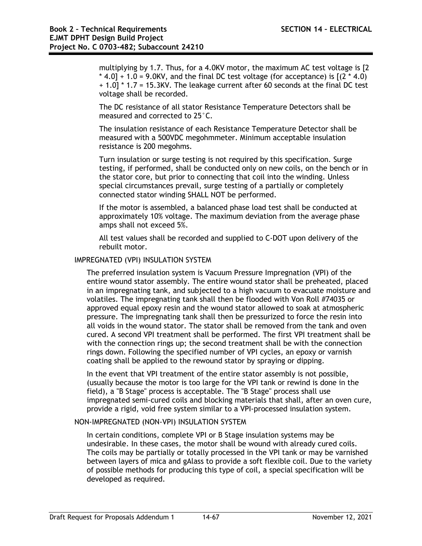multiplying by 1.7. Thus, for a 4.0KV motor, the maximum AC test voltage is [2  $*$  4.0] + 1.0 = 9.0KV, and the final DC test voltage (for acceptance) is  $(2 * 4.0)$ + 1.0] \* 1.7 = 15.3KV. The leakage current after 60 seconds at the final DC test voltage shall be recorded.

The DC resistance of all stator Resistance Temperature Detectors shall be measured and corrected to 25°C.

The insulation resistance of each Resistance Temperature Detector shall be measured with a 500VDC megohmmeter. Minimum acceptable insulation resistance is 200 megohms.

Turn insulation or surge testing is not required by this specification. Surge testing, if performed, shall be conducted only on new coils, on the bench or in the stator core, but prior to connecting that coil into the winding. Unless special circumstances prevail, surge testing of a partially or completely connected stator winding SHALL NOT be performed.

If the motor is assembled, a balanced phase load test shall be conducted at approximately 10% voltage. The maximum deviation from the average phase amps shall not exceed 5%.

All test values shall be recorded and supplied to C-DOT upon delivery of the rebuilt motor.

### IMPREGNATED (VPI) INSULATION SYSTEM

The preferred insulation system is Vacuum Pressure Impregnation (VPI) of the entire wound stator assembly. The entire wound stator shall be preheated, placed in an impregnating tank, and subjected to a high vacuum to evacuate moisture and volatiles. The impregnating tank shall then be flooded with Von Roll #74035 or approved equal epoxy resin and the wound stator allowed to soak at atmospheric pressure. The impregnating tank shall then be pressurized to force the resin into all voids in the wound stator. The stator shall be removed from the tank and oven cured. A second VPI treatment shall be performed. The first VPI treatment shall be with the connection rings up; the second treatment shall be with the connection rings down. Following the specified number of VPI cycles, an epoxy or varnish coating shall be applied to the rewound stator by spraying or dipping.

In the event that VPI treatment of the entire stator assembly is not possible, (usually because the motor is too large for the VPI tank or rewind is done in the field), a "B Stage" process is acceptable. The "B Stage" process shall use impregnated semi-cured coils and blocking materials that shall, after an oven cure, provide a rigid, void free system similar to a VPI-processed insulation system.

## NON-IMPREGNATED (NON-VPI) INSULATION SYSTEM

In certain conditions, complete VPI or B Stage insulation systems may be undesirable. In these cases, the motor shall be wound with already cured coils. The coils may be partially or totally processed in the VPI tank or may be varnished between layers of mica and gAlass to provide a soft flexible coil. Due to the variety of possible methods for producing this type of coil, a special specification will be developed as required.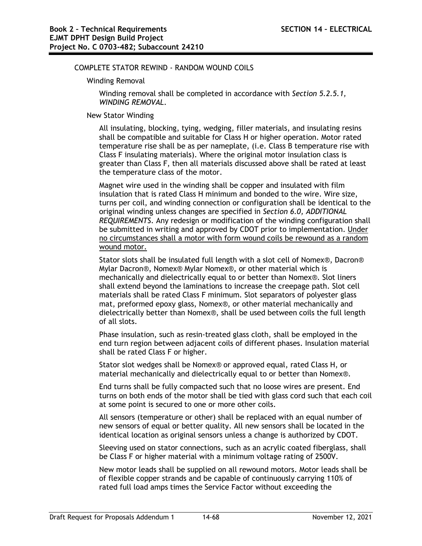### COMPLETE STATOR REWIND - RANDOM WOUND COILS

#### Winding Removal

Winding removal shall be completed in accordance with *Section 5.2.5.1, WINDING REMOVAL*.

#### New Stator Winding

All insulating, blocking, tying, wedging, filler materials, and insulating resins shall be compatible and suitable for Class H or higher operation. Motor rated temperature rise shall be as per nameplate, (i.e. Class B temperature rise with Class F insulating materials). Where the original motor insulation class is greater than Class F, then all materials discussed above shall be rated at least the temperature class of the motor.

Magnet wire used in the winding shall be copper and insulated with film insulation that is rated Class H minimum and bonded to the wire. Wire size, turns per coil, and winding connection or configuration shall be identical to the original winding unless changes are specified in *Section 6.0, ADDITIONAL REQUIREMENTS*. Any redesign or modification of the winding configuration shall be submitted in writing and approved by CDOT prior to implementation. Under no circumstances shall a motor with form wound coils be rewound as a random wound motor.

Stator slots shall be insulated full length with a slot cell of Nomex®, Dacron® Mylar Dacron®, Nomex® Mylar Nomex®, or other material which is mechanically and dielectrically equal to or better than Nomex®. Slot liners shall extend beyond the laminations to increase the creepage path. Slot cell materials shall be rated Class F minimum. Slot separators of polyester glass mat, preformed epoxy glass, Nomex®, or other material mechanically and dielectrically better than Nomex®, shall be used between coils the full length of all slots.

Phase insulation, such as resin-treated glass cloth, shall be employed in the end turn region between adjacent coils of different phases. Insulation material shall be rated Class F or higher.

Stator slot wedges shall be Nomex® or approved equal, rated Class H, or material mechanically and dielectrically equal to or better than Nomex®.

End turns shall be fully compacted such that no loose wires are present. End turns on both ends of the motor shall be tied with glass cord such that each coil at some point is secured to one or more other coils.

All sensors (temperature or other) shall be replaced with an equal number of new sensors of equal or better quality. All new sensors shall be located in the identical location as original sensors unless a change is authorized by CDOT.

Sleeving used on stator connections, such as an acrylic coated fiberglass, shall be Class F or higher material with a minimum voltage rating of 2500V.

New motor leads shall be supplied on all rewound motors. Motor leads shall be of flexible copper strands and be capable of continuously carrying 110% of rated full load amps times the Service Factor without exceeding the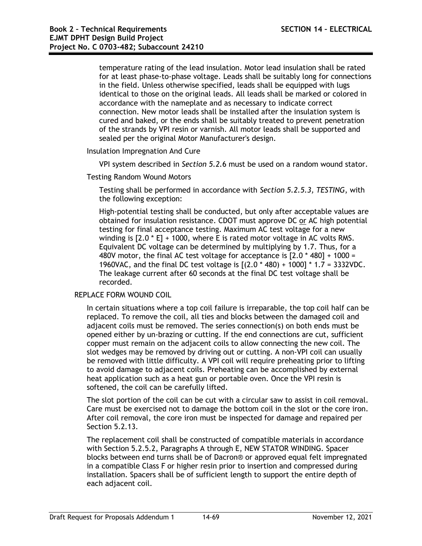temperature rating of the lead insulation. Motor lead insulation shall be rated for at least phase-to-phase voltage. Leads shall be suitably long for connections in the field. Unless otherwise specified, leads shall be equipped with lugs identical to those on the original leads. All leads shall be marked or colored in accordance with the nameplate and as necessary to indicate correct connection. New motor leads shall be installed after the insulation system is cured and baked, or the ends shall be suitably treated to prevent penetration of the strands by VPI resin or varnish. All motor leads shall be supported and sealed per the original Motor Manufacturer's design.

Insulation Impregnation And Cure

VPI system described in *Section 5.2.*6 must be used on a random wound stator.

### Testing Random Wound Motors

Testing shall be performed in accordance with *Section 5.2.5.3, TESTING*, with the following exception:

High-potential testing shall be conducted, but only after acceptable values are obtained for insulation resistance. CDOT must approve DC or AC high potential testing for final acceptance testing. Maximum AC test voltage for a new winding is [2.0 \* E] + 1000, where E is rated motor voltage in AC volts RMS. Equivalent DC voltage can be determined by multiplying by 1.7. Thus, for a 480V motor, the final AC test voltage for acceptance is [2.0 \* 480] + 1000 = 1960VAC, and the final DC test voltage is  $[(2.0 * 480) + 1000] * 1.7 = 3332$ VDC. The leakage current after 60 seconds at the final DC test voltage shall be recorded.

#### REPLACE FORM WOUND COIL

In certain situations where a top coil failure is irreparable, the top coil half can be replaced. To remove the coil, all ties and blocks between the damaged coil and adjacent coils must be removed. The series connection(s) on both ends must be opened either by un-brazing or cutting. If the end connections are cut, sufficient copper must remain on the adjacent coils to allow connecting the new coil. The slot wedges may be removed by driving out or cutting. A non-VPI coil can usually be removed with little difficulty. A VPI coil will require preheating prior to lifting to avoid damage to adjacent coils. Preheating can be accomplished by external heat application such as a heat gun or portable oven. Once the VPI resin is softened, the coil can be carefully lifted.

The slot portion of the coil can be cut with a circular saw to assist in coil removal. Care must be exercised not to damage the bottom coil in the slot or the core iron. After coil removal, the core iron must be inspected for damage and repaired per Section 5.2.13.

The replacement coil shall be constructed of compatible materials in accordance with Section 5.2.5.2, Paragraphs A through E, NEW STATOR WINDING. Spacer blocks between end turns shall be of Dacron® or approved equal felt impregnated in a compatible Class F or higher resin prior to insertion and compressed during installation. Spacers shall be of sufficient length to support the entire depth of each adjacent coil.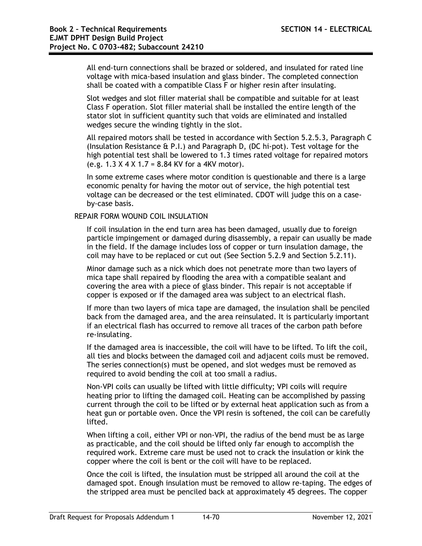All end-turn connections shall be brazed or soldered, and insulated for rated line voltage with mica-based insulation and glass binder. The completed connection shall be coated with a compatible Class F or higher resin after insulating.

Slot wedges and slot filler material shall be compatible and suitable for at least Class F operation. Slot filler material shall be installed the entire length of the stator slot in sufficient quantity such that voids are eliminated and installed wedges secure the winding tightly in the slot.

All repaired motors shall be tested in accordance with Section 5.2.5.3, Paragraph C (Insulation Resistance & P.I.) and Paragraph D, (DC hi-pot). Test voltage for the high potential test shall be lowered to 1.3 times rated voltage for repaired motors (e.g. 1.3 X 4 X 1.7 = 8.84 KV for a 4KV motor).

In some extreme cases where motor condition is questionable and there is a large economic penalty for having the motor out of service, the high potential test voltage can be decreased or the test eliminated. CDOT will judge this on a caseby-case basis.

### REPAIR FORM WOUND COIL INSULATION

If coil insulation in the end turn area has been damaged, usually due to foreign particle impingement or damaged during disassembly, a repair can usually be made in the field. If the damage includes loss of copper or turn insulation damage, the coil may have to be replaced or cut out (See Section 5.2.9 and Section 5.2.11).

Minor damage such as a nick which does not penetrate more than two layers of mica tape shall repaired by flooding the area with a compatible sealant and covering the area with a piece of glass binder. This repair is not acceptable if copper is exposed or if the damaged area was subject to an electrical flash.

If more than two layers of mica tape are damaged, the insulation shall be penciled back from the damaged area, and the area reinsulated. It is particularly important if an electrical flash has occurred to remove all traces of the carbon path before re-insulating.

If the damaged area is inaccessible, the coil will have to be lifted. To lift the coil, all ties and blocks between the damaged coil and adjacent coils must be removed. The series connection(s) must be opened, and slot wedges must be removed as required to avoid bending the coil at too small a radius.

Non-VPI coils can usually be lifted with little difficulty; VPI coils will require heating prior to lifting the damaged coil. Heating can be accomplished by passing current through the coil to be lifted or by external heat application such as from a heat gun or portable oven. Once the VPI resin is softened, the coil can be carefully lifted.

When lifting a coil, either VPI or non-VPI, the radius of the bend must be as large as practicable, and the coil should be lifted only far enough to accomplish the required work. Extreme care must be used not to crack the insulation or kink the copper where the coil is bent or the coil will have to be replaced.

Once the coil is lifted, the insulation must be stripped all around the coil at the damaged spot. Enough insulation must be removed to allow re-taping. The edges of the stripped area must be penciled back at approximately 45 degrees. The copper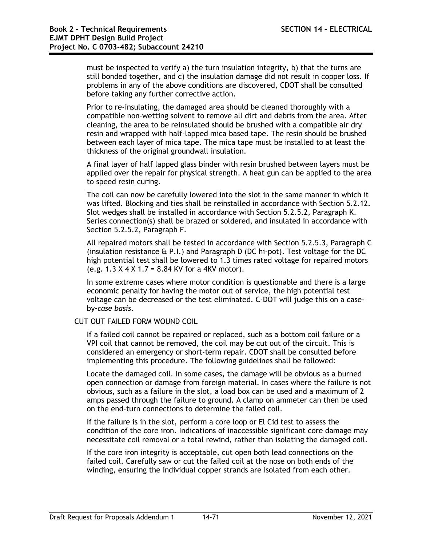must be inspected to verify a) the turn insulation integrity, b) that the turns are still bonded together, and c) the insulation damage did not result in copper loss. If problems in any of the above conditions are discovered, CDOT shall be consulted before taking any further corrective action.

Prior to re-insulating, the damaged area should be cleaned thoroughly with a compatible non-wetting solvent to remove all dirt and debris from the area. After cleaning, the area to be reinsulated should be brushed with a compatible air dry resin and wrapped with half-lapped mica based tape. The resin should be brushed between each layer of mica tape. The mica tape must be installed to at least the thickness of the original groundwall insulation.

A final layer of half lapped glass binder with resin brushed between layers must be applied over the repair for physical strength. A heat gun can be applied to the area to speed resin curing.

The coil can now be carefully lowered into the slot in the same manner in which it was lifted. Blocking and ties shall be reinstalled in accordance with Section 5.2.12. Slot wedges shall be installed in accordance with Section 5.2.5.2, Paragraph K. Series connection(s) shall be brazed or soldered, and insulated in accordance with Section 5.2.5.2, Paragraph F.

All repaired motors shall be tested in accordance with Section 5.2.5.3, Paragraph C (insulation resistance & P.I.) and Paragraph D (DC hi-pot). Test voltage for the DC high potential test shall be lowered to 1.3 times rated voltage for repaired motors (e.g.  $1.3 \times 4 \times 1.7 = 8.84$  KV for a 4KV motor).

In some extreme cases where motor condition is questionable and there is a large economic penalty for having the motor out of service, the high potential test voltage can be decreased or the test eliminated. C-DOT will judge this on a caseby*-case basis.*

## CUT OUT FAILED FORM WOUND COIL

If a failed coil cannot be repaired or replaced, such as a bottom coil failure or a VPI coil that cannot be removed, the coil may be cut out of the circuit. This is considered an emergency or short-term repair. CDOT shall be consulted before implementing this procedure. The following guidelines shall be followed:

Locate the damaged coil. In some cases, the damage will be obvious as a burned open connection or damage from foreign material. In cases where the failure is not obvious, such as a failure in the slot, a load box can be used and a maximum of 2 amps passed through the failure to ground. A clamp on ammeter can then be used on the end-turn connections to determine the failed coil.

If the failure is in the slot, perform a core loop or El Cid test to assess the condition of the core iron. Indications of inaccessible significant core damage may necessitate coil removal or a total rewind, rather than isolating the damaged coil.

If the core iron integrity is acceptable, cut open both lead connections on the failed coil. Carefully saw or cut the failed coil at the nose on both ends of the winding, ensuring the individual copper strands are isolated from each other.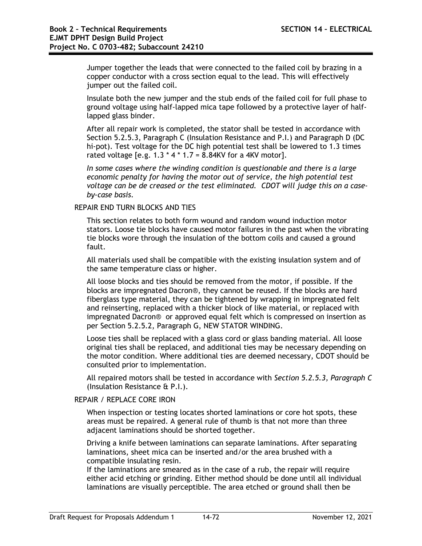Jumper together the leads that were connected to the failed coil by brazing in a copper conductor with a cross section equal to the lead. This will effectively jumper out the failed coil.

Insulate both the new jumper and the stub ends of the failed coil for full phase to ground voltage using half-lapped mica tape followed by a protective layer of halflapped glass binder.

After all repair work is completed, the stator shall be tested in accordance with Section 5.2.5.3, Paragraph C (Insulation Resistance and P.I.) and Paragraph D (DC hi-pot). Test voltage for the DC high potential test shall be lowered to 1.3 times rated voltage [e.g.  $1.3 * 4 * 1.7 = 8.84$ KV for a 4KV motor].

*In some cases where the winding condition is questionable and there is a large economic penalty for having the motor out of service, the high potential test voltage can be de creased or the test eliminated. CDOT will judge this on a caseby-case basis.*

### REPAIR END TURN BLOCKS AND TIES

This section relates to both form wound and random wound induction motor stators. Loose tie blocks have caused motor failures in the past when the vibrating tie blocks wore through the insulation of the bottom coils and caused a ground fault.

All materials used shall be compatible with the existing insulation system and of the same temperature class or higher.

All loose blocks and ties should be removed from the motor, if possible. If the blocks are impregnated Dacron®, they cannot be reused. If the blocks are hard fiberglass type material, they can be tightened by wrapping in impregnated felt and reinserting, replaced with a thicker block of like material, or replaced with impregnated Dacron® or approved equal felt which is compressed on insertion as per Section 5.2.5.2, Paragraph G, NEW STATOR WINDING.

Loose ties shall be replaced with a glass cord or glass banding material. All loose original ties shall be replaced, and additional ties may be necessary depending on the motor condition. Where additional ties are deemed necessary, CDOT should be consulted prior to implementation.

All repaired motors shall be tested in accordance with *Section 5.2.5.3, Paragraph C* (Insulation Resistance & P.I.).

## REPAIR / REPLACE CORE IRON

When inspection or testing locates shorted laminations or core hot spots, these areas must be repaired. A general rule of thumb is that not more than three adjacent laminations should be shorted together.

Driving a knife between laminations can separate laminations. After separating laminations, sheet mica can be inserted and/or the area brushed with a compatible insulating resin.

If the laminations are smeared as in the case of a rub, the repair will require either acid etching or grinding. Either method should be done until all individual laminations are visually perceptible. The area etched or ground shall then be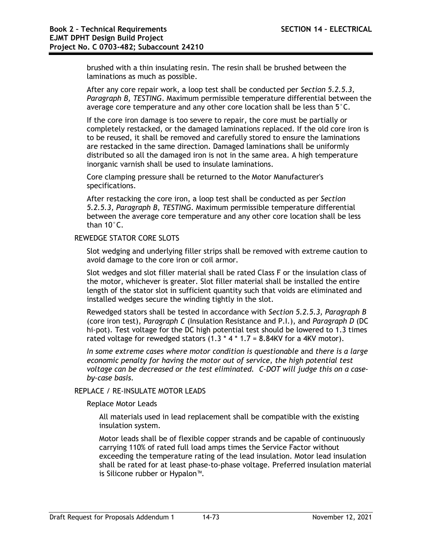brushed with a thin insulating resin. The resin shall be brushed between the laminations as much as possible.

After any core repair work, a loop test shall be conducted per *Section 5.2.5.3, Paragraph B, TESTING*. Maximum permissible temperature differential between the average core temperature and any other core location shall be less than 5°C.

If the core iron damage is too severe to repair, the core must be partially or completely restacked, or the damaged laminations replaced. If the old core iron is to be reused, it shall be removed and carefully stored to ensure the laminations are restacked in the same direction. Damaged laminations shall be uniformly distributed so all the damaged iron is not in the same area. A high temperature inorganic varnish shall be used to insulate laminations.

Core clamping pressure shall be returned to the Motor Manufacturer's specifications.

After restacking the core iron, a loop test shall be conducted as per *Section 5.2.5.3, Paragraph B, TESTING*. Maximum permissible temperature differential between the average core temperature and any other core location shall be less than 10°C.

## REWEDGE STATOR CORE SLOTS

Slot wedging and underlying filler strips shall be removed with extreme caution to avoid damage to the core iron or coil armor.

Slot wedges and slot filler material shall be rated Class F or the insulation class of the motor, whichever is greater. Slot filler material shall be installed the entire length of the stator slot in sufficient quantity such that voids are eliminated and installed wedges secure the winding tightly in the slot.

Rewedged stators shall be tested in accordance with *Section 5.2.5.3, Paragraph B* (core iron test), *Paragraph C* (Insulation Resistance and P.I.), and *Paragraph D* (DC hi-pot). Test voltage for the DC high potential test should be lowered to 1.3 times rated voltage for rewedged stators  $(1.3 * 4 * 1.7 = 8.84$ KV for a 4KV motor).

*In some extreme cases where motor condition is questionable* and *there is a large economic penalty for having the motor out of service, the high potential test voltage can be decreased or the test eliminated. C-DOT will judge this on a caseby-case basis.*

# REPLACE / RE-INSULATE MOTOR LEADS

Replace Motor Leads

All materials used in lead replacement shall be compatible with the existing insulation system.

Motor leads shall be of flexible copper strands and be capable of continuously carrying 110% of rated full load amps times the Service Factor without exceeding the temperature rating of the lead insulation. Motor lead insulation shall be rated for at least phase-to-phase voltage. Preferred insulation material is Silicone rubber or Hypalon™.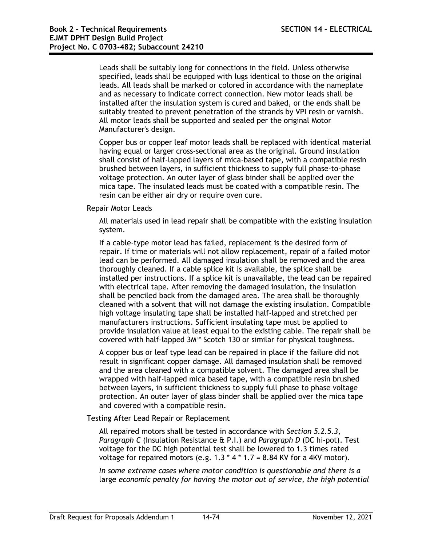Leads shall be suitably long for connections in the field. Unless otherwise specified, leads shall be equipped with lugs identical to those on the original leads. All leads shall be marked or colored in accordance with the nameplate and as necessary to indicate correct connection. New motor leads shall be installed after the insulation system is cured and baked, or the ends shall be suitably treated to prevent penetration of the strands by VPI resin or varnish. All motor leads shall be supported and sealed per the original Motor Manufacturer's design.

Copper bus or copper leaf motor leads shall be replaced with identical material having equal or larger cross-sectional area as the original. Ground insulation shall consist of half-lapped layers of mica-based tape, with a compatible resin brushed between layers, in sufficient thickness to supply full phase-to-phase voltage protection. An outer layer of glass binder shall be applied over the mica tape. The insulated leads must be coated with a compatible resin. The resin can be either air dry or require oven cure.

#### Repair Motor Leads

All materials used in lead repair shall be compatible with the existing insulation system.

If a cable-type motor lead has failed, replacement is the desired form of repair. If time or materials will not allow replacement, repair of a failed motor lead can be performed. All damaged insulation shall be removed and the area thoroughly cleaned. If a cable splice kit is available, the splice shall be installed per instructions. If a splice kit is unavailable, the lead can be repaired with electrical tape. After removing the damaged insulation, the insulation shall be penciled back from the damaged area. The area shall be thoroughly cleaned with a solvent that will not damage the existing insulation. Compatible high voltage insulating tape shall be installed half-lapped and stretched per manufacturers instructions. Sufficient insulating tape must be applied to provide insulation value at least equal to the existing cable. The repair shall be covered with half-lapped 3M™ Scotch 130 or similar for physical toughness.

A copper bus or leaf type lead can be repaired in place if the failure did not result in significant copper damage. All damaged insulation shall be removed and the area cleaned with a compatible solvent. The damaged area shall be wrapped with half-lapped mica based tape, with a compatible resin brushed between layers, in sufficient thickness to supply full phase to phase voltage protection. An outer layer of glass binder shall be applied over the mica tape and covered with a compatible resin.

Testing After Lead Repair or Replacement

All repaired motors shall be tested in accordance with *Section 5.2.5.3, Paragraph C* (Insulation Resistance & P.I.) and *Paragraph D* (DC hi-pot). Test voltage for the DC high potential test shall be lowered to 1.3 times rated voltage for repaired motors (e.g.  $1.3 * 4 * 1.7 = 8.84$  KV for a 4KV motor).

*In some extreme cases where motor condition is questionable and there is a*  large *economic penalty for having the motor out of service, the high potential*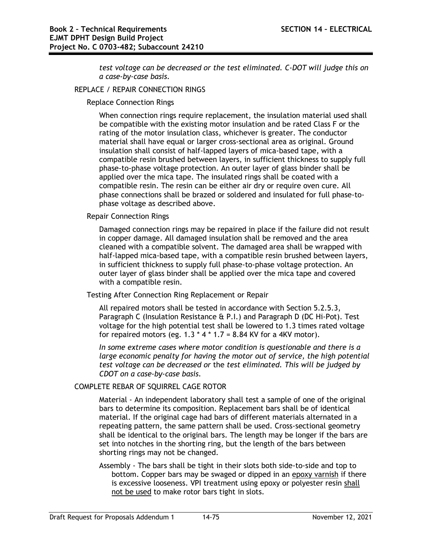*test voltage can be decreased or the test eliminated. C-DOT will judge this on a case-by-case basis.*

## REPLACE / REPAIR CONNECTION RINGS

Replace Connection Rings

When connection rings require replacement, the insulation material used shall be compatible with the existing motor insulation and be rated Class F or the rating of the motor insulation class, whichever is greater. The conductor material shall have equal or larger cross-sectional area as original. Ground insulation shall consist of half-lapped layers of mica-based tape, with a compatible resin brushed between layers, in sufficient thickness to supply full phase-to-phase voltage protection. An outer layer of glass binder shall be applied over the mica tape. The insulated rings shall be coated with a compatible resin. The resin can be either air dry or require oven cure. All phase connections shall be brazed or soldered and insulated for full phase-tophase voltage as described above.

Repair Connection Rings

Damaged connection rings may be repaired in place if the failure did not result in copper damage. All damaged insulation shall be removed and the area cleaned with a compatible solvent. The damaged area shall be wrapped with half-lapped mica-based tape, with a compatible resin brushed between layers, in sufficient thickness to supply full phase-to-phase voltage protection. An outer layer of glass binder shall be applied over the mica tape and covered with a compatible resin.

Testing After Connection Ring Replacement or Repair

All repaired motors shall be tested in accordance with Section 5.2.5.3, Paragraph C (Insulation Resistance & P.I.) and Paragraph D (DC Hi-Pot). Test voltage for the high potential test shall be lowered to 1.3 times rated voltage for repaired motors (eg.  $1.3 \times 4 \times 1.7 = 8.84$  KV for a 4KV motor).

*In some extreme cases where motor condition is questionable and there is a large economic penalty for having the motor out of service, the high potential test voltage can be decreased or* the *test eliminated. This will be judged by CDOT on a case-by-case basis.*

# COMPLETE REBAR OF SQUIRREL CAGE ROTOR

Material - An independent laboratory shall test a sample of one of the original bars to determine its composition. Replacement bars shall be of identical material. If the original cage had bars of different materials alternated in a repeating pattern, the same pattern shall be used. Cross-sectional geometry shall be identical to the original bars. The length may be longer if the bars are set into notches in the shorting ring, but the length of the bars between shorting rings may not be changed.

Assembly - The bars shall be tight in their slots both side-to-side and top to bottom. Copper bars may be swaged or dipped in an epoxy varnish if there is excessive looseness. VPI treatment using epoxy or polyester resin shall not be used to make rotor bars tight in slots.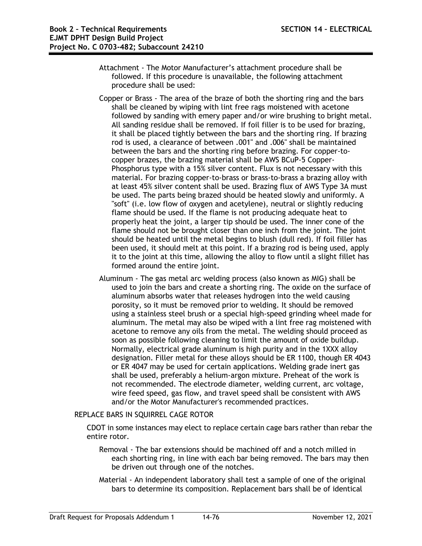- Attachment The Motor Manufacturer's attachment procedure shall be followed. If this procedure is unavailable, the following attachment procedure shall be used:
- Copper or Brass The area of the braze of both the shorting ring and the bars shall be cleaned by wiping with lint free rags moistened with acetone followed by sanding with emery paper and/or wire brushing to bright metal. All sanding residue shall be removed. If foil filler is to be used for brazing, it shall be placed tightly between the bars and the shorting ring. If brazing rod is used, a clearance of between .001" and .006" shall be maintained between the bars and the shorting ring before brazing. For copper-tocopper brazes, the brazing material shall be AWS BCuP-5 Copper-Phosphorus type with a 15% silver content. Flux is not necessary with this material. For brazing copper-to-brass or brass-to-brass a brazing alloy with at least 45% silver content shall be used. Brazing flux of AWS Type 3A must be used. The parts being brazed should be heated slowly and uniformly. A "soft" (i.e. low flow of oxygen and acetylene), neutral or slightly reducing flame should be used. If the flame is not producing adequate heat to properly heat the joint, a larger tip should be used. The inner cone of the flame should not be brought closer than one inch from the joint. The joint should be heated until the metal begins to blush (dull red). If foil filler has been used, it should melt at this point. If a brazing rod is being used, apply it to the joint at this time, allowing the alloy to flow until a slight fillet has formed around the entire joint.
- Aluminum The gas metal arc welding process (also known as MIG) shall be used to join the bars and create a shorting ring. The oxide on the surface of aluminum absorbs water that releases hydrogen into the weld causing porosity, so it must be removed prior to welding. It should be removed using a stainless steel brush or a special high-speed grinding wheel made for aluminum. The metal may also be wiped with a lint free rag moistened with acetone to remove any oils from the metal. The welding should proceed as soon as possible following cleaning to limit the amount of oxide buildup. Normally, electrical grade aluminum is high purity and in the 1XXX alloy designation. Filler metal for these alloys should be ER 1100, though ER 4043 or ER 4047 may be used for certain applications. Welding grade inert gas shall be used, preferably a helium-argon mixture. Preheat of the work is not recommended. The electrode diameter, welding current, arc voltage, wire feed speed, gas flow, and travel speed shall be consistent with AWS and/or the Motor Manufacturer's recommended practices.

# REPLACE BARS IN SQUIRREL CAGE ROTOR

CDOT in some instances may elect to replace certain cage bars rather than rebar the entire rotor.

- Removal The bar extensions should be machined off and a notch milled in each shorting ring, in line with each bar being removed. The bars may then be driven out through one of the notches.
- Material An independent laboratory shall test a sample of one of the original bars to determine its composition. Replacement bars shall be of identical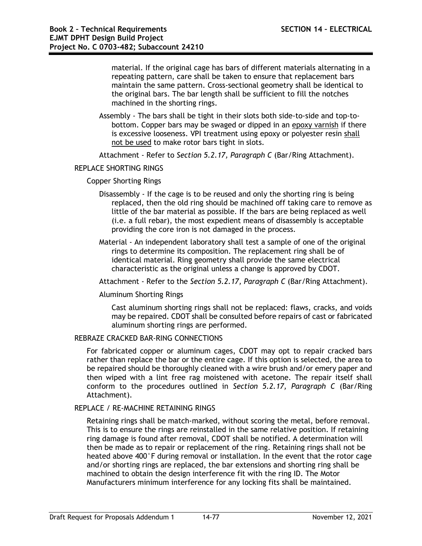material. If the original cage has bars of different materials alternating in a repeating pattern, care shall be taken to ensure that replacement bars maintain the same pattern. Cross-sectional geometry shall be identical to the original bars. The bar length shall be sufficient to fill the notches machined in the shorting rings.

Assembly - The bars shall be tight in their slots both side-to-side and top-tobottom. Copper bars may be swaged or dipped in an epoxy varnish if there is excessive looseness. VPI treatment using epoxy or polyester resin shall not be used to make rotor bars tight in slots.

Attachment - Refer to *Section 5.2.17, Paragraph C* (Bar/Ring Attachment).

# REPLACE SHORTING RINGS

## Copper Shorting Rings

- Disassembly If the cage is to be reused and only the shorting ring is being replaced, then the old ring should be machined off taking care to remove as little of the bar material as possible. If the bars are being replaced as well (i.e. a full rebar), the most expedient means of disassembly is acceptable providing the core iron is not damaged in the process.
- Material An independent laboratory shall test a sample of one of the original rings to determine its composition. The replacement ring shall be of identical material. Ring geometry shall provide the same electrical characteristic as the original unless a change is approved by CDOT.

Attachment - Refer to the *Section 5.2.17, Paragraph C* (Bar/Ring Attachment).

#### Aluminum Shorting Rings

Cast aluminum shorting rings shall not be replaced: flaws, cracks, and voids may be repaired. CDOT shall be consulted before repairs of cast or fabricated aluminum shorting rings are performed.

# REBRAZE CRACKED BAR-RING CONNECTIONS

For fabricated copper or aluminum cages, CDOT may opt to repair cracked bars rather than replace the bar or the entire cage. If this option is selected, the area to be repaired should be thoroughly cleaned with a wire brush and/or emery paper and then wiped with a lint free rag moistened with acetone. The repair itself shall conform to the procedures outlined in *Section 5.2.17, Paragraph C* (Bar/Ring Attachment).

#### REPLACE / RE-MACHINE RETAINING RINGS

Retaining rings shall be match-marked, without scoring the metal, before removal. This is to ensure the rings are reinstalled in the same relative position. If retaining ring damage is found after removal, CDOT shall be notified. A determination will then be made as to repair or replacement of the ring. Retaining rings shall not be heated above 400°F during removal or installation. In the event that the rotor cage and/or shorting rings are replaced, the bar extensions and shorting ring shall be machined to obtain the design interference fit with the ring ID. The Motor Manufacturers minimum interference for any locking fits shall be maintained.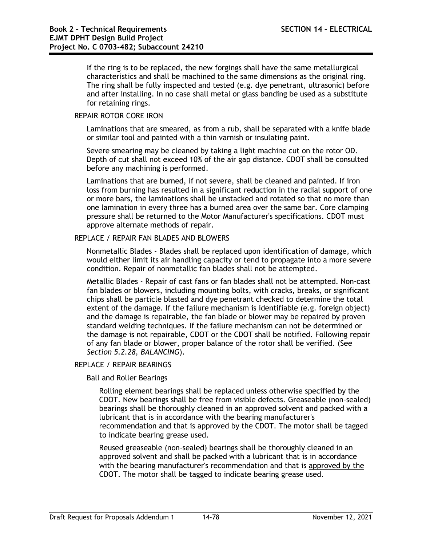If the ring is to be replaced, the new forgings shall have the same metallurgical characteristics and shall be machined to the same dimensions as the original ring. The ring shall be fully inspected and tested (e.g. dye penetrant, ultrasonic) before and after installing. In no case shall metal or glass banding be used as a substitute for retaining rings.

## REPAIR ROTOR CORE IRON

Laminations that are smeared, as from a rub, shall be separated with a knife blade or similar tool and painted with a thin varnish or insulating paint.

Severe smearing may be cleaned by taking a light machine cut on the rotor OD. Depth of cut shall not exceed 10% of the air gap distance. CDOT shall be consulted before any machining is performed.

Laminations that are burned, if not severe, shall be cleaned and painted. If iron loss from burning has resulted in a significant reduction in the radial support of one or more bars, the laminations shall be unstacked and rotated so that no more than one lamination in every three has a burned area over the same bar. Core clamping pressure shall be returned to the Motor Manufacturer's specifications. CDOT must approve alternate methods of repair.

## REPLACE / REPAIR FAN BLADES AND BLOWERS

Nonmetallic Blades - Blades shall be replaced upon identification of damage, which would either limit its air handling capacity or tend to propagate into a more severe condition. Repair of nonmetallic fan blades shall not be attempted.

Metallic Blades - Repair of cast fans or fan blades shall not be attempted. Non-cast fan blades or blowers, including mounting bolts, with cracks, breaks, or significant chips shall be particle blasted and dye penetrant checked to determine the total extent of the damage. If the failure mechanism is identifiable (e.g. foreign object) and the damage is repairable, the fan blade or blower may be repaired by proven standard welding techniques. If the failure mechanism can not be determined or the damage is not repairable, CDOT or the CDOT shall be notified. Following repair of any fan blade or blower, proper balance of the rotor shall be verified. (See *Section 5.2.28, BALANCING*).

#### REPLACE / REPAIR BEARINGS

Ball and Roller Bearings

Rolling element bearings shall be replaced unless otherwise specified by the CDOT. New bearings shall be free from visible defects. Greaseable (non-sealed) bearings shall be thoroughly cleaned in an approved solvent and packed with a lubricant that is in accordance with the bearing manufacturer's recommendation and that is approved by the CDOT. The motor shall be tagged to indicate bearing grease used.

Reused greaseable (non-sealed) bearings shall be thoroughly cleaned in an approved solvent and shall be packed with a lubricant that is in accordance with the bearing manufacturer's recommendation and that is approved by the CDOT. The motor shall be tagged to indicate bearing grease used.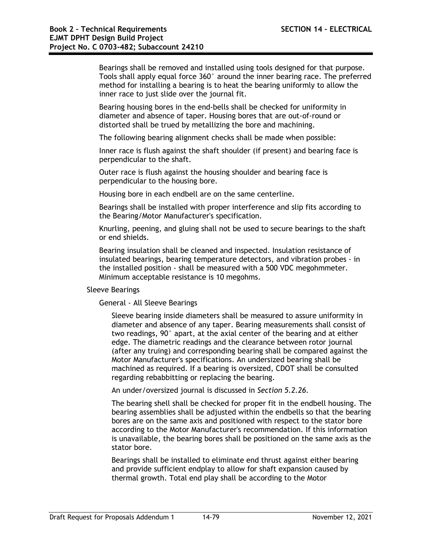Bearings shall be removed and installed using tools designed for that purpose. Tools shall apply equal force 360° around the inner bearing race. The preferred method for installing a bearing is to heat the bearing uniformly to allow the inner race to just slide over the journal fit.

Bearing housing bores in the end-bells shall be checked for uniformity in diameter and absence of taper. Housing bores that are out-of-round or distorted shall be trued by metallizing the bore and machining.

The following bearing alignment checks shall be made when possible:

Inner race is flush against the shaft shoulder (if present) and bearing face is perpendicular to the shaft.

Outer race is flush against the housing shoulder and bearing face is perpendicular to the housing bore.

Housing bore in each endbell are on the same centerline.

Bearings shall be installed with proper interference and slip fits according to the Bearing/Motor Manufacturer's specification.

Knurling, peening, and gluing shall not be used to secure bearings to the shaft or end shields.

Bearing insulation shall be cleaned and inspected. Insulation resistance of insulated bearings, bearing temperature detectors, and vibration probes - in the installed position - shall be measured with a 500 VDC megohmmeter. Minimum acceptable resistance is 10 megohms.

Sleeve Bearings

General - All Sleeve Bearings

Sleeve bearing inside diameters shall be measured to assure uniformity in diameter and absence of any taper. Bearing measurements shall consist of two readings, 90° apart, at the axial center of the bearing and at either edge. The diametric readings and the clearance between rotor journal (after any truing) and corresponding bearing shall be compared against the Motor Manufacturer's specifications. An undersized bearing shall be machined as required. If a bearing is oversized, CDOT shall be consulted regarding rebabbitting or replacing the bearing.

An under/oversized journal is discussed in *Section 5.2.26*.

The bearing shell shall be checked for proper fit in the endbell housing. The bearing assemblies shall be adjusted within the endbells so that the bearing bores are on the same axis and positioned with respect to the stator bore according to the Motor Manufacturer's recommendation. If this information is unavailable, the bearing bores shall be positioned on the same axis as the stator bore.

Bearings shall be installed to eliminate end thrust against either bearing and provide sufficient endplay to allow for shaft expansion caused by thermal growth. Total end play shall be according to the Motor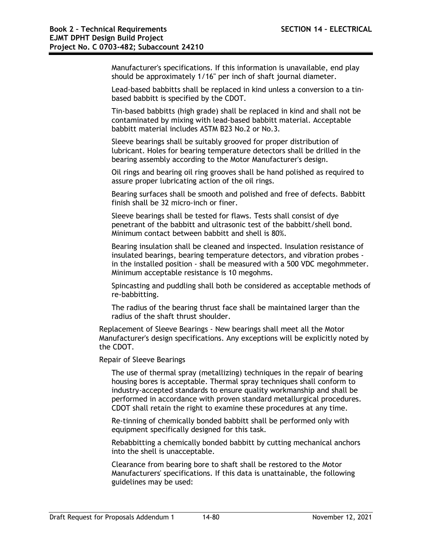Manufacturer's specifications. If this information is unavailable, end play should be approximately 1/16" per inch of shaft journal diameter.

Lead-based babbitts shall be replaced in kind unless a conversion to a tinbased babbitt is specified by the CDOT.

Tin-based babbitts (high grade) shall be replaced in kind and shall not be contaminated by mixing with lead-based babbitt material. Acceptable babbitt material includes ASTM B23 No.2 or No.3.

Sleeve bearings shall be suitably grooved for proper distribution of lubricant. Holes for bearing temperature detectors shall be drilled in the bearing assembly according to the Motor Manufacturer's design.

Oil rings and bearing oil ring grooves shall be hand polished as required to assure proper lubricating action of the oil rings.

Bearing surfaces shall be smooth and polished and free of defects. Babbitt finish shall be 32 micro-inch or finer.

Sleeve bearings shall be tested for flaws. Tests shall consist of dye penetrant of the babbitt and ultrasonic test of the babbitt/shell bond. Minimum contact between babbitt and shell is 80%.

Bearing insulation shall be cleaned and inspected. Insulation resistance of insulated bearings, bearing temperature detectors, and vibration probes in the installed position - shall be measured with a 500 VDC megohmmeter. Minimum acceptable resistance is 10 megohms.

Spincasting and puddling shall both be considered as acceptable methods of re-babbitting.

The radius of the bearing thrust face shall be maintained larger than the radius of the shaft thrust shoulder.

Replacement of Sleeve Bearings - New bearings shall meet all the Motor Manufacturer's design specifications. Any exceptions will be explicitly noted by the CDOT.

Repair of Sleeve Bearings

The use of thermal spray (metallizing) techniques in the repair of bearing housing bores is acceptable. Thermal spray techniques shall conform to industry-accepted standards to ensure quality workmanship and shall be performed in accordance with proven standard metallurgical procedures. CDOT shall retain the right to examine these procedures at any time.

Re-tinning of chemically bonded babbitt shall be performed only with equipment specifically designed for this task.

Rebabbitting a chemically bonded babbitt by cutting mechanical anchors into the shell is unacceptable.

Clearance from bearing bore to shaft shall be restored to the Motor Manufacturers' specifications. If this data is unattainable, the following guidelines may be used: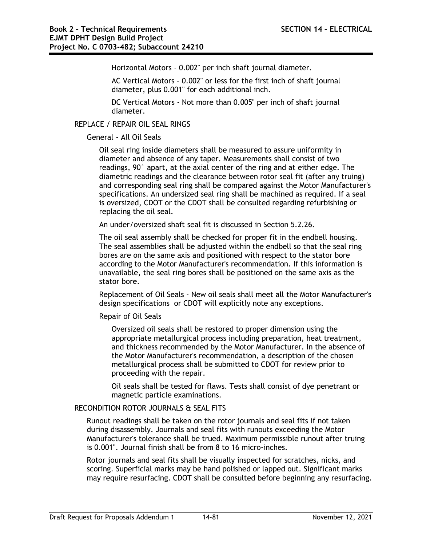Horizontal Motors - 0.002" per inch shaft journal diameter.

AC Vertical Motors - 0.002" or less for the first inch of shaft journal diameter, plus 0.001" for each additional inch.

DC Vertical Motors - Not more than 0.005" per inch of shaft journal diameter.

REPLACE / REPAIR OIL SEAL RINGS

#### General - All Oil Seals

Oil seal ring inside diameters shall be measured to assure uniformity in diameter and absence of any taper. Measurements shall consist of two readings, 90° apart, at the axial center of the ring and at either edge. The diametric readings and the clearance between rotor seal fit (after any truing) and corresponding seal ring shall be compared against the Motor Manufacturer's specifications. An undersized seal ring shall be machined as required. If a seal is oversized, CDOT or the CDOT shall be consulted regarding refurbishing or replacing the oil seal.

An under/oversized shaft seal fit is discussed in Section 5.2.26.

The oil seal assembly shall be checked for proper fit in the endbell housing. The seal assemblies shall be adjusted within the endbell so that the seal ring bores are on the same axis and positioned with respect to the stator bore according to the Motor Manufacturer's recommendation. If this information is unavailable, the seal ring bores shall be positioned on the same axis as the stator bore.

Replacement of Oil Seals - New oil seals shall meet all the Motor Manufacturer's design specifications or CDOT will explicitly note any exceptions.

Repair of Oil Seals

Oversized oil seals shall be restored to proper dimension using the appropriate metallurgical process including preparation, heat treatment, and thickness recommended by the Motor Manufacturer. In the absence of the Motor Manufacturer's recommendation, a description of the chosen metallurgical process shall be submitted to CDOT for review prior to proceeding with the repair.

Oil seals shall be tested for flaws. Tests shall consist of dye penetrant or magnetic particle examinations.

## RECONDITION ROTOR JOURNALS & SEAL FITS

Runout readings shall be taken on the rotor journals and seal fits if not taken during disassembly. Journals and seal fits with runouts exceeding the Motor Manufacturer's tolerance shall be trued. Maximum permissible runout after truing is 0.001". Journal finish shall be from 8 to 16 micro-inches.

Rotor journals and seal fits shall be visually inspected for scratches, nicks, and scoring. Superficial marks may be hand polished or lapped out. Significant marks may require resurfacing. CDOT shall be consulted before beginning any resurfacing.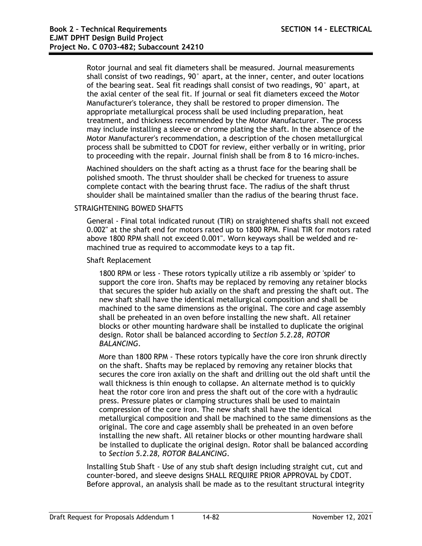Rotor journal and seal fit diameters shall be measured. Journal measurements shall consist of two readings, 90° apart, at the inner, center, and outer locations of the bearing seat. Seal fit readings shall consist of two readings, 90° apart, at the axial center of the seal fit. If journal or seal fit diameters exceed the Motor Manufacturer's tolerance, they shall be restored to proper dimension. The appropriate metallurgical process shall be used including preparation, heat treatment, and thickness recommended by the Motor Manufacturer. The process may include installing a sleeve or chrome plating the shaft. In the absence of the Motor Manufacturer's recommendation, a description of the chosen metallurgical process shall be submitted to CDOT for review, either verbally or in writing, prior to proceeding with the repair. Journal finish shall be from 8 to 16 micro-inches.

Machined shoulders on the shaft acting as a thrust face for the bearing shall be polished smooth. The thrust shoulder shall be checked for trueness to assure complete contact with the bearing thrust face. The radius of the shaft thrust shoulder shall be maintained smaller than the radius of the bearing thrust face.

# STRAIGHTENING BOWED SHAFTS

General - Final total indicated runout (TIR) on straightened shafts shall not exceed 0.002" at the shaft end for motors rated up to 1800 RPM. Final TIR for motors rated above 1800 RPM shall not exceed 0.001". Worn keyways shall be welded and remachined true as required to accommodate keys to a tap fit.

Shaft Replacement

1800 RPM or less - These rotors typically utilize a rib assembly or 'spider' to support the core iron. Shafts may be replaced by removing any retainer blocks that secures the spider hub axially on the shaft and pressing the shaft out. The new shaft shall have the identical metallurgical composition and shall be machined to the same dimensions as the original. The core and cage assembly shall be preheated in an oven before installing the new shaft. All retainer blocks or other mounting hardware shall be installed to duplicate the original design. Rotor shall be balanced according to *Section 5.2.28, ROTOR BALANCING*.

More than 1800 RPM - These rotors typically have the core iron shrunk directly on the shaft. Shafts may be replaced by removing any retainer blocks that secures the core iron axially on the shaft and drilling out the old shaft until the wall thickness is thin enough to collapse. An alternate method is to quickly heat the rotor core iron and press the shaft out of the core with a hydraulic press. Pressure plates or clamping structures shall be used to maintain compression of the core iron. The new shaft shall have the identical metallurgical composition and shall be machined to the same dimensions as the original. The core and cage assembly shall be preheated in an oven before installing the new shaft. All retainer blocks or other mounting hardware shall be installed to duplicate the original design. Rotor shall be balanced according to *Section 5.2.28, ROTOR BALANCING*.

Installing Stub Shaft - Use of any stub shaft design including straight cut, cut and counter-bored, and sleeve designs SHALL REQUIRE PRIOR APPROVAL by CDOT. Before approval, an analysis shall be made as to the resultant structural integrity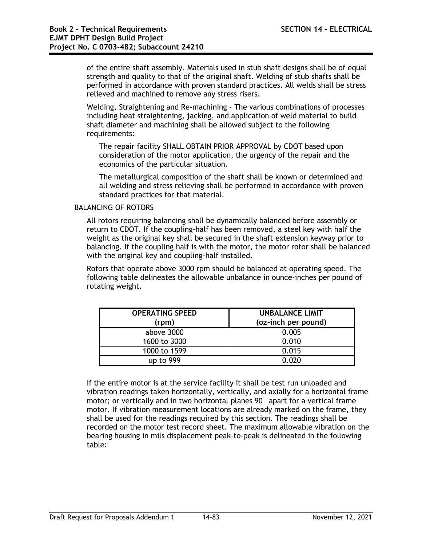of the entire shaft assembly. Materials used in stub shaft designs shall be of equal strength and quality to that of the original shaft. Welding of stub shafts shall be performed in accordance with proven standard practices. All welds shall be stress relieved and machined to remove any stress risers.

Welding, Straightening and Re-machining - The various combinations of processes including heat straightening, jacking, and application of weld material to build shaft diameter and machining shall be allowed subject to the following requirements:

The repair facility SHALL OBTAIN PRIOR APPROVAL by CDOT based upon consideration of the motor application, the urgency of the repair and the economics of the particular situation.

The metallurgical composition of the shaft shall be known or determined and all welding and stress relieving shall be performed in accordance with proven standard practices for that material.

#### BALANCING OF ROTORS

All rotors requiring balancing shall be dynamically balanced before assembly or return to CDOT. If the coupling-half has been removed, a steel key with half the weight as the original key shall be secured in the shaft extension keyway prior to balancing. If the coupling half is with the motor, the motor rotor shall be balanced with the original key and coupling-half installed.

Rotors that operate above 3000 rpm should be balanced at operating speed. The following table delineates the allowable unbalance in ounce-inches per pound of rotating weight.

| <b>OPERATING SPEED</b><br>(rpm) | <b>UNBALANCE LIMIT</b><br>(oz-inch per pound) |
|---------------------------------|-----------------------------------------------|
| above 3000                      | 0.005                                         |
| 1600 to 3000                    | 0.010                                         |
| 1000 to 1599                    | 0.015                                         |
| up to 999                       | 0.020                                         |

If the entire motor is at the service facility it shall be test run unloaded and vibration readings taken horizontally, vertically, and axially for a horizontal frame motor; or vertically and in two horizontal planes 90° apart for a vertical frame motor. If vibration measurement locations are already marked on the frame, they shall be used for the readings required by this section. The readings shall be recorded on the motor test record sheet. The maximum allowable vibration on the bearing housing in mils displacement peak-to-peak is delineated in the following table: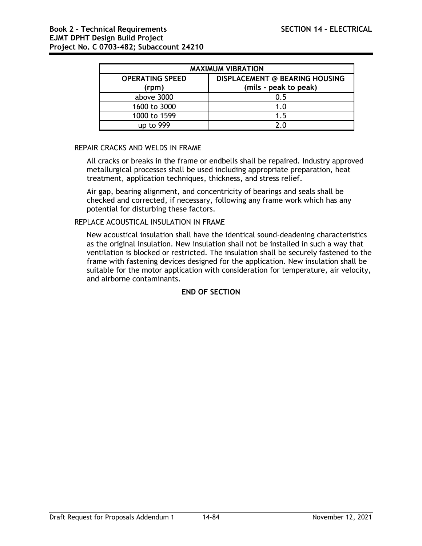| <b>MAXIMUM VIBRATION</b>        |                                                                |  |  |
|---------------------------------|----------------------------------------------------------------|--|--|
| <b>OPERATING SPEED</b><br>(rpm) | <b>DISPLACEMENT @ BEARING HOUSING</b><br>(mils - peak to peak) |  |  |
| above 3000                      | 0.5                                                            |  |  |
| 1600 to 3000                    | 1.0                                                            |  |  |
| 1000 to 1599                    | 1.5                                                            |  |  |
| up to 999                       | ን በ                                                            |  |  |

# REPAIR CRACKS AND WELDS IN FRAME

All cracks or breaks in the frame or endbells shall be repaired. Industry approved metallurgical processes shall be used including appropriate preparation, heat treatment, application techniques, thickness, and stress relief.

Air gap, bearing alignment, and concentricity of bearings and seals shall be checked and corrected, if necessary, following any frame work which has any potential for disturbing these factors.

## REPLACE ACOUSTICAL INSULATION IN FRAME

New acoustical insulation shall have the identical sound-deadening characteristics as the original insulation. New insulation shall not be installed in such a way that ventilation is blocked or restricted. The insulation shall be securely fastened to the frame with fastening devices designed for the application. New insulation shall be suitable for the motor application with consideration for temperature, air velocity, and airborne contaminants.

# **END OF SECTION**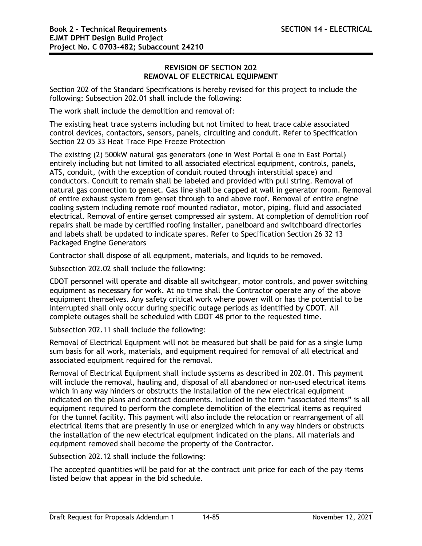## **REVISION OF SECTION 202 REMOVAL OF ELECTRICAL EQUIPMENT**

Section 202 of the Standard Specifications is hereby revised for this project to include the following: Subsection 202.01 shall include the following:

The work shall include the demolition and removal of:

The existing heat trace systems including but not limited to heat trace cable associated control devices, contactors, sensors, panels, circuiting and conduit. Refer to Specification Section 22 05 33 Heat Trace Pipe Freeze Protection

The existing (2) 500kW natural gas generators (one in West Portal & one in East Portal) entirely including but not limited to all associated electrical equipment, controls, panels, ATS, conduit, (with the exception of conduit routed through interstitial space) and conductors. Conduit to remain shall be labeled and provided with pull string. Removal of natural gas connection to genset. Gas line shall be capped at wall in generator room. Removal of entire exhaust system from genset through to and above roof. Removal of entire engine cooling system including remote roof mounted radiator, motor, piping, fluid and associated electrical. Removal of entire genset compressed air system. At completion of demolition roof repairs shall be made by certified roofing installer, panelboard and switchboard directories and labels shall be updated to indicate spares. Refer to Specification Section 26 32 13 Packaged Engine Generators

Contractor shall dispose of all equipment, materials, and liquids to be removed.

Subsection 202.02 shall include the following:

CDOT personnel will operate and disable all switchgear, motor controls, and power switching equipment as necessary for work. At no time shall the Contractor operate any of the above equipment themselves. Any safety critical work where power will or has the potential to be interrupted shall only occur during specific outage periods as identified by CDOT. All complete outages shall be scheduled with CDOT 48 prior to the requested time.

Subsection 202.11 shall include the following:

Removal of Electrical Equipment will not be measured but shall be paid for as a single lump sum basis for all work, materials, and equipment required for removal of all electrical and associated equipment required for the removal.

Removal of Electrical Equipment shall include systems as described in 202.01. This payment will include the removal, hauling and, disposal of all abandoned or non-used electrical items which in any way hinders or obstructs the installation of the new electrical equipment indicated on the plans and contract documents. Included in the term "associated items" is all equipment required to perform the complete demolition of the electrical items as required for the tunnel facility. This payment will also include the relocation or rearrangement of all electrical items that are presently in use or energized which in any way hinders or obstructs the installation of the new electrical equipment indicated on the plans. All materials and equipment removed shall become the property of the Contractor.

Subsection 202.12 shall include the following:

The accepted quantities will be paid for at the contract unit price for each of the pay items listed below that appear in the bid schedule.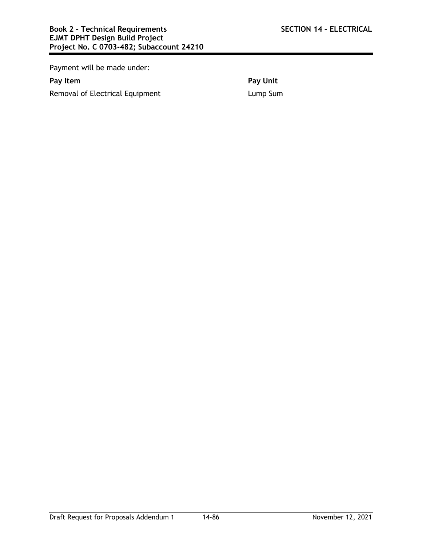Payment will be made under:

Removal of Electrical Equipment **Lump Sum** 

**Pay Item Pay Unit**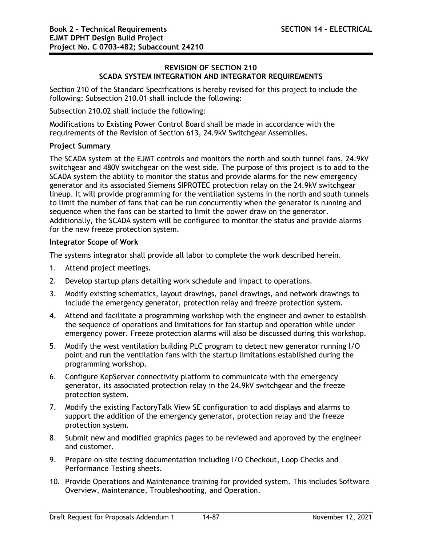## **REVISION OF SECTION 210 SCADA SYSTEM INTEGRATION AND INTEGRATOR REQUIREMENTS**

Section 210 of the Standard Specifications is hereby revised for this project to include the following: Subsection 210.01 shall include the following:

Subsection 210.02 shall include the following:

Modifications to Existing Power Control Board shall be made in accordance with the requirements of the Revision of Section 613, 24.9kV Switchgear Assemblies.

# **Project Summary**

The SCADA system at the EJMT controls and monitors the north and south tunnel fans, 24.9kV switchgear and 480V switchgear on the west side. The purpose of this project is to add to the SCADA system the ability to monitor the status and provide alarms for the new emergency generator and its associated Siemens SIPROTEC protection relay on the 24.9kV switchgear lineup. It will provide programming for the ventilation systems in the north and south tunnels to limit the number of fans that can be run concurrently when the generator is running and sequence when the fans can be started to limit the power draw on the generator. Additionally, the SCADA system will be configured to monitor the status and provide alarms for the new freeze protection system.

## **Integrator Scope of Work**

The systems integrator shall provide all labor to complete the work described herein.

- 1. Attend project meetings.
- 2. Develop startup plans detailing work schedule and impact to operations.
- 3. Modify existing schematics, layout drawings, panel drawings, and network drawings to include the emergency generator, protection relay and freeze protection system.
- 4. Attend and facilitate a programming workshop with the engineer and owner to establish the sequence of operations and limitations for fan startup and operation while under emergency power. Freeze protection alarms will also be discussed during this workshop.
- 5. Modify the west ventilation building PLC program to detect new generator running I/O point and run the ventilation fans with the startup limitations established during the programming workshop.
- 6. Configure KepServer connectivity platform to communicate with the emergency generator, its associated protection relay in the 24.9kV switchgear and the freeze protection system.
- 7. Modify the existing FactoryTalk View SE configuration to add displays and alarms to support the addition of the emergency generator, protection relay and the freeze protection system.
- 8. Submit new and modified graphics pages to be reviewed and approved by the engineer and customer.
- 9. Prepare on-site testing documentation including I/O Checkout, Loop Checks and Performance Testing sheets.
- 10. Provide Operations and Maintenance training for provided system. This includes Software Overview, Maintenance, Troubleshooting, and Operation.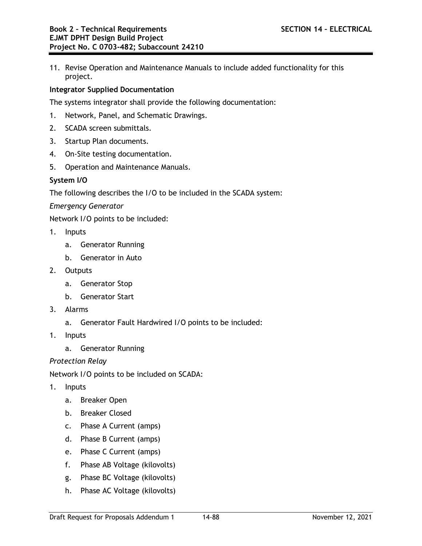11. Revise Operation and Maintenance Manuals to include added functionality for this project.

# **Integrator Supplied Documentation**

The systems integrator shall provide the following documentation:

- 1. Network, Panel, and Schematic Drawings.
- 2. SCADA screen submittals.
- 3. Startup Plan documents.
- 4. On-Site testing documentation.
- 5. Operation and Maintenance Manuals.

## **System I/O**

The following describes the I/O to be included in the SCADA system:

*Emergency Generator*

Network I/O points to be included:

- 1. Inputs
	- a. Generator Running
	- b. Generator in Auto
- 2. Outputs
	- a. Generator Stop
	- b. Generator Start
- 3. Alarms
	- a. Generator Fault Hardwired I/O points to be included:
- 1. Inputs
	- a. Generator Running

#### *Protection Relay*

Network I/O points to be included on SCADA:

- 1. Inputs
	- a. Breaker Open
	- b. Breaker Closed
	- c. Phase A Current (amps)
	- d. Phase B Current (amps)
	- e. Phase C Current (amps)
	- f. Phase AB Voltage (kilovolts)
	- g. Phase BC Voltage (kilovolts)
	- h. Phase AC Voltage (kilovolts)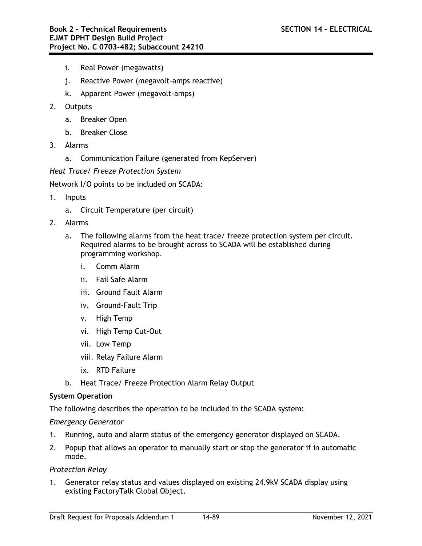- i. Real Power (megawatts)
- j. Reactive Power (megavolt-amps reactive)
- k. Apparent Power (megavolt-amps)
- 2. Outputs
	- a. Breaker Open
	- b. Breaker Close
- 3. Alarms
	- a. Communication Failure (generated from KepServer)
- *Heat Trace/ Freeze Protection System*

Network I/O points to be included on SCADA:

- 1. Inputs
	- a. Circuit Temperature (per circuit)
- 2. Alarms
	- a. The following alarms from the heat trace/ freeze protection system per circuit. Required alarms to be brought across to SCADA will be established during programming workshop.
		- i. Comm Alarm
		- ii. Fail Safe Alarm
		- iii. Ground Fault Alarm
		- iv. Ground-Fault Trip
		- v. High Temp
		- vi. High Temp Cut-Out
		- vii. Low Temp
		- viii. Relay Failure Alarm
		- ix. RTD Failure
	- b. Heat Trace/ Freeze Protection Alarm Relay Output

# **System Operation**

The following describes the operation to be included in the SCADA system:

# *Emergency Generator*

- 1. Running, auto and alarm status of the emergency generator displayed on SCADA.
- 2. Popup that allows an operator to manually start or stop the generator if in automatic mode.

# *Protection Relay*

1. Generator relay status and values displayed on existing 24.9kV SCADA display using existing FactoryTalk Global Object.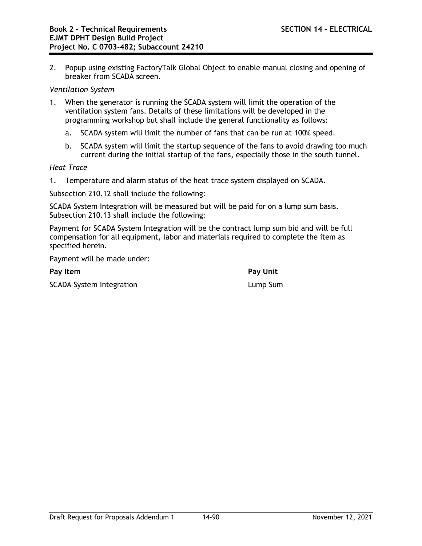2. Popup using existing FactoryTalk Global Object to enable manual closing and opening of breaker from SCADA screen.

#### *Ventilation System*

- 1. When the generator is running the SCADA system will limit the operation of the ventilation system fans. Details of these limitations will be developed in the programming workshop but shall include the general functionality as follows:
	- a. SCADA system will limit the number of fans that can be run at 100% speed.
	- b. SCADA system will limit the startup sequence of the fans to avoid drawing too much current during the initial startup of the fans, especially those in the south tunnel.

#### *Heat Trace*

1. Temperature and alarm status of the heat trace system displayed on SCADA.

Subsection 210.12 shall include the following:

SCADA System Integration will be measured but will be paid for on a lump sum basis. Subsection 210.13 shall include the following:

Payment for SCADA System Integration will be the contract lump sum bid and will be full compensation for all equipment, labor and materials required to complete the item as specified herein.

Payment will be made under:

**Pay Item Pay Unit** SCADA System Integration **Lump Sum** 

Draft Request for Proposals Addendum 1 14-90 November 12, 2021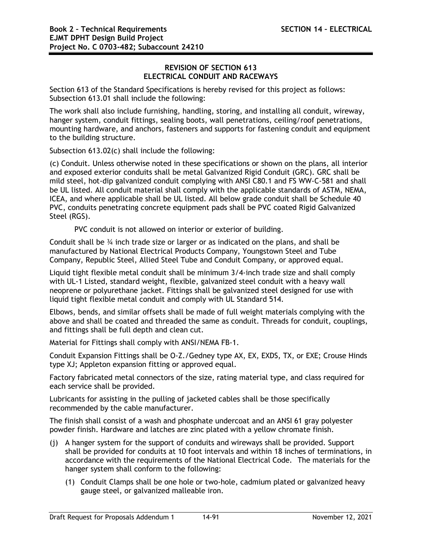# **REVISION OF SECTION 613 ELECTRICAL CONDUIT AND RACEWAYS**

Section 613 of the Standard Specifications is hereby revised for this project as follows: Subsection 613.01 shall include the following:

The work shall also include furnishing, handling, storing, and installing all conduit, wireway, hanger system, conduit fittings, sealing boots, wall penetrations, ceiling/roof penetrations, mounting hardware, and anchors, fasteners and supports for fastening conduit and equipment to the building structure.

Subsection 613.02(c) shall include the following:

(c) Conduit. Unless otherwise noted in these specifications or shown on the plans, all interior and exposed exterior conduits shall be metal Galvanized Rigid Conduit (GRC). GRC shall be mild steel, hot-dip galvanized conduit complying with ANSI C80.1 and FS WW-C-581 and shall be UL listed. All conduit material shall comply with the applicable standards of ASTM, NEMA, ICEA, and where applicable shall be UL listed. All below grade conduit shall be Schedule 40 PVC, conduits penetrating concrete equipment pads shall be PVC coated Rigid Galvanized Steel (RGS).

PVC conduit is not allowed on interior or exterior of building.

Conduit shall be ¾ inch trade size or larger or as indicated on the plans, and shall be manufactured by National Electrical Products Company, Youngstown Steel and Tube Company, Republic Steel, Allied Steel Tube and Conduit Company, or approved equal.

Liquid tight flexible metal conduit shall be minimum 3/4-inch trade size and shall comply with UL-1 Listed, standard weight, flexible, galvanized steel conduit with a heavy wall neoprene or polyurethane jacket. Fittings shall be galvanized steel designed for use with liquid tight flexible metal conduit and comply with UL Standard 514.

Elbows, bends, and similar offsets shall be made of full weight materials complying with the above and shall be coated and threaded the same as conduit. Threads for conduit, couplings, and fittings shall be full depth and clean cut.

Material for Fittings shall comply with ANSI/NEMA FB-1.

Conduit Expansion Fittings shall be O-Z./Gedney type AX, EX, EXDS, TX, or EXE; Crouse Hinds type XJ; Appleton expansion fitting or approved equal.

Factory fabricated metal connectors of the size, rating material type, and class required for each service shall be provided.

Lubricants for assisting in the pulling of jacketed cables shall be those specifically recommended by the cable manufacturer.

The finish shall consist of a wash and phosphate undercoat and an ANSI 61 gray polyester powder finish. Hardware and latches are zinc plated with a yellow chromate finish.

- (j) A hanger system for the support of conduits and wireways shall be provided. Support shall be provided for conduits at 10 foot intervals and within 18 inches of terminations, in accordance with the requirements of the National Electrical Code. The materials for the hanger system shall conform to the following:
	- (1) Conduit Clamps shall be one hole or two-hole, cadmium plated or galvanized heavy gauge steel, or galvanized malleable iron.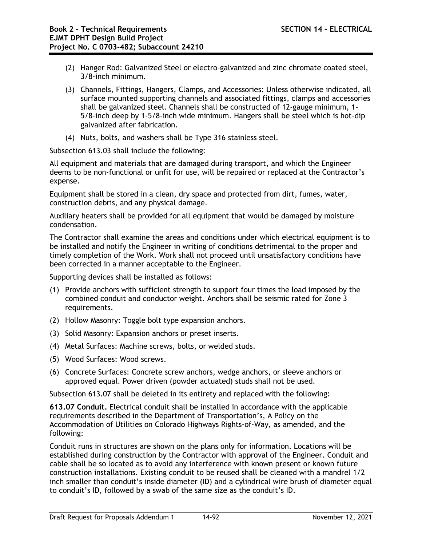- (2) Hanger Rod: Galvanized Steel or electro-galvanized and zinc chromate coated steel, 3/8-inch minimum.
- (3) Channels, Fittings, Hangers, Clamps, and Accessories: Unless otherwise indicated, all surface mounted supporting channels and associated fittings, clamps and accessories shall be galvanized steel. Channels shall be constructed of 12-gauge minimum, 1- 5/8-inch deep by 1-5/8-inch wide minimum. Hangers shall be steel which is hot-dip galvanized after fabrication.
- (4) Nuts, bolts, and washers shall be Type 316 stainless steel.

Subsection 613.03 shall include the following:

All equipment and materials that are damaged during transport, and which the Engineer deems to be non-functional or unfit for use, will be repaired or replaced at the Contractor's expense.

Equipment shall be stored in a clean, dry space and protected from dirt, fumes, water, construction debris, and any physical damage.

Auxiliary heaters shall be provided for all equipment that would be damaged by moisture condensation.

The Contractor shall examine the areas and conditions under which electrical equipment is to be installed and notify the Engineer in writing of conditions detrimental to the proper and timely completion of the Work. Work shall not proceed until unsatisfactory conditions have been corrected in a manner acceptable to the Engineer.

Supporting devices shall be installed as follows:

- (1) Provide anchors with sufficient strength to support four times the load imposed by the combined conduit and conductor weight. Anchors shall be seismic rated for Zone 3 requirements.
- (2) Hollow Masonry: Toggle bolt type expansion anchors.
- (3) Solid Masonry: Expansion anchors or preset inserts.
- (4) Metal Surfaces: Machine screws, bolts, or welded studs.
- (5) Wood Surfaces: Wood screws.
- (6) Concrete Surfaces: Concrete screw anchors, wedge anchors, or sleeve anchors or approved equal. Power driven (powder actuated) studs shall not be used.

Subsection 613.07 shall be deleted in its entirety and replaced with the following:

**613.07 Conduit.** Electrical conduit shall be installed in accordance with the applicable requirements described in the Department of Transportation's, A Policy on the Accommodation of Utilities on Colorado Highways Rights-of-Way, as amended, and the following:

Conduit runs in structures are shown on the plans only for information. Locations will be established during construction by the Contractor with approval of the Engineer. Conduit and cable shall be so located as to avoid any interference with known present or known future construction installations. Existing conduit to be reused shall be cleaned with a mandrel 1/2 inch smaller than conduit's inside diameter (ID) and a cylindrical wire brush of diameter equal to conduit's ID, followed by a swab of the same size as the conduit's ID.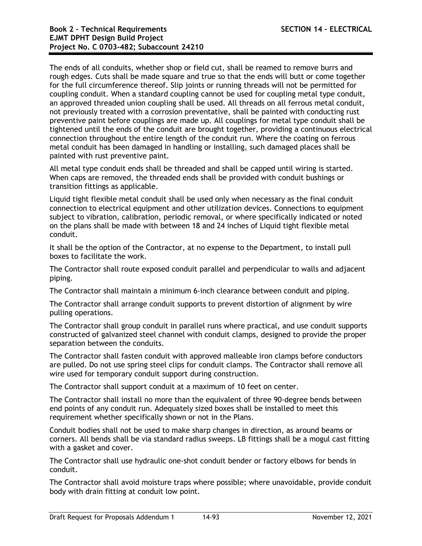The ends of all conduits, whether shop or field cut, shall be reamed to remove burrs and rough edges. Cuts shall be made square and true so that the ends will butt or come together for the full circumference thereof. Slip joints or running threads will not be permitted for coupling conduit. When a standard coupling cannot be used for coupling metal type conduit, an approved threaded union coupling shall be used. All threads on all ferrous metal conduit, not previously treated with a corrosion preventative, shall be painted with conducting rust preventive paint before couplings are made up. All couplings for metal type conduit shall be tightened until the ends of the conduit are brought together, providing a continuous electrical connection throughout the entire length of the conduit run. Where the coating on ferrous metal conduit has been damaged in handling or installing, such damaged places shall be painted with rust preventive paint.

All metal type conduit ends shall be threaded and shall be capped until wiring is started. When caps are removed, the threaded ends shall be provided with conduit bushings or transition fittings as applicable.

Liquid tight flexible metal conduit shall be used only when necessary as the final conduit connection to electrical equipment and other utilization devices. Connections to equipment subject to vibration, calibration, periodic removal, or where specifically indicated or noted on the plans shall be made with between 18 and 24 inches of Liquid tight flexible metal conduit.

It shall be the option of the Contractor, at no expense to the Department, to install pull boxes to facilitate the work.

The Contractor shall route exposed conduit parallel and perpendicular to walls and adjacent piping.

The Contractor shall maintain a minimum 6-inch clearance between conduit and piping.

The Contractor shall arrange conduit supports to prevent distortion of alignment by wire pulling operations.

The Contractor shall group conduit in parallel runs where practical, and use conduit supports constructed of galvanized steel channel with conduit clamps, designed to provide the proper separation between the conduits.

The Contractor shall fasten conduit with approved malleable iron clamps before conductors are pulled. Do not use spring steel clips for conduit clamps. The Contractor shall remove all wire used for temporary conduit support during construction.

The Contractor shall support conduit at a maximum of 10 feet on center.

The Contractor shall install no more than the equivalent of three 90-degree bends between end points of any conduit run. Adequately sized boxes shall be installed to meet this requirement whether specifically shown or not in the Plans.

Conduit bodies shall not be used to make sharp changes in direction, as around beams or corners. All bends shall be via standard radius sweeps. LB fittings shall be a mogul cast fitting with a gasket and cover.

The Contractor shall use hydraulic one-shot conduit bender or factory elbows for bends in conduit.

The Contractor shall avoid moisture traps where possible; where unavoidable, provide conduit body with drain fitting at conduit low point.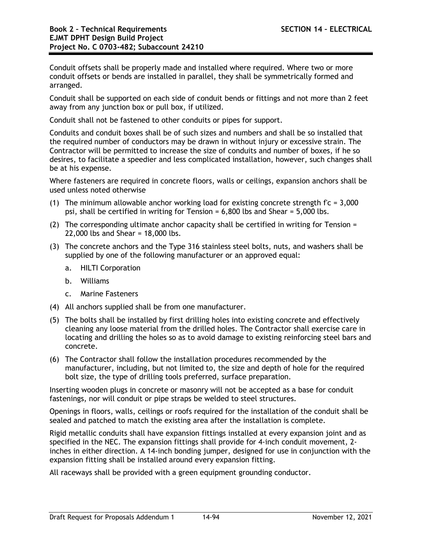Conduit offsets shall be properly made and installed where required. Where two or more conduit offsets or bends are installed in parallel, they shall be symmetrically formed and arranged.

Conduit shall be supported on each side of conduit bends or fittings and not more than 2 feet away from any junction box or pull box, if utilized.

Conduit shall not be fastened to other conduits or pipes for support.

Conduits and conduit boxes shall be of such sizes and numbers and shall be so installed that the required number of conductors may be drawn in without injury or excessive strain. The Contractor will be permitted to increase the size of conduits and number of boxes, if he so desires, to facilitate a speedier and less complicated installation, however, such changes shall be at his expense.

Where fasteners are required in concrete floors, walls or ceilings, expansion anchors shall be used unless noted otherwise

- (1) The minimum allowable anchor working load for existing concrete strength  $fc = 3,000$ psi, shall be certified in writing for Tension = 6,800 lbs and Shear = 5,000 lbs.
- (2) The corresponding ultimate anchor capacity shall be certified in writing for Tension = 22,000 lbs and Shear = 18,000 lbs.
- (3) The concrete anchors and the Type 316 stainless steel bolts, nuts, and washers shall be supplied by one of the following manufacturer or an approved equal:
	- a. HILTI Corporation
	- b. Williams
	- c. Marine Fasteners
- (4) All anchors supplied shall be from one manufacturer.
- (5) The bolts shall be installed by first drilling holes into existing concrete and effectively cleaning any loose material from the drilled holes. The Contractor shall exercise care in locating and drilling the holes so as to avoid damage to existing reinforcing steel bars and concrete.
- (6) The Contractor shall follow the installation procedures recommended by the manufacturer, including, but not limited to, the size and depth of hole for the required bolt size, the type of drilling tools preferred, surface preparation.

Inserting wooden plugs in concrete or masonry will not be accepted as a base for conduit fastenings, nor will conduit or pipe straps be welded to steel structures.

Openings in floors, walls, ceilings or roofs required for the installation of the conduit shall be sealed and patched to match the existing area after the installation is complete.

Rigid metallic conduits shall have expansion fittings installed at every expansion joint and as specified in the NEC. The expansion fittings shall provide for 4-inch conduit movement, 2 inches in either direction. A 14-inch bonding jumper, designed for use in conjunction with the expansion fitting shall be installed around every expansion fitting.

All raceways shall be provided with a green equipment grounding conductor.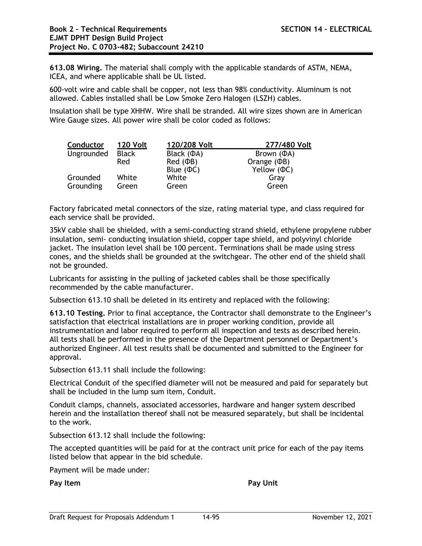**613.08 Wiring.** The material shall comply with the applicable standards of ASTM, NEMA, ICEA, and where applicable shall be UL listed.

600-volt wire and cable shall be copper, not less than 98% conductivity. Aluminum is not allowed. Cables installed shall be Low Smoke Zero Halogen (LSZH) cables.

Insulation shall be type XHHW. Wire shall be stranded. All wire sizes shown are in American Wire Gauge sizes. All power wire shall be color coded as follows:

| <b>Conductor</b> | <b>120 Volt</b> | 120/208 Volt      | 277/480 Volt      |
|------------------|-----------------|-------------------|-------------------|
| Ungrounded       | <b>Black</b>    | Black $(\Phi A)$  | Brown $(\Phi A)$  |
|                  | Red             | $Red$ ( $\Phi$ B) | Orange $(\Phi B)$ |
|                  |                 | Blue $(\Phi C)$   | Yellow (ФС)       |
| Grounded         | White           | White             | Gray              |
| Grounding        | Green           | Green             | Green             |

Factory fabricated metal connectors of the size, rating material type, and class required for each service shall be provided.

35kV cable shall be shielded, with a semi-conducting strand shield, ethylene propylene rubber insulation, semi- conducting insulation shield, copper tape shield, and polyvinyl chloride jacket. The insulation level shall be 100 percent. Terminations shall be made using stress cones, and the shields shall be grounded at the switchgear. The other end of the shield shall not be grounded.

Lubricants for assisting in the pulling of jacketed cables shall be those specifically recommended by the cable manufacturer.

Subsection 613.10 shall be deleted in its entirety and replaced with the following:

**613.10 Testing.** Prior to final acceptance, the Contractor shall demonstrate to the Engineer's satisfaction that electrical installations are in proper working condition, provide all instrumentation and labor required to perform all inspection and tests as described herein. All tests shall be performed in the presence of the Department personnel or Department's authorized Engineer. All test results shall be documented and submitted to the Engineer for approval.

Subsection 613.11 shall include the following:

Electrical Conduit of the specified diameter will not be measured and paid for separately but shall be included in the lump sum item, Conduit.

Conduit clamps, channels, associated accessories, hardware and hanger system described herein and the installation thereof shall not be measured separately, but shall be incidental to the work.

Subsection 613.12 shall include the following:

The accepted quantities will be paid for at the contract unit price for each of the pay items listed below that appear in the bid schedule.

Payment will be made under:

**Pay Item Pay Unit**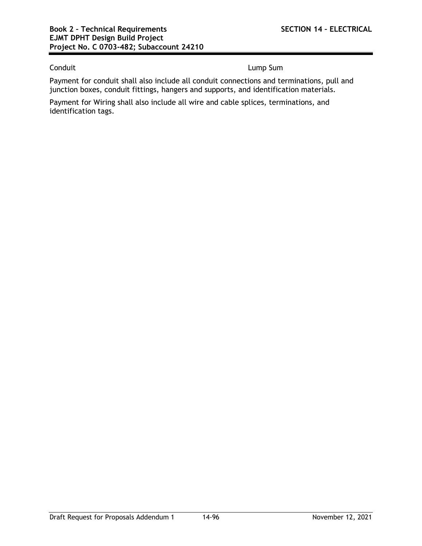Conduit **Lump Sum** 

Payment for conduit shall also include all conduit connections and terminations, pull and junction boxes, conduit fittings, hangers and supports, and identification materials.

Payment for Wiring shall also include all wire and cable splices, terminations, and identification tags.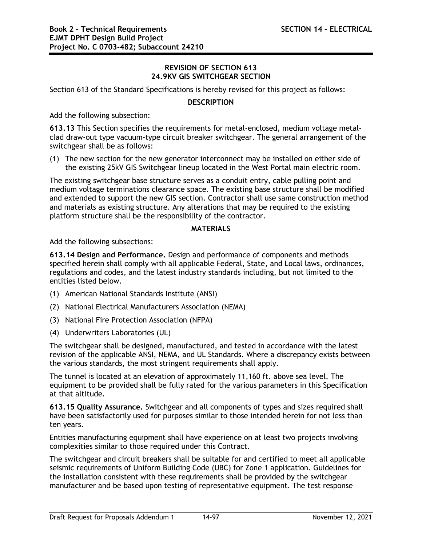# **REVISION OF SECTION 613 24.9KV GIS SWITCHGEAR SECTION**

Section 613 of the Standard Specifications is hereby revised for this project as follows:

# **DESCRIPTION**

Add the following subsection:

**613.13** This Section specifies the requirements for metal-enclosed, medium voltage metalclad draw-out type vacuum-type circuit breaker switchgear. The general arrangement of the switchgear shall be as follows:

(1) The new section for the new generator interconnect may be installed on either side of the existing 25kV GIS Switchgear lineup located in the West Portal main electric room.

The existing switchgear base structure serves as a conduit entry, cable pulling point and medium voltage terminations clearance space. The existing base structure shall be modified and extended to support the new GIS section. Contractor shall use same construction method and materials as existing structure. Any alterations that may be required to the existing platform structure shall be the responsibility of the contractor.

# **MATERIALS**

Add the following subsections:

**613.14 Design and Performance.** Design and performance of components and methods specified herein shall comply with all applicable Federal, State, and Local laws, ordinances, regulations and codes, and the latest industry standards including, but not limited to the entities listed below.

- (1) American National Standards Institute (ANSI)
- (2) National Electrical Manufacturers Association (NEMA)
- (3) National Fire Protection Association (NFPA)
- (4) Underwriters Laboratories (UL)

The switchgear shall be designed, manufactured, and tested in accordance with the latest revision of the applicable ANSI, NEMA, and UL Standards. Where a discrepancy exists between the various standards, the most stringent requirements shall apply.

The tunnel is located at an elevation of approximately 11,160 ft. above sea level. The equipment to be provided shall be fully rated for the various parameters in this Specification at that altitude.

**613.15 Quality Assurance.** Switchgear and all components of types and sizes required shall have been satisfactorily used for purposes similar to those intended herein for not less than ten years.

Entities manufacturing equipment shall have experience on at least two projects involving complexities similar to those required under this Contract.

The switchgear and circuit breakers shall be suitable for and certified to meet all applicable seismic requirements of Uniform Building Code (UBC) for Zone 1 application. Guidelines for the installation consistent with these requirements shall be provided by the switchgear manufacturer and be based upon testing of representative equipment. The test response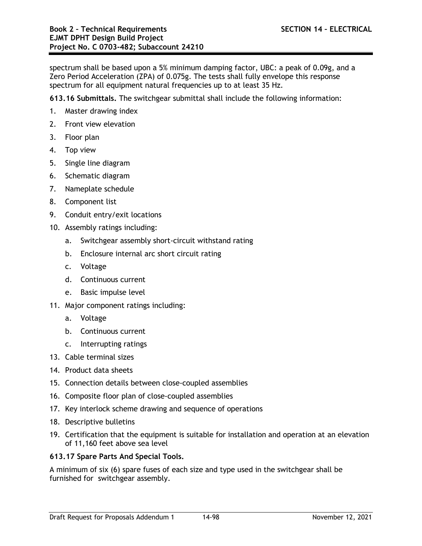spectrum shall be based upon a 5% minimum damping factor, UBC: a peak of 0.09g, and a Zero Period Acceleration (ZPA) of 0.075g. The tests shall fully envelope this response spectrum for all equipment natural frequencies up to at least 35 Hz.

**613.16 Submittals.** The switchgear submittal shall include the following information:

- 1. Master drawing index
- 2. Front view elevation
- 3. Floor plan
- 4. Top view
- 5. Single line diagram
- 6. Schematic diagram
- 7. Nameplate schedule
- 8. Component list
- 9. Conduit entry/exit locations
- 10. Assembly ratings including:
	- a. Switchgear assembly short-circuit withstand rating
	- b. Enclosure internal arc short circuit rating
	- c. Voltage
	- d. Continuous current
	- e. Basic impulse level
- 11. Major component ratings including:
	- a. Voltage
	- b. Continuous current
	- c. Interrupting ratings
- 13. Cable terminal sizes
- 14. Product data sheets
- 15. Connection details between close-coupled assemblies
- 16. Composite floor plan of close-coupled assemblies
- 17. Key interlock scheme drawing and sequence of operations
- 18. Descriptive bulletins
- 19. Certification that the equipment is suitable for installation and operation at an elevation of 11,160 feet above sea level

# **613.17 Spare Parts And Special Tools.**

A minimum of six (6) spare fuses of each size and type used in the switchgear shall be furnished for switchgear assembly.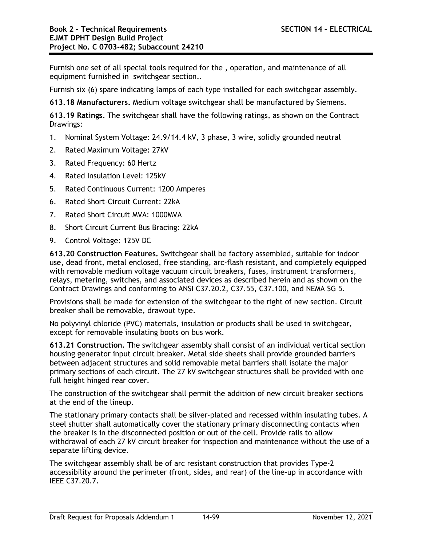Furnish one set of all special tools required for the , operation, and maintenance of all equipment furnished in switchgear section..

Furnish six (6) spare indicating lamps of each type installed for each switchgear assembly.

**613.18 Manufacturers.** Medium voltage switchgear shall be manufactured by Siemens.

**613.19 Ratings.** The switchgear shall have the following ratings, as shown on the Contract Drawings:

- 1. Nominal System Voltage: 24.9/14.4 kV, 3 phase, 3 wire, solidly grounded neutral
- 2. Rated Maximum Voltage: 27kV
- 3. Rated Frequency: 60 Hertz
- 4. Rated Insulation Level: 125kV
- 5. Rated Continuous Current: 1200 Amperes
- 6. Rated Short-Circuit Current: 22kA
- 7. Rated Short Circuit MVA: 1000MVA
- 8. Short Circuit Current Bus Bracing: 22kA
- 9. Control Voltage: 125V DC

**613.20 Construction Features.** Switchgear shall be factory assembled, suitable for indoor use, dead front, metal enclosed, free standing, arc-flash resistant, and completely equipped with removable medium voltage vacuum circuit breakers, fuses, instrument transformers, relays, metering, switches, and associated devices as described herein and as shown on the Contract Drawings and conforming to ANSI C37.20.2, C37.55, C37.100, and NEMA SG 5.

Provisions shall be made for extension of the switchgear to the right of new section. Circuit breaker shall be removable, drawout type.

No polyvinyl chloride (PVC) materials, insulation or products shall be used in switchgear, except for removable insulating boots on bus work.

**613.21 Construction.** The switchgear assembly shall consist of an individual vertical section housing generator input circuit breaker. Metal side sheets shall provide grounded barriers between adjacent structures and solid removable metal barriers shall isolate the major primary sections of each circuit. The 27 kV switchgear structures shall be provided with one full height hinged rear cover.

The construction of the switchgear shall permit the addition of new circuit breaker sections at the end of the lineup.

The stationary primary contacts shall be silver-plated and recessed within insulating tubes. A steel shutter shall automatically cover the stationary primary disconnecting contacts when the breaker is in the disconnected position or out of the cell. Provide rails to allow withdrawal of each 27 kV circuit breaker for inspection and maintenance without the use of a separate lifting device.

The switchgear assembly shall be of arc resistant construction that provides Type-2 accessibility around the perimeter (front, sides, and rear) of the line-up in accordance with IEEE C37.20.7.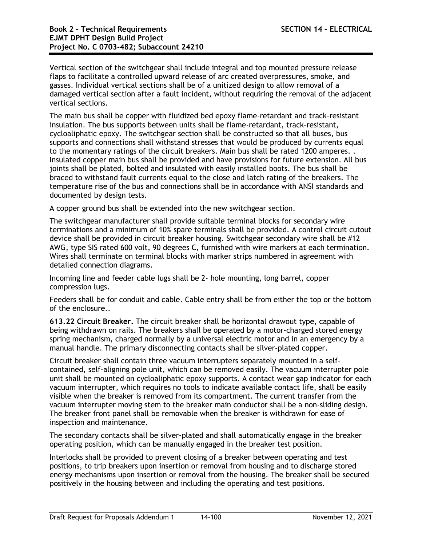Vertical section of the switchgear shall include integral and top mounted pressure release flaps to facilitate a controlled upward release of arc created overpressures, smoke, and gasses. Individual vertical sections shall be of a unitized design to allow removal of a damaged vertical section after a fault incident, without requiring the removal of the adjacent vertical sections.

The main bus shall be copper with fluidized bed epoxy flame-retardant and track-resistant insulation. The bus supports between units shall be flame-retardant, track-resistant, cycloaliphatic epoxy. The switchgear section shall be constructed so that all buses, bus supports and connections shall withstand stresses that would be produced by currents equal to the momentary ratings of the circuit breakers. Main bus shall be rated 1200 amperes. . Insulated copper main bus shall be provided and have provisions for future extension. All bus joints shall be plated, bolted and insulated with easily installed boots. The bus shall be braced to withstand fault currents equal to the close and latch rating of the breakers. The temperature rise of the bus and connections shall be in accordance with ANSI standards and documented by design tests.

A copper ground bus shall be extended into the new switchgear section.

The switchgear manufacturer shall provide suitable terminal blocks for secondary wire terminations and a minimum of 10% spare terminals shall be provided. A control circuit cutout device shall be provided in circuit breaker housing. Switchgear secondary wire shall be #12 AWG, type SIS rated 600 volt, 90 degrees C, furnished with wire markers at each termination. Wires shall terminate on terminal blocks with marker strips numbered in agreement with detailed connection diagrams.

Incoming line and feeder cable lugs shall be 2- hole mounting, long barrel, copper compression lugs.

Feeders shall be for conduit and cable. Cable entry shall be from either the top or the bottom of the enclosure..

**613.22 Circuit Breaker.** The circuit breaker shall be horizontal drawout type, capable of being withdrawn on rails. The breakers shall be operated by a motor-charged stored energy spring mechanism, charged normally by a universal electric motor and in an emergency by a manual handle. The primary disconnecting contacts shall be silver-plated copper.

Circuit breaker shall contain three vacuum interrupters separately mounted in a selfcontained, self-aligning pole unit, which can be removed easily. The vacuum interrupter pole unit shall be mounted on cycloaliphatic epoxy supports. A contact wear gap indicator for each vacuum interrupter, which requires no tools to indicate available contact life, shall be easily visible when the breaker is removed from its compartment. The current transfer from the vacuum interrupter moving stem to the breaker main conductor shall be a non-sliding design. The breaker front panel shall be removable when the breaker is withdrawn for ease of inspection and maintenance.

The secondary contacts shall be silver-plated and shall automatically engage in the breaker operating position, which can be manually engaged in the breaker test position.

Interlocks shall be provided to prevent closing of a breaker between operating and test positions, to trip breakers upon insertion or removal from housing and to discharge stored energy mechanisms upon insertion or removal from the housing. The breaker shall be secured positively in the housing between and including the operating and test positions.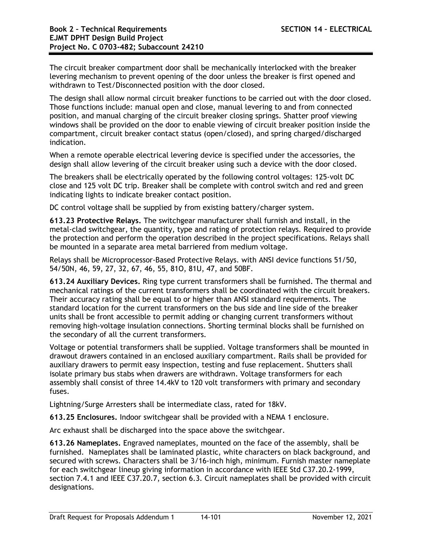The circuit breaker compartment door shall be mechanically interlocked with the breaker levering mechanism to prevent opening of the door unless the breaker is first opened and withdrawn to Test/Disconnected position with the door closed.

The design shall allow normal circuit breaker functions to be carried out with the door closed. Those functions include: manual open and close, manual levering to and from connected position, and manual charging of the circuit breaker closing springs. Shatter proof viewing windows shall be provided on the door to enable viewing of circuit breaker position inside the compartment, circuit breaker contact status (open/closed), and spring charged/discharged indication.

When a remote operable electrical levering device is specified under the accessories, the design shall allow levering of the circuit breaker using such a device with the door closed.

The breakers shall be electrically operated by the following control voltages: 125-volt DC close and 125 volt DC trip. Breaker shall be complete with control switch and red and green indicating lights to indicate breaker contact position.

DC control voltage shall be supplied by from existing battery/charger system.

**613.23 Protective Relays.** The switchgear manufacturer shall furnish and install, in the metal-clad switchgear, the quantity, type and rating of protection relays. Required to provide the protection and perform the operation described in the project specifications. Relays shall be mounted in a separate area metal barriered from medium voltage.

Relays shall be Microprocessor-Based Protective Relays. with ANSI device functions 51/50, 54/50N, 46, 59, 27, 32, 67, 46, 55, 81O, 81U, 47, and 50BF.

**613.24 Auxiliary Devices.** Ring type current transformers shall be furnished. The thermal and mechanical ratings of the current transformers shall be coordinated with the circuit breakers. Their accuracy rating shall be equal to or higher than ANSI standard requirements. The standard location for the current transformers on the bus side and line side of the breaker units shall be front accessible to permit adding or changing current transformers without removing high-voltage insulation connections. Shorting terminal blocks shall be furnished on the secondary of all the current transformers.

Voltage or potential transformers shall be supplied. Voltage transformers shall be mounted in drawout drawers contained in an enclosed auxiliary compartment. Rails shall be provided for auxiliary drawers to permit easy inspection, testing and fuse replacement. Shutters shall isolate primary bus stabs when drawers are withdrawn. Voltage transformers for each assembly shall consist of three 14.4kV to 120 volt transformers with primary and secondary fuses.

Lightning/Surge Arresters shall be intermediate class, rated for 18kV.

**613.25 Enclosures.** Indoor switchgear shall be provided with a NEMA 1 enclosure.

Arc exhaust shall be discharged into the space above the switchgear.

**613.26 Nameplates.** Engraved nameplates, mounted on the face of the assembly, shall be furnished. Nameplates shall be laminated plastic, white characters on black background, and secured with screws. Characters shall be 3/16-inch high, minimum. Furnish master nameplate for each switchgear lineup giving information in accordance with IEEE Std C37.20.2-1999, section 7.4.1 and IEEE C37.20.7, section 6.3. Circuit nameplates shall be provided with circuit designations.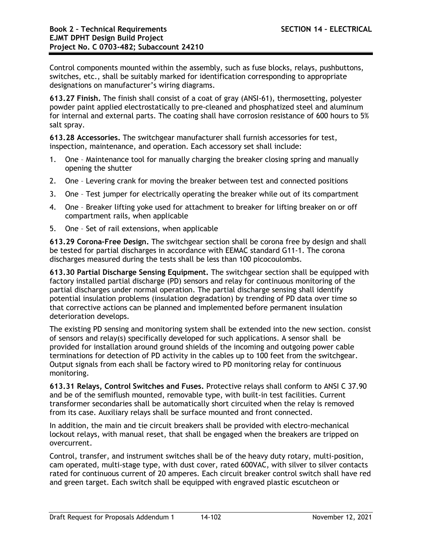Control components mounted within the assembly, such as fuse blocks, relays, pushbuttons, switches, etc., shall be suitably marked for identification corresponding to appropriate designations on manufacturer's wiring diagrams.

**613.27 Finish.** The finish shall consist of a coat of gray (ANSI-61), thermosetting, polyester powder paint applied electrostatically to pre-cleaned and phosphatized steel and aluminum for internal and external parts. The coating shall have corrosion resistance of 600 hours to 5% salt spray.

**613.28 Accessories.** The switchgear manufacturer shall furnish accessories for test, inspection, maintenance, and operation. Each accessory set shall include:

- 1. One Maintenance tool for manually charging the breaker closing spring and manually opening the shutter
- 2. One Levering crank for moving the breaker between test and connected positions
- 3. One Test jumper for electrically operating the breaker while out of its compartment
- 4. One Breaker lifting yoke used for attachment to breaker for lifting breaker on or off compartment rails, when applicable
- 5. One Set of rail extensions, when applicable

**613.29 Corona-Free Design.** The switchgear section shall be corona free by design and shall be tested for partial discharges in accordance with EEMAC standard G11-1. The corona discharges measured during the tests shall be less than 100 picocoulombs.

**613.30 Partial Discharge Sensing Equipment.** The switchgear section shall be equipped with factory installed partial discharge (PD) sensors and relay for continuous monitoring of the partial discharges under normal operation. The partial discharge sensing shall identify potential insulation problems (insulation degradation) by trending of PD data over time so that corrective actions can be planned and implemented before permanent insulation deterioration develops.

The existing PD sensing and monitoring system shall be extended into the new section. consist of sensors and relay(s) specifically developed for such applications. A sensor shall be provided for installation around ground shields of the incoming and outgoing power cable terminations for detection of PD activity in the cables up to 100 feet from the switchgear. Output signals from each shall be factory wired to PD monitoring relay for continuous monitoring.

**613.31 Relays, Control Switches and Fuses.** Protective relays shall conform to ANSI C 37.90 and be of the semiflush mounted, removable type, with built-in test facilities. Current transformer secondaries shall be automatically short circuited when the relay is removed from its case. Auxiliary relays shall be surface mounted and front connected.

In addition, the main and tie circuit breakers shall be provided with electro-mechanical lockout relays, with manual reset, that shall be engaged when the breakers are tripped on overcurrent.

Control, transfer, and instrument switches shall be of the heavy duty rotary, multi-position, cam operated, multi-stage type, with dust cover, rated 600VAC, with silver to silver contacts rated for continuous current of 20 amperes. Each circuit breaker control switch shall have red and green target. Each switch shall be equipped with engraved plastic escutcheon or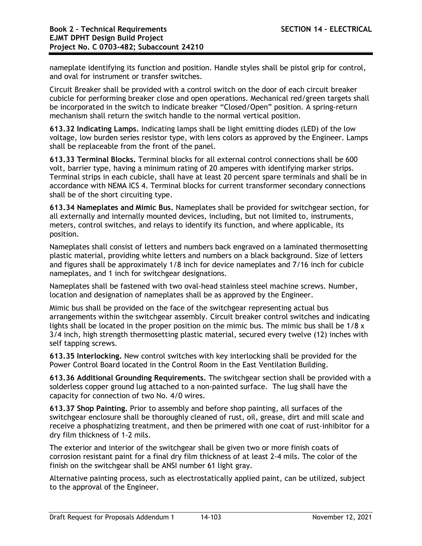nameplate identifying its function and position. Handle styles shall be pistol grip for control, and oval for instrument or transfer switches.

Circuit Breaker shall be provided with a control switch on the door of each circuit breaker cubicle for performing breaker close and open operations. Mechanical red/green targets shall be incorporated in the switch to indicate breaker "Closed/Open" position. A spring-return mechanism shall return the switch handle to the normal vertical position.

**613.32 Indicating Lamps.** Indicating lamps shall be light emitting diodes (LED) of the low voltage, low burden series resistor type, with lens colors as approved by the Engineer. Lamps shall be replaceable from the front of the panel.

**613.33 Terminal Blocks.** Terminal blocks for all external control connections shall be 600 volt, barrier type, having a minimum rating of 20 amperes with identifying marker strips. Terminal strips in each cubicle, shall have at least 20 percent spare terminals and shall be in accordance with NEMA ICS 4. Terminal blocks for current transformer secondary connections shall be of the short circuiting type.

**613.34 Nameplates and Mimic Bus.** Nameplates shall be provided for switchgear section, for all externally and internally mounted devices, including, but not limited to, instruments, meters, control switches, and relays to identify its function, and where applicable, its position.

Nameplates shall consist of letters and numbers back engraved on a laminated thermosetting plastic material, providing white letters and numbers on a black background. Size of letters and figures shall be approximately 1/8 inch for device nameplates and 7/16 inch for cubicle nameplates, and 1 inch for switchgear designations.

Nameplates shall be fastened with two oval-head stainless steel machine screws. Number, location and designation of nameplates shall be as approved by the Engineer.

Mimic bus shall be provided on the face of the switchgear representing actual bus arrangements within the switchgear assembly. Circuit breaker control switches and indicating lights shall be located in the proper position on the mimic bus. The mimic bus shall be  $1/8 \times$ 3/4 inch, high strength thermosetting plastic material, secured every twelve (12) inches with self tapping screws.

**613.35 Interlocking.** New control switches with key interlocking shall be provided for the Power Control Board located in the Control Room in the East Ventilation Building.

**613.36 Additional Grounding Requirements.** The switchgear section shall be provided with a solderless copper ground lug attached to a non-painted surface. The lug shall have the capacity for connection of two No. 4/0 wires.

**613.37 Shop Painting.** Prior to assembly and before shop painting, all surfaces of the switchgear enclosure shall be thoroughly cleaned of rust, oil, grease, dirt and mill scale and receive a phosphatizing treatment, and then be primered with one coat of rust-inhibitor for a dry film thickness of 1-2 mils.

The exterior and interior of the switchgear shall be given two or more finish coats of corrosion resistant paint for a final dry film thickness of at least 2-4 mils. The color of the finish on the switchgear shall be ANSI number 61 light gray.

Alternative painting process, such as electrostatically applied paint, can be utilized, subject to the approval of the Engineer.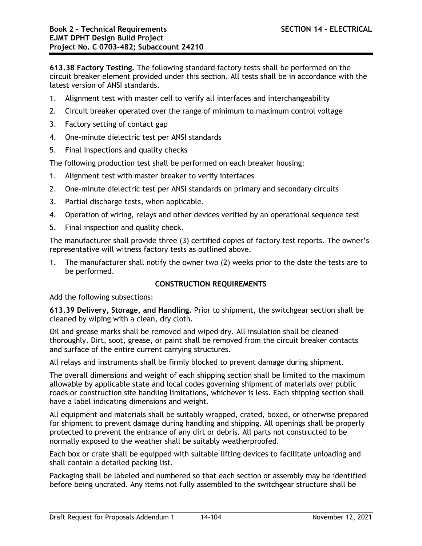**613.38 Factory Testing.** The following standard factory tests shall be performed on the circuit breaker element provided under this section. All tests shall be in accordance with the latest version of ANSI standards.

- 1. Alignment test with master cell to verify all interfaces and interchangeability
- 2. Circuit breaker operated over the range of minimum to maximum control voltage
- 3. Factory setting of contact gap
- 4. One-minute dielectric test per ANSI standards
- 5. Final inspections and quality checks

The following production test shall be performed on each breaker housing:

- 1. Alignment test with master breaker to verify interfaces
- 2. One-minute dielectric test per ANSI standards on primary and secondary circuits
- 3. Partial discharge tests, when applicable.
- 4. Operation of wiring, relays and other devices verified by an operational sequence test
- 5. Final inspection and quality check.

The manufacturer shall provide three (3) certified copies of factory test reports. The owner's representative will witness factory tests as outlined above.

1. The manufacturer shall notify the owner two (2) weeks prior to the date the tests are to be performed.

# **CONSTRUCTION REQUIREMENTS**

Add the following subsections:

**613.39 Delivery, Storage, and Handling.** Prior to shipment, the switchgear section shall be cleaned by wiping with a clean, dry cloth.

Oil and grease marks shall be removed and wiped dry. All insulation shall be cleaned thoroughly. Dirt, soot, grease, or paint shall be removed from the circuit breaker contacts and surface of the entire current carrying structures.

All relays and instruments shall be firmly blocked to prevent damage during shipment.

The overall dimensions and weight of each shipping section shall be limited to the maximum allowable by applicable state and local codes governing shipment of materials over public roads or construction site handling limitations, whichever is less. Each shipping section shall have a label indicating dimensions and weight.

All equipment and materials shall be suitably wrapped, crated, boxed, or otherwise prepared for shipment to prevent damage during handling and shipping. All openings shall be properly protected to prevent the entrance of any dirt or debris. All parts not constructed to be normally exposed to the weather shall be suitably weatherproofed.

Each box or crate shall be equipped with suitable lifting devices to facilitate unloading and shall contain a detailed packing list.

Packaging shall be labeled and numbered so that each section or assembly may be identified before being uncrated. Any items not fully assembled to the switchgear structure shall be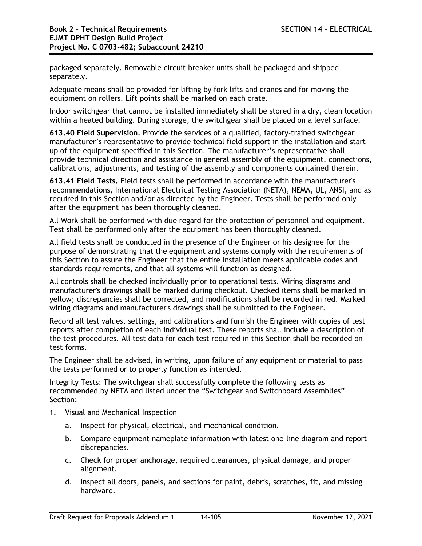packaged separately. Removable circuit breaker units shall be packaged and shipped separately.

Adequate means shall be provided for lifting by fork lifts and cranes and for moving the equipment on rollers. Lift points shall be marked on each crate.

Indoor switchgear that cannot be installed immediately shall be stored in a dry, clean location within a heated building. During storage, the switchgear shall be placed on a level surface.

**613.40 Field Supervision.** Provide the services of a qualified, factory-trained switchgear manufacturer's representative to provide technical field support in the installation and startup of the equipment specified in this Section. The manufacturer's representative shall provide technical direction and assistance in general assembly of the equipment, connections, calibrations, adjustments, and testing of the assembly and components contained therein.

**613.41 Field Tests.** Field tests shall be performed in accordance with the manufacturer's recommendations, International Electrical Testing Association (NETA), NEMA, UL, ANSI, and as required in this Section and/or as directed by the Engineer. Tests shall be performed only after the equipment has been thoroughly cleaned.

All Work shall be performed with due regard for the protection of personnel and equipment. Test shall be performed only after the equipment has been thoroughly cleaned.

All field tests shall be conducted in the presence of the Engineer or his designee for the purpose of demonstrating that the equipment and systems comply with the requirements of this Section to assure the Engineer that the entire installation meets applicable codes and standards requirements, and that all systems will function as designed.

All controls shall be checked individually prior to operational tests. Wiring diagrams and manufacturer's drawings shall be marked during checkout. Checked items shall be marked in yellow; discrepancies shall be corrected, and modifications shall be recorded in red. Marked wiring diagrams and manufacturer's drawings shall be submitted to the Engineer.

Record all test values, settings, and calibrations and furnish the Engineer with copies of test reports after completion of each individual test. These reports shall include a description of the test procedures. All test data for each test required in this Section shall be recorded on test forms.

The Engineer shall be advised, in writing, upon failure of any equipment or material to pass the tests performed or to properly function as intended.

Integrity Tests: The switchgear shall successfully complete the following tests as recommended by NETA and listed under the "Switchgear and Switchboard Assemblies" Section:

- 1. Visual and Mechanical Inspection
	- a. Inspect for physical, electrical, and mechanical condition.
	- b. Compare equipment nameplate information with latest one-line diagram and report discrepancies.
	- c. Check for proper anchorage, required clearances, physical damage, and proper alignment.
	- d. Inspect all doors, panels, and sections for paint, debris, scratches, fit, and missing hardware.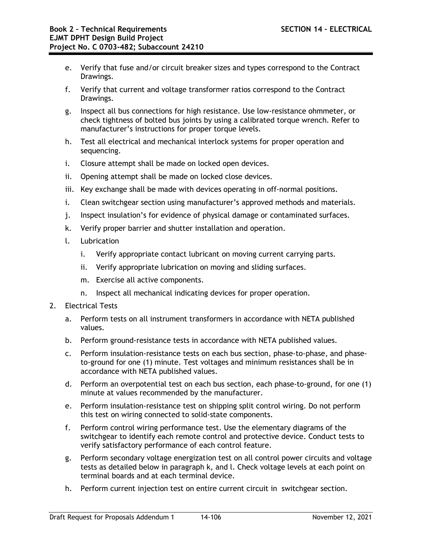- e. Verify that fuse and/or circuit breaker sizes and types correspond to the Contract Drawings.
- f. Verify that current and voltage transformer ratios correspond to the Contract Drawings.
- g. Inspect all bus connections for high resistance. Use low-resistance ohmmeter, or check tightness of bolted bus joints by using a calibrated torque wrench. Refer to manufacturer's instructions for proper torque levels.
- h. Test all electrical and mechanical interlock systems for proper operation and sequencing.
- i. Closure attempt shall be made on locked open devices.
- ii. Opening attempt shall be made on locked close devices.
- iii. Key exchange shall be made with devices operating in off-normal positions.
- i. Clean switchgear section using manufacturer's approved methods and materials.
- j. Inspect insulation's for evidence of physical damage or contaminated surfaces.
- k. Verify proper barrier and shutter installation and operation.
- l. Lubrication
	- i. Verify appropriate contact lubricant on moving current carrying parts.
	- ii. Verify appropriate lubrication on moving and sliding surfaces.
	- m. Exercise all active components.
	- n. Inspect all mechanical indicating devices for proper operation.
- 2. Electrical Tests
	- a. Perform tests on all instrument transformers in accordance with NETA published values.
	- b. Perform ground-resistance tests in accordance with NETA published values.
	- c. Perform insulation-resistance tests on each bus section, phase-to-phase, and phaseto-ground for one (1) minute. Test voltages and minimum resistances shall be in accordance with NETA published values.
	- d. Perform an overpotential test on each bus section, each phase-to-ground, for one (1) minute at values recommended by the manufacturer.
	- e. Perform insulation-resistance test on shipping split control wiring. Do not perform this test on wiring connected to solid-state components.
	- f. Perform control wiring performance test. Use the elementary diagrams of the switchgear to identify each remote control and protective device. Conduct tests to verify satisfactory performance of each control feature.
	- g. Perform secondary voltage energization test on all control power circuits and voltage tests as detailed below in paragraph k, and l. Check voltage levels at each point on terminal boards and at each terminal device.
	- h. Perform current injection test on entire current circuit in switchgear section.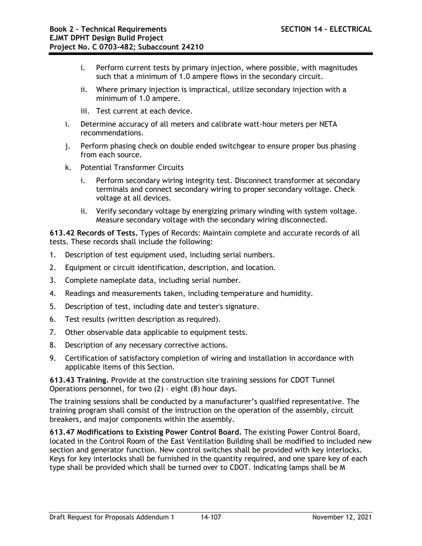- i. Perform current tests by primary injection, where possible, with magnitudes such that a minimum of 1.0 ampere flows in the secondary circuit.
- ii. Where primary injection is impractical, utilize secondary injection with a minimum of 1.0 ampere.
- iii. Test current at each device.
- i. Determine accuracy of all meters and calibrate watt-hour meters per NETA recommendations.
- j. Perform phasing check on double ended switchgear to ensure proper bus phasing from each source.
- k. Potential Transformer Circuits
	- i. Perform secondary wiring integrity test. Disconnect transformer at secondary terminals and connect secondary wiring to proper secondary voltage. Check voltage at all devices.
	- ii. Verify secondary voltage by energizing primary winding with system voltage. Measure secondary voltage with the secondary wiring disconnected.

**613.42 Records of Tests.** Types of Records: Maintain complete and accurate records of all tests. These records shall include the following:

- 1. Description of test equipment used, including serial numbers.
- 2. Equipment or circuit identification, description, and location.
- 3. Complete nameplate data, including serial number.
- 4. Readings and measurements taken, including temperature and humidity.
- 5. Description of test, including date and tester's signature.
- 6. Test results (written description as required).
- 7. Other observable data applicable to equipment tests.
- 8. Description of any necessary corrective actions.
- 9. Certification of satisfactory completion of wiring and installation in accordance with applicable items of this Section.

**613.43 Training.** Provide at the construction site training sessions for CDOT Tunnel Operations personnel, for two (2) - eight (8) hour days.

The training sessions shall be conducted by a manufacturer's qualified representative. The training program shall consist of the instruction on the operation of the assembly, circuit breakers, and major components within the assembly.

**613.47 Modifications to Existing Power Control Board.** The existing Power Control Board, located in the Control Room of the East Ventilation Building shall be modified to included new section and generator function. New control switches shall be provided with key interlocks. Keys for key interlocks shall be furnished in the quantity required, and one spare key of each type shall be provided which shall be turned over to CDOT. Indicating lamps shall be M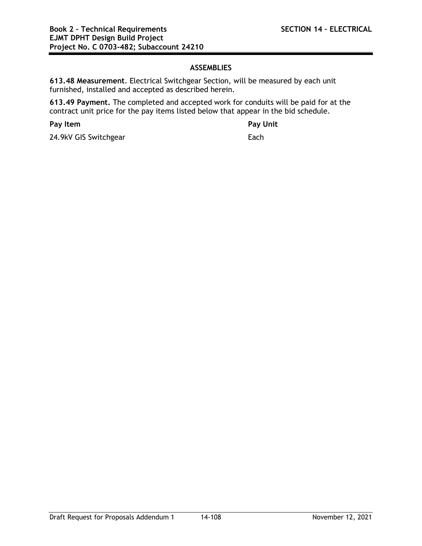# **ASSEMBLIES**

**613.48 Measurement**. Electrical Switchgear Section, will be measured by each unit furnished, installed and accepted as described herein.

**613.49 Payment.** The completed and accepted work for conduits will be paid for at the contract unit price for the pay items listed below that appear in the bid schedule.

**Pay Item Pay Unit**

24.9kV GIS Switchgear Each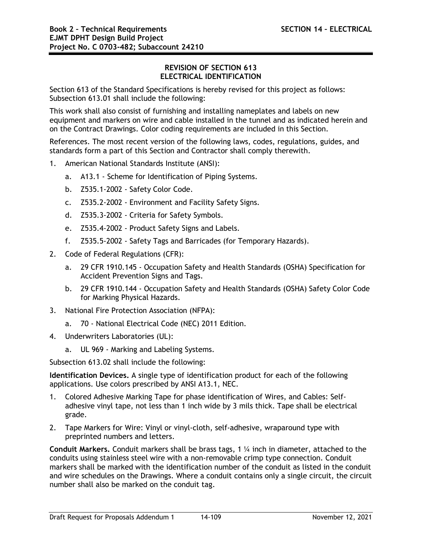## **REVISION OF SECTION 613 ELECTRICAL IDENTIFICATION**

Section 613 of the Standard Specifications is hereby revised for this project as follows: Subsection 613.01 shall include the following:

This work shall also consist of furnishing and installing nameplates and labels on new equipment and markers on wire and cable installed in the tunnel and as indicated herein and on the Contract Drawings. Color coding requirements are included in this Section.

References. The most recent version of the following laws, codes, regulations, guides, and standards form a part of this Section and Contractor shall comply therewith.

- 1. American National Standards Institute (ANSI):
	- a. A13.1 Scheme for Identification of Piping Systems.
	- b. Z535.1-2002 Safety Color Code.
	- c. Z535.2-2002 Environment and Facility Safety Signs.
	- d. Z535.3-2002 Criteria for Safety Symbols.
	- e. Z535.4-2002 Product Safety Signs and Labels.
	- f. Z535.5-2002 Safety Tags and Barricades (for Temporary Hazards).
- 2. Code of Federal Regulations (CFR):
	- a. 29 CFR 1910.145 Occupation Safety and Health Standards (OSHA) Specification for Accident Prevention Signs and Tags.
	- b. 29 CFR 1910.144 Occupation Safety and Health Standards (OSHA) Safety Color Code for Marking Physical Hazards.
- 3. National Fire Protection Association (NFPA):
	- a. 70 National Electrical Code (NEC) 2011 Edition.
- 4. Underwriters Laboratories (UL):
	- a. UL 969 Marking and Labeling Systems.

Subsection 613.02 shall include the following:

**Identification Devices.** A single type of identification product for each of the following applications. Use colors prescribed by ANSI A13.1, NEC.

- 1. Colored Adhesive Marking Tape for phase identification of Wires, and Cables: Selfadhesive vinyl tape, not less than 1 inch wide by 3 mils thick. Tape shall be electrical grade.
- 2. Tape Markers for Wire: Vinyl or vinyl-cloth, self-adhesive, wraparound type with preprinted numbers and letters.

**Conduit Markers.** Conduit markers shall be brass tags, 1 ¼ inch in diameter, attached to the conduits using stainless steel wire with a non-removable crimp type connection. Conduit markers shall be marked with the identification number of the conduit as listed in the conduit and wire schedules on the Drawings. Where a conduit contains only a single circuit, the circuit number shall also be marked on the conduit tag.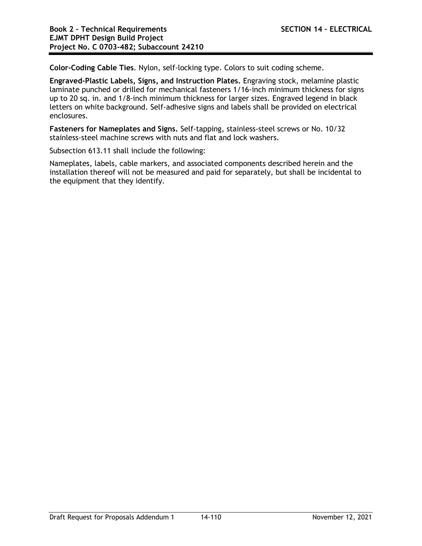**Color-Coding Cable Ties**. Nylon, self-locking type. Colors to suit coding scheme.

**Engraved-Plastic Labels, Signs, and Instruction Plates.** Engraving stock, melamine plastic laminate punched or drilled for mechanical fasteners 1/16-inch minimum thickness for signs up to 20 sq. in. and 1/8-inch minimum thickness for larger sizes. Engraved legend in black letters on white background. Self-adhesive signs and labels shall be provided on electrical enclosures.

**Fasteners for Nameplates and Signs.** Self-tapping, stainless-steel screws or No. 10/32 stainless-steel machine screws with nuts and flat and lock washers.

Subsection 613.11 shall include the following:

Nameplates, labels, cable markers, and associated components described herein and the installation thereof will not be measured and paid for separately, but shall be incidental to the equipment that they identify.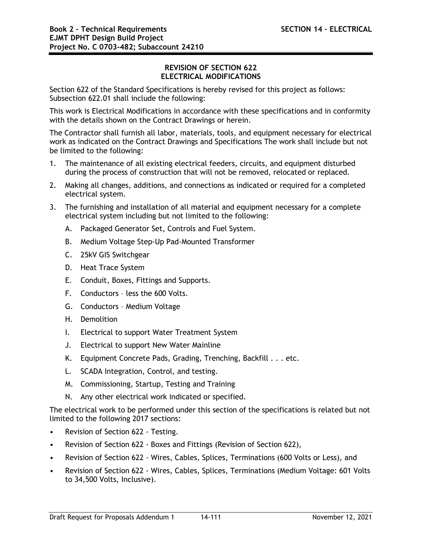## **REVISION OF SECTION 622 ELECTRICAL MODIFICATIONS**

Section 622 of the Standard Specifications is hereby revised for this project as follows: Subsection 622.01 shall include the following:

This work is Electrical Modifications in accordance with these specifications and in conformity with the details shown on the Contract Drawings or herein.

The Contractor shall furnish all labor, materials, tools, and equipment necessary for electrical work as indicated on the Contract Drawings and Specifications The work shall include but not be limited to the following:

- 1. The maintenance of all existing electrical feeders, circuits, and equipment disturbed during the process of construction that will not be removed, relocated or replaced.
- 2. Making all changes, additions, and connections as indicated or required for a completed electrical system.
- 3. The furnishing and installation of all material and equipment necessary for a complete electrical system including but not limited to the following:
	- A. Packaged Generator Set, Controls and Fuel System.
	- B. Medium Voltage Step-Up Pad-Mounted Transformer
	- C. 25kV GIS Switchgear
	- D. Heat Trace System
	- E. Conduit, Boxes, Fittings and Supports.
	- F. Conductors less the 600 Volts.
	- G. Conductors Medium Voltage
	- H. Demolition
	- I. Electrical to support Water Treatment System
	- J. Electrical to support New Water Mainline
	- K. Equipment Concrete Pads, Grading, Trenching, Backfill . . . etc.
	- L. SCADA Integration, Control, and testing.
	- M. Commissioning, Startup, Testing and Training
	- N. Any other electrical work indicated or specified.

The electrical work to be performed under this section of the specifications is related but not limited to the following 2017 sections:

- Revision of Section 622 Testing.
- Revision of Section 622 Boxes and Fittings (Revision of Section 622),
- Revision of Section 622 Wires, Cables, Splices, Terminations (600 Volts or Less), and
- Revision of Section 622 Wires, Cables, Splices, Terminations (Medium Voltage: 601 Volts to 34,500 Volts, Inclusive).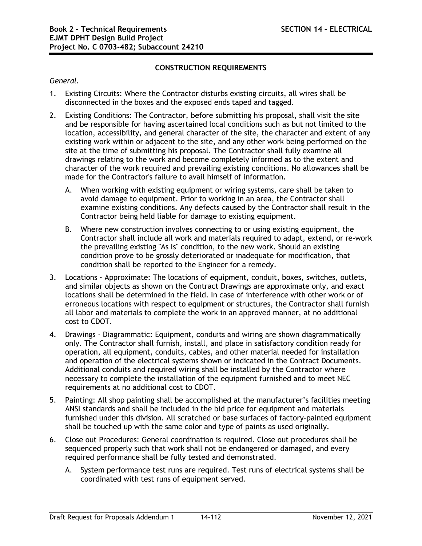# **CONSTRUCTION REQUIREMENTS**

# *General.*

- 1. Existing Circuits: Where the Contractor disturbs existing circuits, all wires shall be disconnected in the boxes and the exposed ends taped and tagged.
- 2. Existing Conditions: The Contractor, before submitting his proposal, shall visit the site and be responsible for having ascertained local conditions such as but not limited to the location, accessibility, and general character of the site, the character and extent of any existing work within or adjacent to the site, and any other work being performed on the site at the time of submitting his proposal. The Contractor shall fully examine all drawings relating to the work and become completely informed as to the extent and character of the work required and prevailing existing conditions. No allowances shall be made for the Contractor's failure to avail himself of information.
	- A. When working with existing equipment or wiring systems, care shall be taken to avoid damage to equipment. Prior to working in an area, the Contractor shall examine existing conditions. Any defects caused by the Contractor shall result in the Contractor being held liable for damage to existing equipment.
	- B. Where new construction involves connecting to or using existing equipment, the Contractor shall include all work and materials required to adapt, extend, or re-work the prevailing existing "As Is" condition, to the new work. Should an existing condition prove to be grossly deteriorated or inadequate for modification, that condition shall be reported to the Engineer for a remedy.
- 3. Locations Approximate: The locations of equipment, conduit, boxes, switches, outlets, and similar objects as shown on the Contract Drawings are approximate only, and exact locations shall be determined in the field. In case of interference with other work or of erroneous locations with respect to equipment or structures, the Contractor shall furnish all labor and materials to complete the work in an approved manner, at no additional cost to CDOT.
- 4. Drawings Diagrammatic: Equipment, conduits and wiring are shown diagrammatically only. The Contractor shall furnish, install, and place in satisfactory condition ready for operation, all equipment, conduits, cables, and other material needed for installation and operation of the electrical systems shown or indicated in the Contract Documents. Additional conduits and required wiring shall be installed by the Contractor where necessary to complete the installation of the equipment furnished and to meet NEC requirements at no additional cost to CDOT.
- 5. Painting: All shop painting shall be accomplished at the manufacturer's facilities meeting ANSI standards and shall be included in the bid price for equipment and materials furnished under this division. All scratched or base surfaces of factory-painted equipment shall be touched up with the same color and type of paints as used originally.
- 6. Close out Procedures: General coordination is required. Close out procedures shall be sequenced properly such that work shall not be endangered or damaged, and every required performance shall be fully tested and demonstrated.
	- A. System performance test runs are required. Test runs of electrical systems shall be coordinated with test runs of equipment served.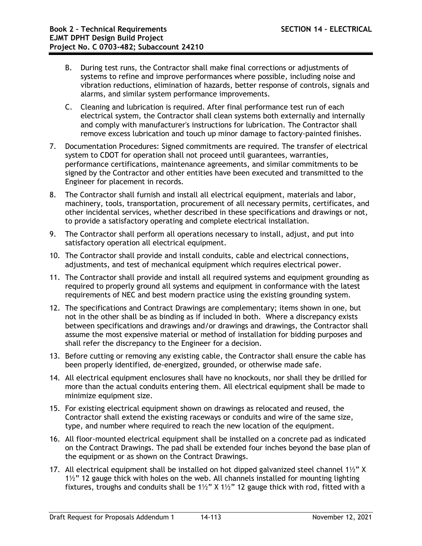- B. During test runs, the Contractor shall make final corrections or adjustments of systems to refine and improve performances where possible, including noise and vibration reductions, elimination of hazards, better response of controls, signals and alarms, and similar system performance improvements.
- C. Cleaning and lubrication is required. After final performance test run of each electrical system, the Contractor shall clean systems both externally and internally and comply with manufacturer's instructions for lubrication. The Contractor shall remove excess lubrication and touch up minor damage to factory-painted finishes.
- 7. Documentation Procedures: Signed commitments are required. The transfer of electrical system to CDOT for operation shall not proceed until guarantees, warranties, performance certifications, maintenance agreements, and similar commitments to be signed by the Contractor and other entities have been executed and transmitted to the Engineer for placement in records.
- 8. The Contractor shall furnish and install all electrical equipment, materials and labor, machinery, tools, transportation, procurement of all necessary permits, certificates, and other incidental services, whether described in these specifications and drawings or not, to provide a satisfactory operating and complete electrical installation.
- 9. The Contractor shall perform all operations necessary to install, adjust, and put into satisfactory operation all electrical equipment.
- 10. The Contractor shall provide and install conduits, cable and electrical connections, adjustments, and test of mechanical equipment which requires electrical power.
- 11. The Contractor shall provide and install all required systems and equipment grounding as required to properly ground all systems and equipment in conformance with the latest requirements of NEC and best modern practice using the existing grounding system.
- 12. The specifications and Contract Drawings are complementary; items shown in one, but not in the other shall be as binding as if included in both. Where a discrepancy exists between specifications and drawings and/or drawings and drawings, the Contractor shall assume the most expensive material or method of installation for bidding purposes and shall refer the discrepancy to the Engineer for a decision.
- 13. Before cutting or removing any existing cable, the Contractor shall ensure the cable has been properly identified, de-energized, grounded, or otherwise made safe.
- 14. All electrical equipment enclosures shall have no knockouts, nor shall they be drilled for more than the actual conduits entering them. All electrical equipment shall be made to minimize equipment size.
- 15. For existing electrical equipment shown on drawings as relocated and reused, the Contractor shall extend the existing raceways or conduits and wire of the same size, type, and number where required to reach the new location of the equipment.
- 16. All floor-mounted electrical equipment shall be installed on a concrete pad as indicated on the Contract Drawings. The pad shall be extended four inches beyond the base plan of the equipment or as shown on the Contract Drawings.
- 17. All electrical equipment shall be installed on hot dipped galvanized steel channel  $1\frac{1}{2}$ " X 1½" 12 gauge thick with holes on the web. All channels installed for mounting lighting fixtures, troughs and conduits shall be 1½" X 1½" 12 gauge thick with rod, fitted with a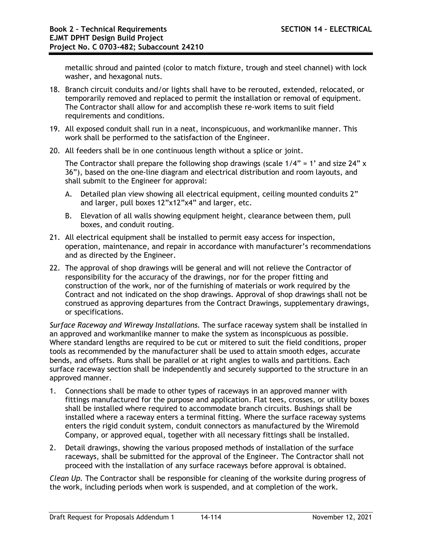metallic shroud and painted (color to match fixture, trough and steel channel) with lock washer, and hexagonal nuts.

- 18. Branch circuit conduits and/or lights shall have to be rerouted, extended, relocated, or temporarily removed and replaced to permit the installation or removal of equipment. The Contractor shall allow for and accomplish these re-work items to suit field requirements and conditions.
- 19. All exposed conduit shall run in a neat, inconspicuous, and workmanlike manner. This work shall be performed to the satisfaction of the Engineer.
- 20. All feeders shall be in one continuous length without a splice or joint.

The Contractor shall prepare the following shop drawings (scale  $1/4" = 1'$  and size 24" x 36"), based on the one-line diagram and electrical distribution and room layouts, and shall submit to the Engineer for approval:

- A. Detailed plan view showing all electrical equipment, ceiling mounted conduits 2" and larger, pull boxes 12"x12"x4" and larger, etc.
- B. Elevation of all walls showing equipment height, clearance between them, pull boxes, and conduit routing.
- 21. All electrical equipment shall be installed to permit easy access for inspection, operation, maintenance, and repair in accordance with manufacturer's recommendations and as directed by the Engineer.
- 22. The approval of shop drawings will be general and will not relieve the Contractor of responsibility for the accuracy of the drawings, nor for the proper fitting and construction of the work, nor of the furnishing of materials or work required by the Contract and not indicated on the shop drawings. Approval of shop drawings shall not be construed as approving departures from the Contract Drawings, supplementary drawings, or specifications.

*Surface Raceway and Wireway Installations.* The surface raceway system shall be installed in an approved and workmanlike manner to make the system as inconspicuous as possible. Where standard lengths are required to be cut or mitered to suit the field conditions, proper tools as recommended by the manufacturer shall be used to attain smooth edges, accurate bends, and offsets. Runs shall be parallel or at right angles to walls and partitions. Each surface raceway section shall be independently and securely supported to the structure in an approved manner.

- 1. Connections shall be made to other types of raceways in an approved manner with fittings manufactured for the purpose and application. Flat tees, crosses, or utility boxes shall be installed where required to accommodate branch circuits. Bushings shall be installed where a raceway enters a terminal fitting. Where the surface raceway systems enters the rigid conduit system, conduit connectors as manufactured by the Wiremold Company, or approved equal, together with all necessary fittings shall be installed.
- 2. Detail drawings, showing the various proposed methods of installation of the surface raceways, shall be submitted for the approval of the Engineer. The Contractor shall not proceed with the installation of any surface raceways before approval is obtained.

*Clean Up.* The Contractor shall be responsible for cleaning of the worksite during progress of the work, including periods when work is suspended, and at completion of the work.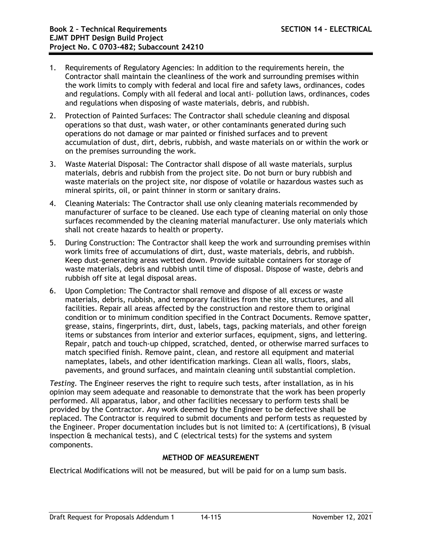- 1. Requirements of Regulatory Agencies: In addition to the requirements herein, the Contractor shall maintain the cleanliness of the work and surrounding premises within the work limits to comply with federal and local fire and safety laws, ordinances, codes and regulations. Comply with all federal and local anti- pollution laws, ordinances, codes and regulations when disposing of waste materials, debris, and rubbish.
- 2. Protection of Painted Surfaces: The Contractor shall schedule cleaning and disposal operations so that dust, wash water, or other contaminants generated during such operations do not damage or mar painted or finished surfaces and to prevent accumulation of dust, dirt, debris, rubbish, and waste materials on or within the work or on the premises surrounding the work.
- 3. Waste Material Disposal: The Contractor shall dispose of all waste materials, surplus materials, debris and rubbish from the project site. Do not burn or bury rubbish and waste materials on the project site, nor dispose of volatile or hazardous wastes such as mineral spirits, oil, or paint thinner in storm or sanitary drains.
- 4. Cleaning Materials: The Contractor shall use only cleaning materials recommended by manufacturer of surface to be cleaned. Use each type of cleaning material on only those surfaces recommended by the cleaning material manufacturer. Use only materials which shall not create hazards to health or property.
- 5. During Construction: The Contractor shall keep the work and surrounding premises within work limits free of accumulations of dirt, dust, waste materials, debris, and rubbish. Keep dust-generating areas wetted down. Provide suitable containers for storage of waste materials, debris and rubbish until time of disposal. Dispose of waste, debris and rubbish off site at legal disposal areas.
- 6. Upon Completion: The Contractor shall remove and dispose of all excess or waste materials, debris, rubbish, and temporary facilities from the site, structures, and all facilities. Repair all areas affected by the construction and restore them to original condition or to minimum condition specified in the Contract Documents. Remove spatter, grease, stains, fingerprints, dirt, dust, labels, tags, packing materials, and other foreign items or substances from interior and exterior surfaces, equipment, signs, and lettering. Repair, patch and touch-up chipped, scratched, dented, or otherwise marred surfaces to match specified finish. Remove paint, clean, and restore all equipment and material nameplates, labels, and other identification markings. Clean all walls, floors, slabs, pavements, and ground surfaces, and maintain cleaning until substantial completion.

*Testing.* The Engineer reserves the right to require such tests, after installation, as in his opinion may seem adequate and reasonable to demonstrate that the work has been properly performed. All apparatus, labor, and other facilities necessary to perform tests shall be provided by the Contractor. Any work deemed by the Engineer to be defective shall be replaced. The Contractor is required to submit documents and perform tests as requested by the Engineer. Proper documentation includes but is not limited to: A (certifications), B (visual inspection & mechanical tests), and C (electrical tests) for the systems and system components.

## **METHOD OF MEASUREMENT**

Electrical Modifications will not be measured, but will be paid for on a lump sum basis.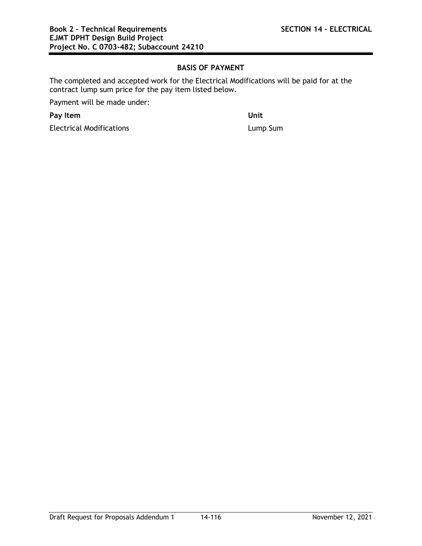# **BASIS OF PAYMENT**

The completed and accepted work for the Electrical Modifications will be paid for at the contract lump sum price for the pay item listed below.

Payment will be made under:

**Pay Item Unit**

Electrical Modifications **Lump Sum**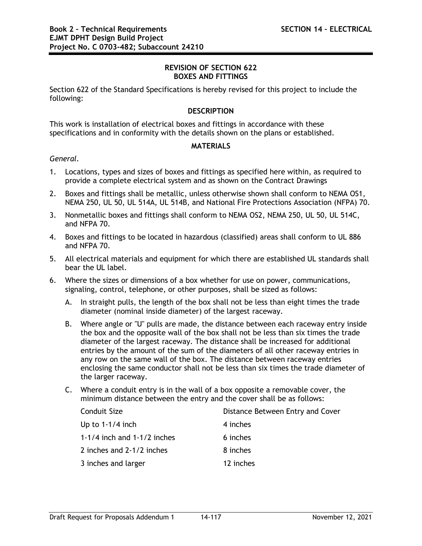### **REVISION OF SECTION 622 BOXES AND FITTINGS**

Section 622 of the Standard Specifications is hereby revised for this project to include the following:

## **DESCRIPTION**

This work is installation of electrical boxes and fittings in accordance with these specifications and in conformity with the details shown on the plans or established.

### **MATERIALS**

### *General.*

- 1. Locations, types and sizes of boxes and fittings as specified here within, as required to provide a complete electrical system and as shown on the Contract Drawings
- 2. Boxes and fittings shall be metallic, unless otherwise shown shall conform to NEMA OS1, NEMA 250, UL 50, UL 514A, UL 514B, and National Fire Protections Association (NFPA) 70.
- 3. Nonmetallic boxes and fittings shall conform to NEMA OS2, NEMA 250, UL 50, UL 514C, and NFPA 70.
- 4. Boxes and fittings to be located in hazardous (classified) areas shall conform to UL 886 and NFPA 70.
- 5. All electrical materials and equipment for which there are established UL standards shall bear the UL label.
- 6. Where the sizes or dimensions of a box whether for use on power, communications, signaling, control, telephone, or other purposes, shall be sized as follows:
	- A. In straight pulls, the length of the box shall not be less than eight times the trade diameter (nominal inside diameter) of the largest raceway.
	- B. Where angle or "U" pulls are made, the distance between each raceway entry inside the box and the opposite wall of the box shall not be less than six times the trade diameter of the largest raceway. The distance shall be increased for additional entries by the amount of the sum of the diameters of all other raceway entries in any row on the same wall of the box. The distance between raceway entries enclosing the same conductor shall not be less than six times the trade diameter of the larger raceway.
	- C. Where a conduit entry is in the wall of a box opposite a removable cover, the minimum distance between the entry and the cover shall be as follows:

| Conduit Size                  | Distance Between Entry and Cover |  |
|-------------------------------|----------------------------------|--|
| Up to $1-1/4$ inch            | 4 inches                         |  |
| 1-1/4 inch and $1-1/2$ inches | 6 inches                         |  |
| 2 inches and 2-1/2 inches     | 8 inches                         |  |
| 3 inches and larger           | 12 inches                        |  |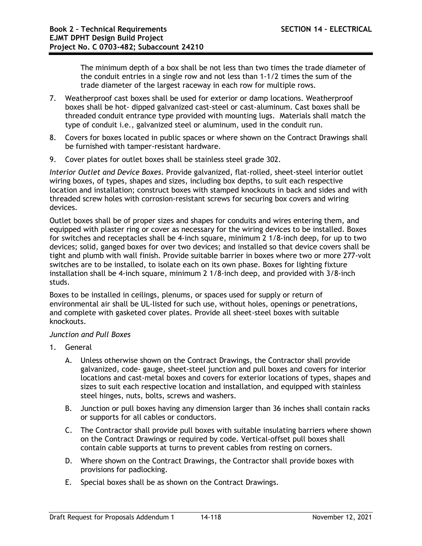The minimum depth of a box shall be not less than two times the trade diameter of the conduit entries in a single row and not less than 1-1/2 times the sum of the trade diameter of the largest raceway in each row for multiple rows.

- 7. Weatherproof cast boxes shall be used for exterior or damp locations. Weatherproof boxes shall be hot- dipped galvanized cast-steel or cast-aluminum. Cast boxes shall be threaded conduit entrance type provided with mounting lugs. Materials shall match the type of conduit i.e., galvanized steel or aluminum, used in the conduit run.
- 8. Covers for boxes located in public spaces or where shown on the Contract Drawings shall be furnished with tamper-resistant hardware.
- 9. Cover plates for outlet boxes shall be stainless steel grade 302.

*Interior Outlet and Device Boxes*. Provide galvanized, flat-rolled, sheet-steel interior outlet wiring boxes, of types, shapes and sizes, including box depths, to suit each respective location and installation; construct boxes with stamped knockouts in back and sides and with threaded screw holes with corrosion-resistant screws for securing box covers and wiring devices.

Outlet boxes shall be of proper sizes and shapes for conduits and wires entering them, and equipped with plaster ring or cover as necessary for the wiring devices to be installed. Boxes for switches and receptacles shall be 4-inch square, minimum 2 1/8-inch deep, for up to two devices; solid, ganged boxes for over two devices; and installed so that device covers shall be tight and plumb with wall finish. Provide suitable barrier in boxes where two or more 277-volt switches are to be installed, to isolate each on its own phase. Boxes for lighting fixture installation shall be 4-inch square, minimum 2 1/8-inch deep, and provided with 3/8-inch studs.

Boxes to be installed in ceilings, plenums, or spaces used for supply or return of environmental air shall be UL-listed for such use, without holes, openings or penetrations, and complete with gasketed cover plates. Provide all sheet-steel boxes with suitable knockouts.

## *Junction and Pull Boxes*

- 1. General
	- A. Unless otherwise shown on the Contract Drawings, the Contractor shall provide galvanized, code- gauge, sheet-steel junction and pull boxes and covers for interior locations and cast-metal boxes and covers for exterior locations of types, shapes and sizes to suit each respective location and installation, and equipped with stainless steel hinges, nuts, bolts, screws and washers.
	- B. Junction or pull boxes having any dimension larger than 36 inches shall contain racks or supports for all cables or conductors.
	- C. The Contractor shall provide pull boxes with suitable insulating barriers where shown on the Contract Drawings or required by code. Vertical-offset pull boxes shall contain cable supports at turns to prevent cables from resting on corners.
	- D. Where shown on the Contract Drawings, the Contractor shall provide boxes with provisions for padlocking.
	- E. Special boxes shall be as shown on the Contract Drawings.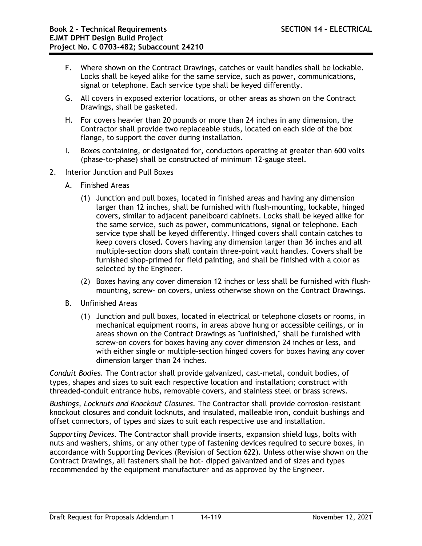- F. Where shown on the Contract Drawings, catches or vault handles shall be lockable. Locks shall be keyed alike for the same service, such as power, communications, signal or telephone. Each service type shall be keyed differently.
- G. All covers in exposed exterior locations, or other areas as shown on the Contract Drawings, shall be gasketed.
- H. For covers heavier than 20 pounds or more than 24 inches in any dimension, the Contractor shall provide two replaceable studs, located on each side of the box flange, to support the cover during installation.
- I. Boxes containing, or designated for, conductors operating at greater than 600 volts (phase-to-phase) shall be constructed of minimum 12-gauge steel.
- 2. Interior Junction and Pull Boxes
	- A. Finished Areas
		- (1) Junction and pull boxes, located in finished areas and having any dimension larger than 12 inches, shall be furnished with flush-mounting, lockable, hinged covers, similar to adjacent panelboard cabinets. Locks shall be keyed alike for the same service, such as power, communications, signal or telephone. Each service type shall be keyed differently. Hinged covers shall contain catches to keep covers closed. Covers having any dimension larger than 36 inches and all multiple-section doors shall contain three-point vault handles. Covers shall be furnished shop-primed for field painting, and shall be finished with a color as selected by the Engineer.
		- (2) Boxes having any cover dimension 12 inches or less shall be furnished with flushmounting, screw- on covers, unless otherwise shown on the Contract Drawings.
	- B. Unfinished Areas
		- (1) Junction and pull boxes, located in electrical or telephone closets or rooms, in mechanical equipment rooms, in areas above hung or accessible ceilings, or in areas shown on the Contract Drawings as "unfinished," shall be furnished with screw-on covers for boxes having any cover dimension 24 inches or less, and with either single or multiple-section hinged covers for boxes having any cover dimension larger than 24 inches.

*Conduit Bodies.* The Contractor shall provide galvanized, cast-metal, conduit bodies, of types, shapes and sizes to suit each respective location and installation; construct with threaded-conduit entrance hubs, removable covers, and stainless steel or brass screws.

*Bushings, Locknuts and Knockout Closures.* The Contractor shall provide corrosion-resistant knockout closures and conduit locknuts, and insulated, malleable iron, conduit bushings and offset connectors, of types and sizes to suit each respective use and installation.

*Supporting Devices.* The Contractor shall provide inserts, expansion shield lugs, bolts with nuts and washers, shims, or any other type of fastening devices required to secure boxes, in accordance with Supporting Devices (Revision of Section 622). Unless otherwise shown on the Contract Drawings, all fasteners shall be hot- dipped galvanized and of sizes and types recommended by the equipment manufacturer and as approved by the Engineer.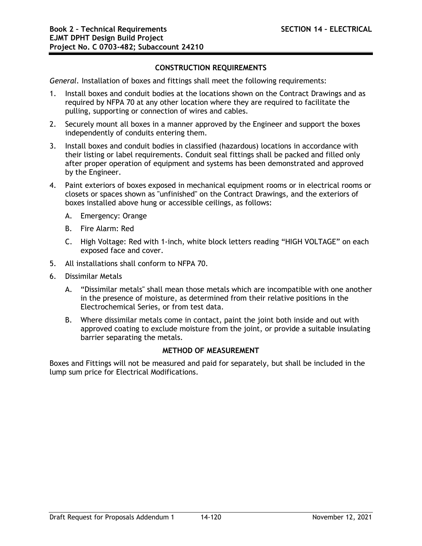# **CONSTRUCTION REQUIREMENTS**

*General.* Installation of boxes and fittings shall meet the following requirements:

- 1. Install boxes and conduit bodies at the locations shown on the Contract Drawings and as required by NFPA 70 at any other location where they are required to facilitate the pulling, supporting or connection of wires and cables.
- 2. Securely mount all boxes in a manner approved by the Engineer and support the boxes independently of conduits entering them.
- 3. Install boxes and conduit bodies in classified (hazardous) locations in accordance with their listing or label requirements. Conduit seal fittings shall be packed and filled only after proper operation of equipment and systems has been demonstrated and approved by the Engineer.
- 4. Paint exteriors of boxes exposed in mechanical equipment rooms or in electrical rooms or closets or spaces shown as "unfinished" on the Contract Drawings, and the exteriors of boxes installed above hung or accessible ceilings, as follows:
	- A. Emergency: Orange
	- B. Fire Alarm: Red
	- C. High Voltage: Red with 1-inch, white block letters reading "HIGH VOLTAGE" on each exposed face and cover.
- 5. All installations shall conform to NFPA 70.
- 6. Dissimilar Metals
	- A. "Dissimilar metals" shall mean those metals which are incompatible with one another in the presence of moisture, as determined from their relative positions in the Electrochemical Series, or from test data.
	- B. Where dissimilar metals come in contact, paint the joint both inside and out with approved coating to exclude moisture from the joint, or provide a suitable insulating barrier separating the metals.

## **METHOD OF MEASUREMENT**

Boxes and Fittings will not be measured and paid for separately, but shall be included in the lump sum price for Electrical Modifications.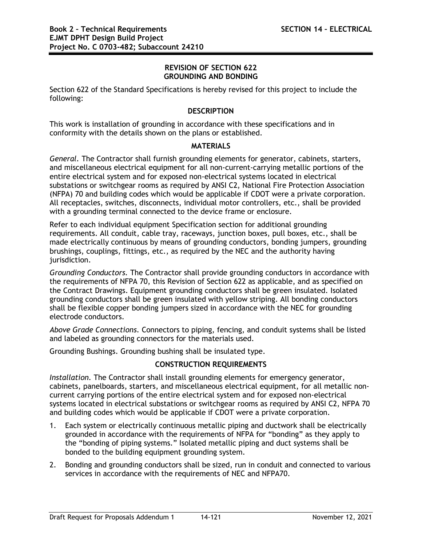### **REVISION OF SECTION 622 GROUNDING AND BONDING**

Section 622 of the Standard Specifications is hereby revised for this project to include the following:

### **DESCRIPTION**

This work is installation of grounding in accordance with these specifications and in conformity with the details shown on the plans or established.

### **MATERIALS**

*General.* The Contractor shall furnish grounding elements for generator, cabinets, starters, and miscellaneous electrical equipment for all non-current-carrying metallic portions of the entire electrical system and for exposed non-electrical systems located in electrical substations or switchgear rooms as required by ANSI C2, National Fire Protection Association (NFPA) 70 and building codes which would be applicable if CDOT were a private corporation. All receptacles, switches, disconnects, individual motor controllers, etc., shall be provided with a grounding terminal connected to the device frame or enclosure.

Refer to each individual equipment Specification section for additional grounding requirements. All conduit, cable tray, raceways, junction boxes, pull boxes, etc., shall be made electrically continuous by means of grounding conductors, bonding jumpers, grounding brushings, couplings, fittings, etc., as required by the NEC and the authority having jurisdiction.

*Grounding Conductors.* The Contractor shall provide grounding conductors in accordance with the requirements of NFPA 70, this Revision of Section 622 as applicable, and as specified on the Contract Drawings. Equipment grounding conductors shall be green insulated. Isolated grounding conductors shall be green insulated with yellow striping. All bonding conductors shall be flexible copper bonding jumpers sized in accordance with the NEC for grounding electrode conductors.

*Above Grade Connections.* Connectors to piping, fencing, and conduit systems shall be listed and labeled as grounding connectors for the materials used.

Grounding Bushings. Grounding bushing shall be insulated type.

# **CONSTRUCTION REQUIREMENTS**

*Installation.* The Contractor shall install grounding elements for emergency generator, cabinets, panelboards, starters, and miscellaneous electrical equipment, for all metallic noncurrent carrying portions of the entire electrical system and for exposed non-electrical systems located in electrical substations or switchgear rooms as required by ANSI C2, NFPA 70 and building codes which would be applicable if CDOT were a private corporation.

- 1. Each system or electrically continuous metallic piping and ductwork shall be electrically grounded in accordance with the requirements of NFPA for "bonding" as they apply to the "bonding of piping systems." Isolated metallic piping and duct systems shall be bonded to the building equipment grounding system.
- 2. Bonding and grounding conductors shall be sized, run in conduit and connected to various services in accordance with the requirements of NEC and NFPA70.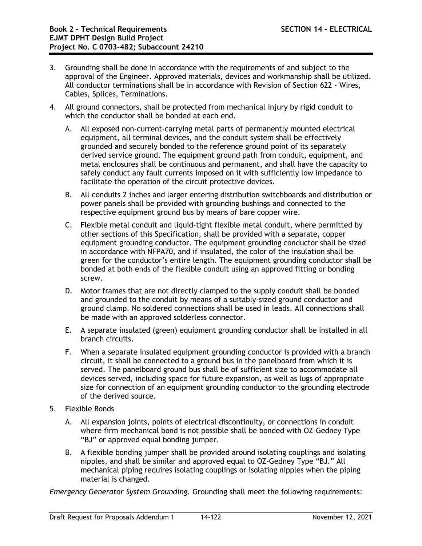- 3. Grounding shall be done in accordance with the requirements of and subject to the approval of the Engineer. Approved materials, devices and workmanship shall be utilized. All conductor terminations shall be in accordance with Revision of Section 622 - Wires, Cables, Splices, Terminations.
- 4. All ground connectors, shall be protected from mechanical injury by rigid conduit to which the conductor shall be bonded at each end.
	- A. All exposed non-current-carrying metal parts of permanently mounted electrical equipment, all terminal devices, and the conduit system shall be effectively grounded and securely bonded to the reference ground point of its separately derived service ground. The equipment ground path from conduit, equipment, and metal enclosures shall be continuous and permanent, and shall have the capacity to safely conduct any fault currents imposed on it with sufficiently low impedance to facilitate the operation of the circuit protective devices.
	- B. All conduits 2 inches and larger entering distribution switchboards and distribution or power panels shall be provided with grounding bushings and connected to the respective equipment ground bus by means of bare copper wire.
	- C. Flexible metal conduit and liquid-tight flexible metal conduit, where permitted by other sections of this Specification, shall be provided with a separate, copper equipment grounding conductor. The equipment grounding conductor shall be sized in accordance with NFPA70, and if insulated, the color of the insulation shall be green for the conductor's entire length. The equipment grounding conductor shall be bonded at both ends of the flexible conduit using an approved fitting or bonding screw.
	- D. Motor frames that are not directly clamped to the supply conduit shall be bonded and grounded to the conduit by means of a suitably-sized ground conductor and ground clamp. No soldered connections shall be used in leads. All connections shall be made with an approved solderless connector.
	- E. A separate insulated (green) equipment grounding conductor shall be installed in all branch circuits.
	- F. When a separate insulated equipment grounding conductor is provided with a branch circuit, it shall be connected to a ground bus in the panelboard from which it is served. The panelboard ground bus shall be of sufficient size to accommodate all devices served, including space for future expansion, as well as lugs of appropriate size for connection of an equipment grounding conductor to the grounding electrode of the derived source.
- 5. Flexible Bonds
	- A. All expansion joints, points of electrical discontinuity, or connections in conduit where firm mechanical bond is not possible shall be bonded with OZ-Gedney Type "BJ" or approved equal bonding jumper.
	- B. A flexible bonding jumper shall be provided around isolating couplings and isolating nipples, and shall be similar and approved equal to OZ-Gedney Type "BJ." All mechanical piping requires isolating couplings or isolating nipples when the piping material is changed.

*Emergency Generator System Grounding.* Grounding shall meet the following requirements: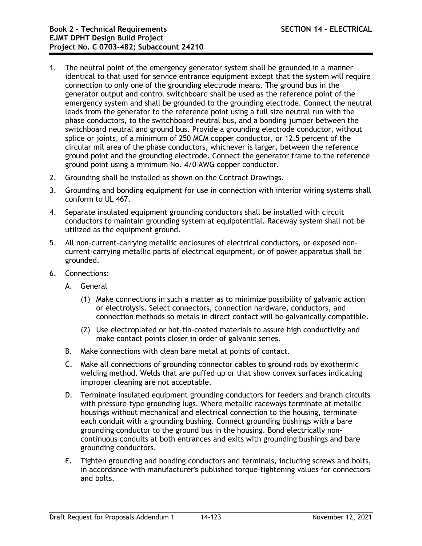- 1. The neutral point of the emergency generator system shall be grounded in a manner identical to that used for service entrance equipment except that the system will require connection to only one of the grounding electrode means. The ground bus in the generator output and control switchboard shall be used as the reference point of the emergency system and shall be grounded to the grounding electrode. Connect the neutral leads from the generator to the reference point using a full size neutral run with the phase conductors, to the switchboard neutral bus, and a bonding jumper between the switchboard neutral and ground bus. Provide a grounding electrode conductor, without splice or joints, of a minimum of 250 MCM copper conductor, or 12.5 percent of the circular mil area of the phase conductors, whichever is larger, between the reference ground point and the grounding electrode. Connect the generator frame to the reference ground point using a minimum No. 4/0 AWG copper conductor.
- 2. Grounding shall be installed as shown on the Contract Drawings.
- 3. Grounding and bonding equipment for use in connection with interior wiring systems shall conform to UL 467.
- 4. Separate insulated equipment grounding conductors shall be installed with circuit conductors to maintain grounding system at equipotential. Raceway system shall not be utilized as the equipment ground.
- 5. All non-current-carrying metallic enclosures of electrical conductors, or exposed noncurrent-carrying metallic parts of electrical equipment, or of power apparatus shall be grounded.
- 6. Connections:
	- A. General
		- (1) Make connections in such a matter as to minimize possibility of galvanic action or electrolysis. Select connectors, connection hardware, conductors, and connection methods so metals in direct contact will be galvanically compatible.
		- (2) Use electroplated or hot-tin-coated materials to assure high conductivity and make contact points closer in order of galvanic series.
	- B. Make connections with clean bare metal at points of contact.
	- C. Make all connections of grounding connector cables to ground rods by exothermic welding method. Welds that are puffed up or that show convex surfaces indicating improper cleaning are not acceptable.
	- D. Terminate insulated equipment grounding conductors for feeders and branch circuits with pressure-type grounding lugs. Where metallic raceways terminate at metallic housings without mechanical and electrical connection to the housing, terminate each conduit with a grounding bushing. Connect grounding bushings with a bare grounding conductor to the ground bus in the housing. Bond electrically noncontinuous conduits at both entrances and exits with grounding bushings and bare grounding conductors.
	- E. Tighten grounding and bonding conductors and terminals, including screws and bolts, in accordance with manufacturer's published torque-tightening values for connectors and bolts.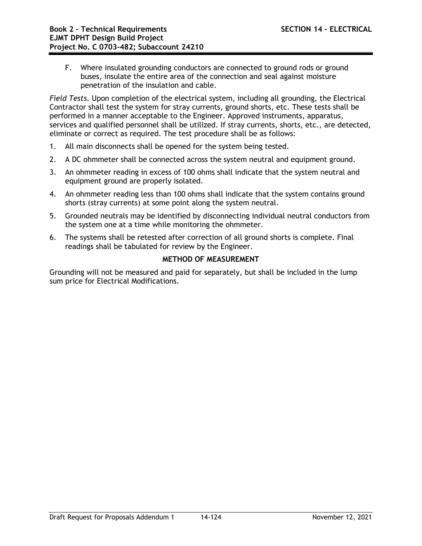F. Where insulated grounding conductors are connected to ground rods or ground buses, insulate the entire area of the connection and seal against moisture penetration of the insulation and cable.

*Field Tests.* Upon completion of the electrical system, including all grounding, the Electrical Contractor shall test the system for stray currents, ground shorts, etc. These tests shall be performed in a manner acceptable to the Engineer. Approved instruments, apparatus, services and qualified personnel shall be utilized. If stray currents, shorts, etc., are detected, eliminate or correct as required. The test procedure shall be as follows:

- 1. All main disconnects shall be opened for the system being tested.
- 2. A DC ohmmeter shall be connected across the system neutral and equipment ground.
- 3. An ohmmeter reading in excess of 100 ohms shall indicate that the system neutral and equipment ground are properly isolated.
- 4. An ohmmeter reading less than 100 ohms shall indicate that the system contains ground shorts (stray currents) at some point along the system neutral.
- 5. Grounded neutrals may be identified by disconnecting individual neutral conductors from the system one at a time while monitoring the ohmmeter.
- 6. The systems shall be retested after correction of all ground shorts is complete. Final readings shall be tabulated for review by the Engineer.

# **METHOD OF MEASUREMENT**

Grounding will not be measured and paid for separately, but shall be included in the lump sum price for Electrical Modifications.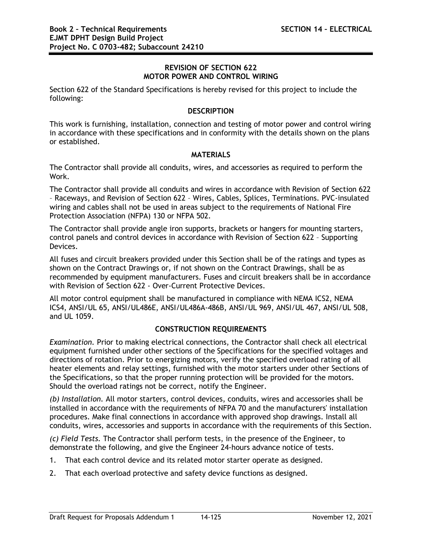### **REVISION OF SECTION 622 MOTOR POWER AND CONTROL WIRING**

Section 622 of the Standard Specifications is hereby revised for this project to include the following:

### **DESCRIPTION**

This work is furnishing, installation, connection and testing of motor power and control wiring in accordance with these specifications and in conformity with the details shown on the plans or established.

### **MATERIALS**

The Contractor shall provide all conduits, wires, and accessories as required to perform the Work.

The Contractor shall provide all conduits and wires in accordance with Revision of Section 622 – Raceways, and Revision of Section 622 – Wires, Cables, Splices, Terminations. PVC-insulated wiring and cables shall not be used in areas subject to the requirements of National Fire Protection Association (NFPA) 130 or NFPA 502.

The Contractor shall provide angle iron supports, brackets or hangers for mounting starters, control panels and control devices in accordance with Revision of Section 622 – Supporting Devices.

All fuses and circuit breakers provided under this Section shall be of the ratings and types as shown on the Contract Drawings or, if not shown on the Contract Drawings, shall be as recommended by equipment manufacturers. Fuses and circuit breakers shall be in accordance with Revision of Section 622 - Over-Current Protective Devices.

All motor control equipment shall be manufactured in compliance with NEMA ICS2, NEMA ICS4, ANSI/UL 65, ANSI/UL486E, ANSI/UL486A-486B, ANSI/UL 969, ANSI/UL 467, ANSI/UL 508, and UL 1059.

## **CONSTRUCTION REQUIREMENTS**

*Examination.* Prior to making electrical connections, the Contractor shall check all electrical equipment furnished under other sections of the Specifications for the specified voltages and directions of rotation. Prior to energizing motors, verify the specified overload rating of all heater elements and relay settings, furnished with the motor starters under other Sections of the Specifications, so that the proper running protection will be provided for the motors. Should the overload ratings not be correct, notify the Engineer.

*(b) Installation.* All motor starters, control devices, conduits, wires and accessories shall be installed in accordance with the requirements of NFPA 70 and the manufacturers' installation procedures. Make final connections in accordance with approved shop drawings. Install all conduits, wires, accessories and supports in accordance with the requirements of this Section.

*(c) Field Tests.* The Contractor shall perform tests, in the presence of the Engineer, to demonstrate the following, and give the Engineer 24-hours advance notice of tests.

- 1. That each control device and its related motor starter operate as designed.
- 2. That each overload protective and safety device functions as designed.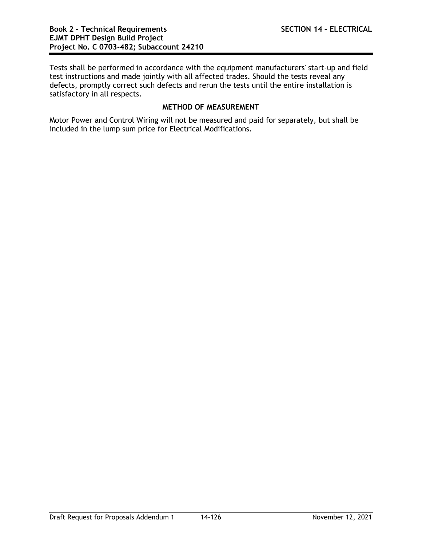Tests shall be performed in accordance with the equipment manufacturers' start-up and field test instructions and made jointly with all affected trades. Should the tests reveal any defects, promptly correct such defects and rerun the tests until the entire installation is satisfactory in all respects.

# **METHOD OF MEASUREMENT**

Motor Power and Control Wiring will not be measured and paid for separately, but shall be included in the lump sum price for Electrical Modifications.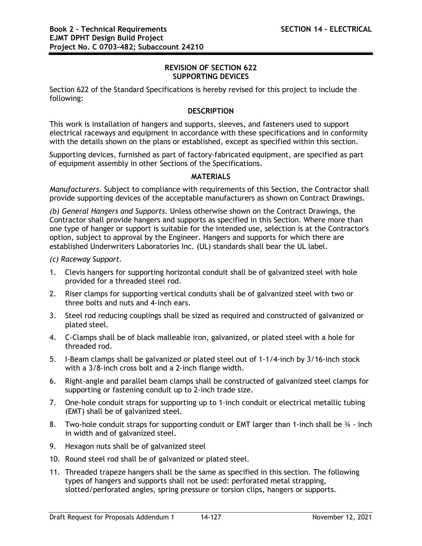### **REVISION OF SECTION 622 SUPPORTING DEVICES**

Section 622 of the Standard Specifications is hereby revised for this project to include the following:

### **DESCRIPTION**

This work is installation of hangers and supports, sleeves, and fasteners used to support electrical raceways and equipment in accordance with these specifications and in conformity with the details shown on the plans or established, except as specified within this section.

Supporting devices, furnished as part of factory-fabricated equipment, are specified as part of equipment assembly in other Sections of the Specifications.

### **MATERIALS**

*Manufacturers.* Subject to compliance with requirements of this Section, the Contractor shall provide supporting devices of the acceptable manufacturers as shown on Contract Drawings.

*(b) General Hangers and Supports.* Unless otherwise shown on the Contract Drawings, the Contractor shall provide hangers and supports as specified in this Section. Where more than one type of hanger or support is suitable for the intended use, selection is at the Contractor's option, subject to approval by the Engineer. Hangers and supports for which there are established Underwriters Laboratories Inc. (UL) standards shall bear the UL label.

*(c) Raceway Support.*

- 1. Clevis hangers for supporting horizontal conduit shall be of galvanized steel with hole provided for a threaded steel rod.
- 2. Riser clamps for supporting vertical conduits shall be of galvanized steel with two or three bolts and nuts and 4-inch ears.
- 3. Steel rod reducing couplings shall be sized as required and constructed of galvanized or plated steel.
- 4. C-Clamps shall be of black malleable iron, galvanized, or plated steel with a hole for threaded rod.
- 5. I-Beam clamps shall be galvanized or plated steel out of 1-1/4-inch by 3/16-inch stock with a 3/8-inch cross bolt and a 2-inch flange width.
- 6. Right-angle and parallel beam clamps shall be constructed of galvanized steel clamps for supporting or fastening conduit up to 2-inch trade size.
- 7. One-hole conduit straps for supporting up to 1-inch conduit or electrical metallic tubing (EMT) shall be of galvanized steel.
- 8. Two-hole conduit straps for supporting conduit or EMT larger than 1-inch shall be  $\frac{3}{4}$  inch in width and of galvanized steel.
- 9. Hexagon nuts shall be of galvanized steel
- 10. Round steel rod shall be of galvanized or plated steel.
- 11. Threaded trapeze hangers shall be the same as specified in this section. The following types of hangers and supports shall not be used: perforated metal strapping, slotted/perforated angles, spring pressure or torsion clips, hangers or supports.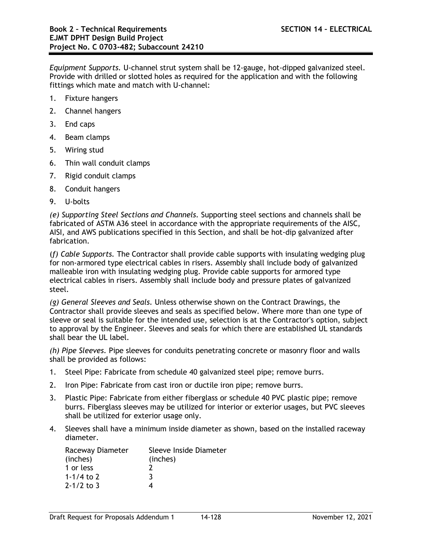*Equipment Supports.* U-channel strut system shall be 12-gauge, hot-dipped galvanized steel. Provide with drilled or slotted holes as required for the application and with the following fittings which mate and match with U-channel:

- 1. Fixture hangers
- 2. Channel hangers
- 3. End caps
- 4. Beam clamps
- 5. Wiring stud
- 6. Thin wall conduit clamps
- 7. Rigid conduit clamps
- 8. Conduit hangers
- 9. U-bolts

*(e) Supporting Steel Sections and Channels.* Supporting steel sections and channels shall be fabricated of ASTM A36 steel in accordance with the appropriate requirements of the AISC, AISI, and AWS publications specified in this Section, and shall be hot-dip galvanized after fabrication.

(*f) Cable Supports.* The Contractor shall provide cable supports with insulating wedging plug for non-armored type electrical cables in risers. Assembly shall include body of galvanized malleable iron with insulating wedging plug. Provide cable supports for armored type electrical cables in risers. Assembly shall include body and pressure plates of galvanized steel.

*(g) General Sleeves and Seals.* Unless otherwise shown on the Contract Drawings, the Contractor shall provide sleeves and seals as specified below. Where more than one type of sleeve or seal is suitable for the intended use, selection is at the Contractor's option, subject to approval by the Engineer. Sleeves and seals for which there are established UL standards shall bear the UL label.

*(h) Pipe Sleeves.* Pipe sleeves for conduits penetrating concrete or masonry floor and walls shall be provided as follows:

- 1. Steel Pipe: Fabricate from schedule 40 galvanized steel pipe; remove burrs.
- 2. Iron Pipe: Fabricate from cast iron or ductile iron pipe; remove burrs.
- 3. Plastic Pipe: Fabricate from either fiberglass or schedule 40 PVC plastic pipe; remove burrs. Fiberglass sleeves may be utilized for interior or exterior usages, but PVC sleeves shall be utilized for exterior usage only.
- 4. Sleeves shall have a minimum inside diameter as shown, based on the installed raceway diameter.

| Raceway Diameter | Sleeve Inside Diameter |
|------------------|------------------------|
| (inches)         | (inches)               |
| 1 or less        |                        |
| 1-1/4 to 2       | 3                      |
| $2 - 1/2$ to 3   |                        |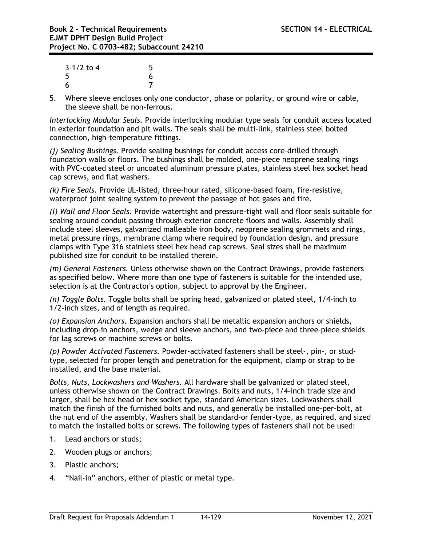| $3-1/2$ to 4 | 5 |
|--------------|---|
| 5            | 6 |
| -6           |   |

5. Where sleeve encloses only one conductor, phase or polarity, or ground wire or cable, the sleeve shall be non-ferrous.

*Interlocking Modular Seals.* Provide interlocking modular type seals for conduit access located in exterior foundation and pit walls. The seals shall be multi-link, stainless steel bolted connection, high-temperature fittings.

*(j) Sealing Bushings.* Provide sealing bushings for conduit access core-drilled through foundation walls or floors. The bushings shall be molded, one-piece neoprene sealing rings with PVC-coated steel or uncoated aluminum pressure plates, stainless steel hex socket head cap screws, and flat washers.

*(k) Fire Seals.* Provide UL-listed, three-hour rated, silicone-based foam, fire-resistive, waterproof joint sealing system to prevent the passage of hot gases and fire.

*(l) Wall and Floor Seals.* Provide watertight and pressure-tight wall and floor seals suitable for sealing around conduit passing through exterior concrete floors and walls. Assembly shall include steel sleeves, galvanized malleable iron body, neoprene sealing grommets and rings, metal pressure rings, membrane clamp where required by foundation design, and pressure clamps with Type 316 stainless steel hex head cap screws. Seal sizes shall be maximum published size for conduit to be installed therein.

*(m) General Fasteners.* Unless otherwise shown on the Contract Drawings, provide fasteners as specified below. Where more than one type of fasteners is suitable for the intended use, selection is at the Contractor's option, subject to approval by the Engineer.

*(n) Toggle Bolts.* Toggle bolts shall be spring head, galvanized or plated steel, 1/4-inch to 1/2-inch sizes, and of length as required.

*(o) Expansion Anchors.* Expansion anchors shall be metallic expansion anchors or shields, including drop-in anchors, wedge and sleeve anchors, and two-piece and three-piece shields for lag screws or machine screws or bolts.

*(p) Powder Activated Fasteners.* Powder-activated fasteners shall be steel-, pin-, or studtype, selected for proper length and penetration for the equipment, clamp or strap to be installed, and the base material.

*Bolts, Nuts, Lockwashers and Washers.* All hardware shall be galvanized or plated steel, unless otherwise shown on the Contract Drawings. Bolts and nuts, 1/4-inch trade size and larger, shall be hex head or hex socket type, standard American sizes. Lockwashers shall match the finish of the furnished bolts and nuts, and generally be installed one-per-bolt, at the nut end of the assembly. Washers shall be standard-or fender-type, as required, and sized to match the installed bolts or screws. The following types of fasteners shall not be used:

- 1. Lead anchors or studs;
- 2. Wooden plugs or anchors;
- 3. Plastic anchors;
- 4. "Nail-in" anchors, either of plastic or metal type.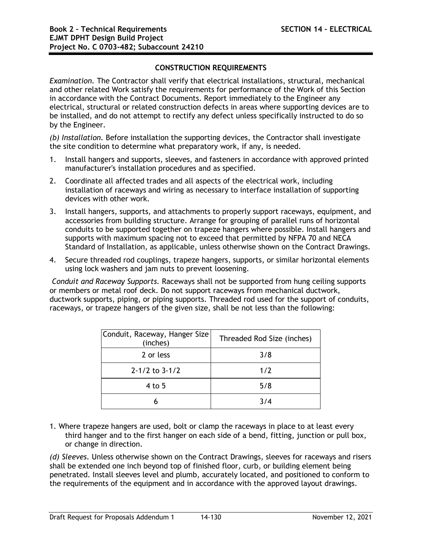## **CONSTRUCTION REQUIREMENTS**

*Examination.* The Contractor shall verify that electrical installations, structural, mechanical and other related Work satisfy the requirements for performance of the Work of this Section in accordance with the Contract Documents. Report immediately to the Engineer any electrical, structural or related construction defects in areas where supporting devices are to be installed, and do not attempt to rectify any defect unless specifically instructed to do so by the Engineer.

*(b) Installation.* Before installation the supporting devices, the Contractor shall investigate the site condition to determine what preparatory work, if any, is needed.

- 1. Install hangers and supports, sleeves, and fasteners in accordance with approved printed manufacturer's installation procedures and as specified.
- 2. Coordinate all affected trades and all aspects of the electrical work, including installation of raceways and wiring as necessary to interface installation of supporting devices with other work.
- 3. Install hangers, supports, and attachments to properly support raceways, equipment, and accessories from building structure. Arrange for grouping of parallel runs of horizontal conduits to be supported together on trapeze hangers where possible. Install hangers and supports with maximum spacing not to exceed that permitted by NFPA 70 and NECA Standard of Installation, as applicable, unless otherwise shown on the Contract Drawings.
- 4. Secure threaded rod couplings, trapeze hangers, supports, or similar horizontal elements using lock washers and jam nuts to prevent loosening.

*Conduit and Raceway Supports.* Raceways shall not be supported from hung ceiling supports or members or metal roof deck. Do not support raceways from mechanical ductwork, ductwork supports, piping, or piping supports. Threaded rod used for the support of conduits, raceways, or trapeze hangers of the given size, shall be not less than the following:

| Conduit, Raceway, Hanger Size<br>(inches) | Threaded Rod Size (inches) |  |
|-------------------------------------------|----------------------------|--|
| 2 or less                                 | 3/8                        |  |
| $2 - 1/2$ to $3 - 1/2$                    | 1/2                        |  |
| $4$ to 5                                  | 5/8                        |  |
|                                           | 3/4                        |  |

1. Where trapeze hangers are used, bolt or clamp the raceways in place to at least every third hanger and to the first hanger on each side of a bend, fitting, junction or pull box, or change in direction.

*(d) Sleeves.* Unless otherwise shown on the Contract Drawings, sleeves for raceways and risers shall be extended one inch beyond top of finished floor, curb, or building element being penetrated. Install sleeves level and plumb, accurately located, and positioned to conform to the requirements of the equipment and in accordance with the approved layout drawings.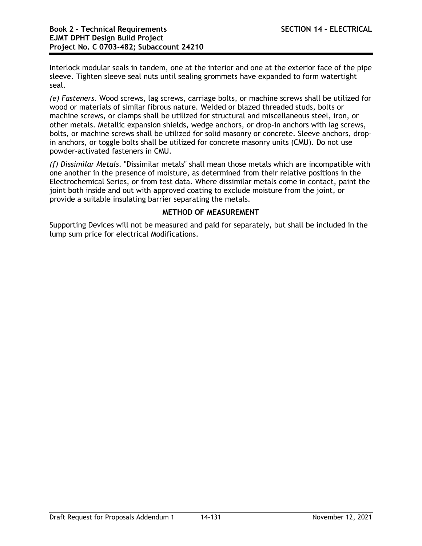Interlock modular seals in tandem, one at the interior and one at the exterior face of the pipe sleeve. Tighten sleeve seal nuts until sealing grommets have expanded to form watertight seal.

*(e) Fasteners.* Wood screws, lag screws, carriage bolts, or machine screws shall be utilized for wood or materials of similar fibrous nature. Welded or blazed threaded studs, bolts or machine screws, or clamps shall be utilized for structural and miscellaneous steel, iron, or other metals. Metallic expansion shields, wedge anchors, or drop-in anchors with lag screws, bolts, or machine screws shall be utilized for solid masonry or concrete. Sleeve anchors, dropin anchors, or toggle bolts shall be utilized for concrete masonry units (CMU). Do not use powder-activated fasteners in CMU.

*(f) Dissimilar Metals.* "Dissimilar metals" shall mean those metals which are incompatible with one another in the presence of moisture, as determined from their relative positions in the Electrochemical Series, or from test data. Where dissimilar metals come in contact, paint the joint both inside and out with approved coating to exclude moisture from the joint, or provide a suitable insulating barrier separating the metals.

## **METHOD OF MEASUREMENT**

Supporting Devices will not be measured and paid for separately, but shall be included in the lump sum price for electrical Modifications.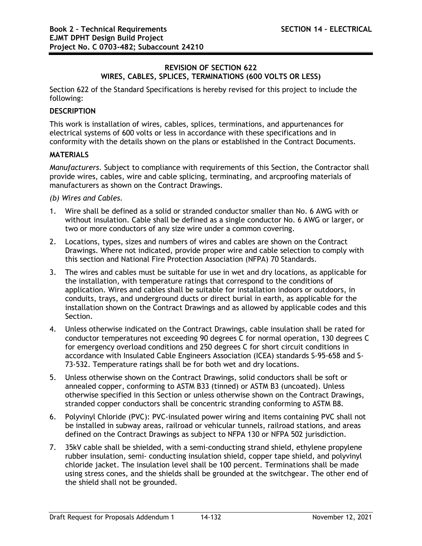## **REVISION OF SECTION 622 WIRES, CABLES, SPLICES, TERMINATIONS (600 VOLTS OR LESS)**

Section 622 of the Standard Specifications is hereby revised for this project to include the following:

# **DESCRIPTION**

This work is installation of wires, cables, splices, terminations, and appurtenances for electrical systems of 600 volts or less in accordance with these specifications and in conformity with the details shown on the plans or established in the Contract Documents.

### **MATERIALS**

*Manufacturers.* Subject to compliance with requirements of this Section, the Contractor shall provide wires, cables, wire and cable splicing, terminating, and arcproofing materials of manufacturers as shown on the Contract Drawings.

*(b) Wires and Cables.*

- 1. Wire shall be defined as a solid or stranded conductor smaller than No. 6 AWG with or without insulation. Cable shall be defined as a single conductor No. 6 AWG or larger, or two or more conductors of any size wire under a common covering.
- 2. Locations, types, sizes and numbers of wires and cables are shown on the Contract Drawings. Where not indicated, provide proper wire and cable selection to comply with this section and National Fire Protection Association (NFPA) 70 Standards.
- 3. The wires and cables must be suitable for use in wet and dry locations, as applicable for the installation, with temperature ratings that correspond to the conditions of application. Wires and cables shall be suitable for installation indoors or outdoors, in conduits, trays, and underground ducts or direct burial in earth, as applicable for the installation shown on the Contract Drawings and as allowed by applicable codes and this Section.
- 4. Unless otherwise indicated on the Contract Drawings, cable insulation shall be rated for conductor temperatures not exceeding 90 degrees C for normal operation, 130 degrees C for emergency overload conditions and 250 degrees C for short circuit conditions in accordance with Insulated Cable Engineers Association (ICEA) standards S-95-658 and S-73-532. Temperature ratings shall be for both wet and dry locations.
- 5. Unless otherwise shown on the Contract Drawings, solid conductors shall be soft or annealed copper, conforming to ASTM B33 (tinned) or ASTM B3 (uncoated). Unless otherwise specified in this Section or unless otherwise shown on the Contract Drawings, stranded copper conductors shall be concentric stranding conforming to ASTM B8.
- 6. Polyvinyl Chloride (PVC): PVC-insulated power wiring and items containing PVC shall not be installed in subway areas, railroad or vehicular tunnels, railroad stations, and areas defined on the Contract Drawings as subject to NFPA 130 or NFPA 502 jurisdiction.
- 7. 35kV cable shall be shielded, with a semi-conducting strand shield, ethylene propylene rubber insulation, semi- conducting insulation shield, copper tape shield, and polyvinyl chloride jacket. The insulation level shall be 100 percent. Terminations shall be made using stress cones, and the shields shall be grounded at the switchgear. The other end of the shield shall not be grounded.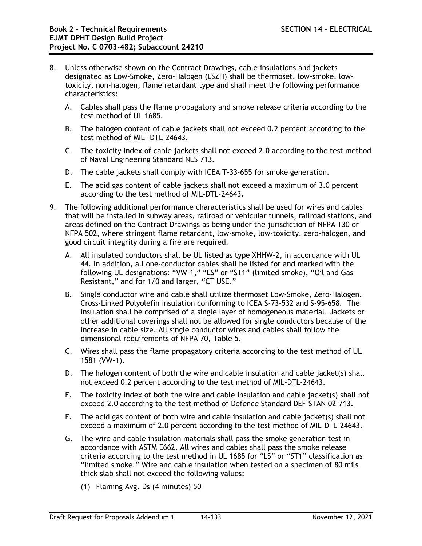- 8. Unless otherwise shown on the Contract Drawings, cable insulations and jackets designated as Low-Smoke, Zero-Halogen (LSZH) shall be thermoset, low-smoke, lowtoxicity, non-halogen, flame retardant type and shall meet the following performance characteristics:
	- A. Cables shall pass the flame propagatory and smoke release criteria according to the test method of UL 1685.
	- B. The halogen content of cable jackets shall not exceed 0.2 percent according to the test method of MIL- DTL-24643.
	- C. The toxicity index of cable jackets shall not exceed 2.0 according to the test method of Naval Engineering Standard NES 713.
	- D. The cable jackets shall comply with ICEA T-33-655 for smoke generation.
	- E. The acid gas content of cable jackets shall not exceed a maximum of 3.0 percent according to the test method of MIL-DTL-24643.
- 9. The following additional performance characteristics shall be used for wires and cables that will be installed in subway areas, railroad or vehicular tunnels, railroad stations, and areas defined on the Contract Drawings as being under the jurisdiction of NFPA 130 or NFPA 502, where stringent flame retardant, low-smoke, low-toxicity, zero-halogen, and good circuit integrity during a fire are required.
	- A. All insulated conductors shall be UL listed as type XHHW-2, in accordance with UL 44. In addition, all one-conductor cables shall be listed for and marked with the following UL designations: "VW-1," "LS" or "ST1" (limited smoke), "Oil and Gas Resistant," and for 1/0 and larger, "CT USE."
	- B. Single conductor wire and cable shall utilize thermoset Low-Smoke, Zero-Halogen, Cross-Linked Polyolefin insulation conforming to ICEA S-73-532 and S-95-658. The insulation shall be comprised of a single layer of homogeneous material. Jackets or other additional coverings shall not be allowed for single conductors because of the increase in cable size. All single conductor wires and cables shall follow the dimensional requirements of NFPA 70, Table 5.
	- C. Wires shall pass the flame propagatory criteria according to the test method of UL 1581 (VW-1).
	- D. The halogen content of both the wire and cable insulation and cable jacket(s) shall not exceed 0.2 percent according to the test method of MIL-DTL-24643.
	- E. The toxicity index of both the wire and cable insulation and cable jacket(s) shall not exceed 2.0 according to the test method of Defence Standard DEF STAN 02-713.
	- F. The acid gas content of both wire and cable insulation and cable jacket(s) shall not exceed a maximum of 2.0 percent according to the test method of MIL-DTL-24643.
	- G. The wire and cable insulation materials shall pass the smoke generation test in accordance with ASTM E662. All wires and cables shall pass the smoke release criteria according to the test method in UL 1685 for "LS" or "ST1" classification as "limited smoke." Wire and cable insulation when tested on a specimen of 80 mils thick slab shall not exceed the following values:
		- (1) Flaming Avg. Ds (4 minutes) 50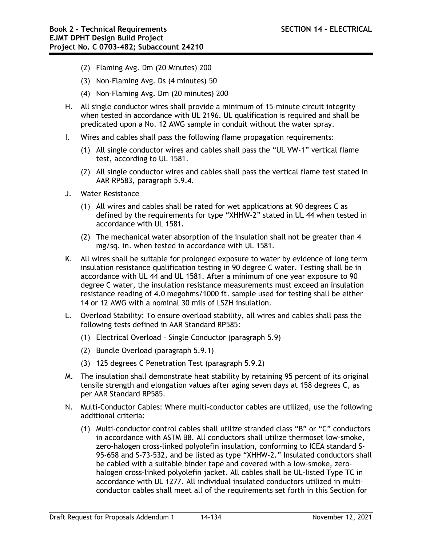- (2) Flaming Avg. Dm (20 Minutes) 200
- (3) Non-Flaming Avg. Ds (4 minutes) 50
- (4) Non-Flaming Avg. Dm (20 minutes) 200
- H. All single conductor wires shall provide a minimum of 15-minute circuit integrity when tested in accordance with UL 2196. UL qualification is required and shall be predicated upon a No. 12 AWG sample in conduit without the water spray.
- I. Wires and cables shall pass the following flame propagation requirements:
	- (1) All single conductor wires and cables shall pass the "UL VW-1" vertical flame test, according to UL 1581.
	- (2) All single conductor wires and cables shall pass the vertical flame test stated in AAR RP583, paragraph 5.9.4.
- J. Water Resistance
	- (1) All wires and cables shall be rated for wet applications at 90 degrees C as defined by the requirements for type "XHHW-2" stated in UL 44 when tested in accordance with UL 1581.
	- (2) The mechanical water absorption of the insulation shall not be greater than 4 mg/sq. in. when tested in accordance with UL 1581.
- K. All wires shall be suitable for prolonged exposure to water by evidence of long term insulation resistance qualification testing in 90 degree C water. Testing shall be in accordance with UL 44 and UL 1581. After a minimum of one year exposure to 90 degree C water, the insulation resistance measurements must exceed an insulation resistance reading of 4.0 megohms/1000 ft. sample used for testing shall be either 14 or 12 AWG with a nominal 30 mils of LSZH insulation.
- L. Overload Stability: To ensure overload stability, all wires and cables shall pass the following tests defined in AAR Standard RP585:
	- (1) Electrical Overload Single Conductor (paragraph 5.9)
	- (2) Bundle Overload (paragraph 5.9.1)
	- (3) 125 degrees C Penetration Test (paragraph 5.9.2)
- M. The insulation shall demonstrate heat stability by retaining 95 percent of its original tensile strength and elongation values after aging seven days at 158 degrees C, as per AAR Standard RP585.
- N. Multi-Conductor Cables: Where multi-conductor cables are utilized, use the following additional criteria:
	- (1) Multi-conductor control cables shall utilize stranded class "B" or "C" conductors in accordance with ASTM B8. All conductors shall utilize thermoset low-smoke, zero-halogen cross-linked polyolefin insulation, conforming to ICEA standard S-95-658 and S-73-532, and be listed as type "XHHW-2." Insulated conductors shall be cabled with a suitable binder tape and covered with a low-smoke, zerohalogen cross-linked polyolefin jacket. All cables shall be UL-listed Type TC in accordance with UL 1277. All individual insulated conductors utilized in multiconductor cables shall meet all of the requirements set forth in this Section for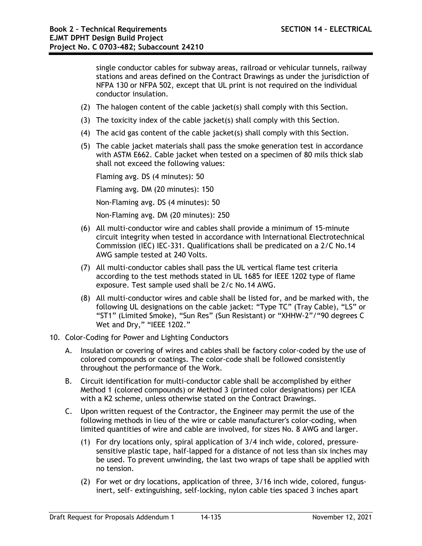single conductor cables for subway areas, railroad or vehicular tunnels, railway stations and areas defined on the Contract Drawings as under the jurisdiction of NFPA 130 or NFPA 502, except that UL print is not required on the individual conductor insulation.

- (2) The halogen content of the cable jacket(s) shall comply with this Section.
- (3) The toxicity index of the cable jacket(s) shall comply with this Section.
- (4) The acid gas content of the cable jacket(s) shall comply with this Section.
- (5) The cable jacket materials shall pass the smoke generation test in accordance with ASTM E662. Cable jacket when tested on a specimen of 80 mils thick slab shall not exceed the following values:

Flaming avg. DS (4 minutes): 50

Flaming avg. DM (20 minutes): 150

Non-Flaming avg. DS (4 minutes): 50

Non-Flaming avg. DM (20 minutes): 250

- (6) All multi-conductor wire and cables shall provide a minimum of 15-minute circuit integrity when tested in accordance with International Electrotechnical Commission (IEC) IEC-331. Qualifications shall be predicated on a 2/C No.14 AWG sample tested at 240 Volts.
- (7) All multi-conductor cables shall pass the UL vertical flame test criteria according to the test methods stated in UL 1685 for IEEE 1202 type of flame exposure. Test sample used shall be 2/c No.14 AWG.
- (8) All multi-conductor wires and cable shall be listed for, and be marked with, the following UL designations on the cable jacket: "Type TC" (Tray Cable), "LS" or "ST1" (Limited Smoke), "Sun Res" (Sun Resistant) or "XHHW-2"/"90 degrees C Wet and Dry," "IEEE 1202."

## 10. Color-Coding for Power and Lighting Conductors

- A. Insulation or covering of wires and cables shall be factory color-coded by the use of colored compounds or coatings. The color-code shall be followed consistently throughout the performance of the Work.
- B. Circuit identification for multi-conductor cable shall be accomplished by either Method 1 (colored compounds) or Method 3 (printed color designations) per ICEA with a K2 scheme, unless otherwise stated on the Contract Drawings.
- C. Upon written request of the Contractor, the Engineer may permit the use of the following methods in lieu of the wire or cable manufacturer's color-coding, when limited quantities of wire and cable are involved, for sizes No. 8 AWG and larger.
	- (1) For dry locations only, spiral application of 3/4 inch wide, colored, pressuresensitive plastic tape, half-lapped for a distance of not less than six inches may be used. To prevent unwinding, the last two wraps of tape shall be applied with no tension.
	- (2) For wet or dry locations, application of three, 3/16 inch wide, colored, fungusinert, self- extinguishing, self-locking, nylon cable ties spaced 3 inches apart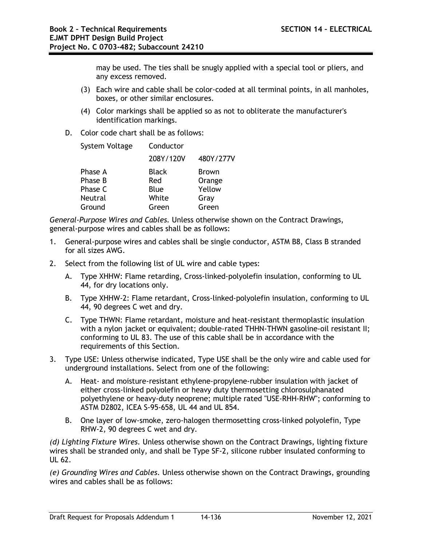may be used. The ties shall be snugly applied with a special tool or pliers, and any excess removed.

- (3) Each wire and cable shall be color-coded at all terminal points, in all manholes, boxes, or other similar enclosures.
- (4) Color markings shall be applied so as not to obliterate the manufacturer's identification markings.
- D. Color code chart shall be as follows:

| System Voltage | Conductor    |              |
|----------------|--------------|--------------|
|                | 208Y/120V    | 480Y/277V    |
| Phase A        | <b>Black</b> | <b>Brown</b> |
| Phase B        | Red          | Orange       |
| Phase C        | Blue         | Yellow       |
| <b>Neutral</b> | White        | Gray         |
| Ground         | Green        | Green        |

*General-Purpose Wires and Cables.* Unless otherwise shown on the Contract Drawings, general-purpose wires and cables shall be as follows:

- 1. General-purpose wires and cables shall be single conductor, ASTM B8, Class B stranded for all sizes AWG.
- 2. Select from the following list of UL wire and cable types:
	- A. Type XHHW: Flame retarding, Cross-linked-polyolefin insulation, conforming to UL 44, for dry locations only.
	- B. Type XHHW-2: Flame retardant, Cross-linked-polyolefin insulation, conforming to UL 44, 90 degrees C wet and dry.
	- C. Type THWN: Flame retardant, moisture and heat-resistant thermoplastic insulation with a nylon jacket or equivalent; double-rated THHN-THWN gasoline-oil resistant II; conforming to UL 83. The use of this cable shall be in accordance with the requirements of this Section.
- 3. Type USE: Unless otherwise indicated, Type USE shall be the only wire and cable used for underground installations. Select from one of the following:
	- A. Heat- and moisture-resistant ethylene-propylene-rubber insulation with jacket of either cross-linked polyolefin or heavy duty thermosetting chlorosulphanated polyethylene or heavy-duty neoprene; multiple rated "USE-RHH-RHW"; conforming to ASTM D2802, ICEA S-95-658, UL 44 and UL 854.
	- B. One layer of low-smoke, zero-halogen thermosetting cross-linked polyolefin, Type RHW-2, 90 degrees C wet and dry.

*(d) Lighting Fixture Wires.* Unless otherwise shown on the Contract Drawings, lighting fixture wires shall be stranded only, and shall be Type SF-2, silicone rubber insulated conforming to UL 62.

*(e) Grounding Wires and Cables.* Unless otherwise shown on the Contract Drawings, grounding wires and cables shall be as follows: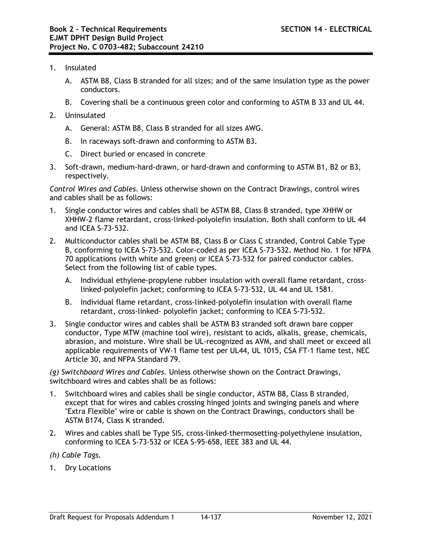- 1. Insulated
	- A. ASTM B8, Class B stranded for all sizes; and of the same insulation type as the power conductors.
	- B. Covering shall be a continuous green color and conforming to ASTM B 33 and UL 44.
- 2. Uninsulated
	- A. General: ASTM B8, Class B stranded for all sizes AWG.
	- B. In raceways soft-drawn and conforming to ASTM B3.
	- C. Direct buried or encased in concrete
- 3. Soft-drawn, medium-hard-drawn, or hard-drawn and conforming to ASTM B1, B2 or B3, respectively.

*Control Wires and Cables.* Unless otherwise shown on the Contract Drawings, control wires and cables shall be as follows:

- 1. Single conductor wires and cables shall be ASTM B8, Class B stranded, type XHHW or XHHW-2 flame retardant, cross-linked-polyolefin insulation. Both shall conform to UL 44 and ICEA S-73-532.
- 2. Multiconductor cables shall be ASTM B8, Class B or Class C stranded, Control Cable Type B, conforming to ICEA S-73-532. Color-coded as per ICEA S-73-532. Method No. 1 for NFPA 70 applications (with white and green) or ICEA S-73-532 for paired conductor cables. Select from the following list of cable types.
	- A. Individual ethylene-propylene rubber insulation with overall flame retardant, crosslinked-polyolefin jacket; conforming to ICEA S-73-532, UL 44 and UL 1581.
	- B. Individual flame retardant, cross-linked-polyolefin insulation with overall flame retardant, cross-linked- polyolefin jacket; conforming to ICEA S-73-532.
- 3. Single conductor wires and cables shall be ASTM B3 stranded soft drawn bare copper conductor, Type MTW (machine tool wire), resistant to acids, alkalis, grease, chemicals, abrasion, and moisture. Wire shall be UL-recognized as AVM, and shall meet or exceed all applicable requirements of VW-1 flame test per UL44, UL 1015, CSA FT-1 flame test, NEC Article 30, and NFPA Standard 79.

*(g) Switchboard Wires and Cables.* Unless otherwise shown on the Contract Drawings, switchboard wires and cables shall be as follows:

- 1. Switchboard wires and cables shall be single conductor, ASTM B8, Class B stranded, except that for wires and cables crossing hinged joints and swinging panels and where "Extra Flexible" wire or cable is shown on the Contract Drawings, conductors shall be ASTM B174, Class K stranded.
- 2. Wires and cables shall be Type SIS, cross-linked-thermosetting-polyethylene insulation, conforming to ICEA S-73-532 or ICEA S-95-658, IEEE 383 and UL 44.
- *(h) Cable Tags.*
- 1. Dry Locations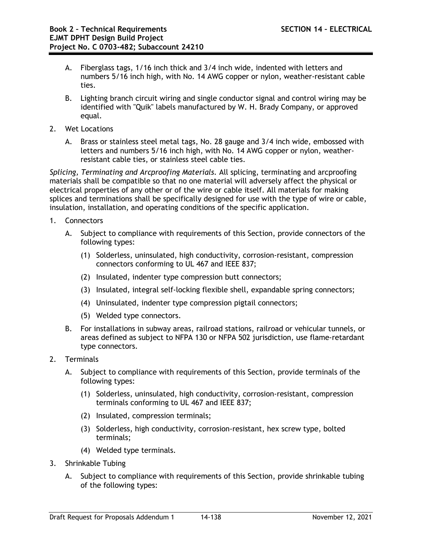- A. Fiberglass tags, 1/16 inch thick and 3/4 inch wide, indented with letters and numbers 5/16 inch high, with No. 14 AWG copper or nylon, weather-resistant cable ties.
- B. Lighting branch circuit wiring and single conductor signal and control wiring may be identified with "Quik" labels manufactured by W. H. Brady Company, or approved equal.
- 2. Wet Locations
	- A. Brass or stainless steel metal tags, No. 28 gauge and 3/4 inch wide, embossed with letters and numbers 5/16 inch high, with No. 14 AWG copper or nylon, weatherresistant cable ties, or stainless steel cable ties.

*Splicing, Terminating and Arcproofing Materials.* All splicing, terminating and arcproofing materials shall be compatible so that no one material will adversely affect the physical or electrical properties of any other or of the wire or cable itself. All materials for making splices and terminations shall be specifically designed for use with the type of wire or cable, insulation, installation, and operating conditions of the specific application.

- 1. Connectors
	- A. Subject to compliance with requirements of this Section, provide connectors of the following types:
		- (1) Solderless, uninsulated, high conductivity, corrosion-resistant, compression connectors conforming to UL 467 and IEEE 837;
		- (2) Insulated, indenter type compression butt connectors;
		- (3) Insulated, integral self-locking flexible shell, expandable spring connectors;
		- (4) Uninsulated, indenter type compression pigtail connectors;
		- (5) Welded type connectors.
	- B. For installations in subway areas, railroad stations, railroad or vehicular tunnels, or areas defined as subject to NFPA 130 or NFPA 502 jurisdiction, use flame-retardant type connectors.
- 2. Terminals
	- A. Subject to compliance with requirements of this Section, provide terminals of the following types:
		- (1) Solderless, uninsulated, high conductivity, corrosion-resistant, compression terminals conforming to UL 467 and IEEE 837;
		- (2) Insulated, compression terminals;
		- (3) Solderless, high conductivity, corrosion-resistant, hex screw type, bolted terminals;
		- (4) Welded type terminals.
- 3. Shrinkable Tubing
	- A. Subject to compliance with requirements of this Section, provide shrinkable tubing of the following types: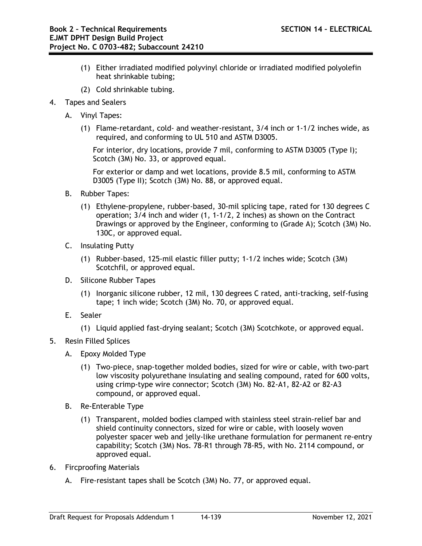- (1) Either irradiated modified polyvinyl chloride or irradiated modified polyolefin heat shrinkable tubing;
- (2) Cold shrinkable tubing.
- 4. Tapes and Sealers
	- A. Vinyl Tapes:
		- (1) Flame-retardant, cold- and weather-resistant, 3/4 inch or 1-1/2 inches wide, as required, and conforming to UL 510 and ASTM D3005.

For interior, dry locations, provide 7 mil, conforming to ASTM D3005 (Type I); Scotch (3M) No. 33, or approved equal.

For exterior or damp and wet locations, provide 8.5 mil, conforming to ASTM D3005 (Type II); Scotch (3M) No. 88, or approved equal.

- B. Rubber Tapes:
	- (1) Ethylene-propylene, rubber-based, 30-mil splicing tape, rated for 130 degrees C operation; 3/4 inch and wider (1, 1-1/2, 2 inches) as shown on the Contract Drawings or approved by the Engineer, conforming to (Grade A); Scotch (3M) No. 130C, or approved equal.
- C. Insulating Putty
	- (1) Rubber-based, 125-mil elastic filler putty; 1-1/2 inches wide; Scotch (3M) Scotchfil, or approved equal.
- D. Silicone Rubber Tapes
	- (1) Inorganic silicone rubber, 12 mil, 130 degrees C rated, anti-tracking, self-fusing tape; 1 inch wide; Scotch (3M) No. 70, or approved equal.
- E. Sealer
	- (1) Liquid applied fast-drying sealant; Scotch (3M) Scotchkote, or approved equal.
- 5. Resin Filled Splices
	- A. Epoxy Molded Type
		- (1) Two-piece, snap-together molded bodies, sized for wire or cable, with two-part low viscosity polyurethane insulating and sealing compound, rated for 600 volts, using crimp-type wire connector; Scotch (3M) No. 82-A1, 82-A2 or 82-A3 compound, or approved equal.
	- B. Re-Enterable Type
		- (1) Transparent, molded bodies clamped with stainless steel strain-relief bar and shield continuity connectors, sized for wire or cable, with loosely woven polyester spacer web and jelly-like urethane formulation for permanent re-entry capability; Scotch (3M) Nos. 78-R1 through 78-R5, with No. 2114 compound, or approved equal.
- 6. Fircproofing Materials
	- A. Fire-resistant tapes shall be Scotch (3M) No. 77, or approved equal.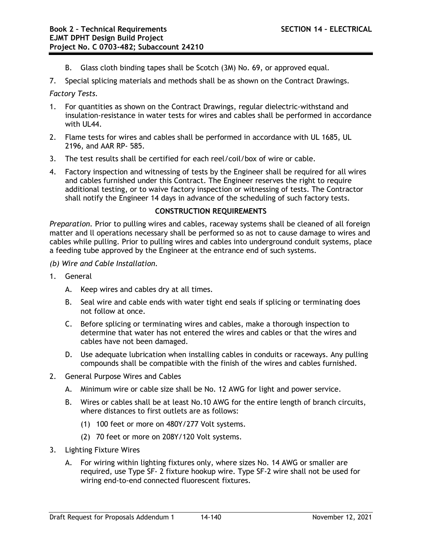- B. Glass cloth binding tapes shall be Scotch (3M) No. 69, or approved equal.
- 7. Special splicing materials and methods shall be as shown on the Contract Drawings.

*Factory Tests.*

- 1. For quantities as shown on the Contract Drawings, regular dielectric-withstand and insulation-resistance in water tests for wires and cables shall be performed in accordance with III 44.
- 2. Flame tests for wires and cables shall be performed in accordance with UL 1685, UL 2196, and AAR RP- 585.
- 3. The test results shall be certified for each reel/coil/box of wire or cable.
- 4. Factory inspection and witnessing of tests by the Engineer shall be required for all wires and cables furnished under this Contract. The Engineer reserves the right to require additional testing, or to waive factory inspection or witnessing of tests. The Contractor shall notify the Engineer 14 days in advance of the scheduling of such factory tests.

### **CONSTRUCTION REQUIREMENTS**

*Preparation.* Prior to pulling wires and cables, raceway systems shall be cleaned of all foreign matter and ll operations necessary shall be performed so as not to cause damage to wires and cables while pulling. Prior to pulling wires and cables into underground conduit systems, place a feeding tube approved by the Engineer at the entrance end of such systems.

- *(b) Wire and Cable Installation.*
- 1. General
	- A. Keep wires and cables dry at all times.
	- B. Seal wire and cable ends with water tight end seals if splicing or terminating does not follow at once.
	- C. Before splicing or terminating wires and cables, make a thorough inspection to determine that water has not entered the wires and cables or that the wires and cables have not been damaged.
	- D. Use adequate lubrication when installing cables in conduits or raceways. Any pulling compounds shall be compatible with the finish of the wires and cables furnished.
- 2. General Purpose Wires and Cables
	- A. Minimum wire or cable size shall be No. 12 AWG for light and power service.
	- B. Wires or cables shall be at least No.10 AWG for the entire length of branch circuits, where distances to first outlets are as follows:
		- (1) 100 feet or more on 480Y/277 Volt systems.
		- (2) 70 feet or more on 208Y/120 Volt systems.
- 3. Lighting Fixture Wires
	- A. For wiring within lighting fixtures only, where sizes No. 14 AWG or smaller are required, use Type SF- 2 fixture hookup wire. Type SF-2 wire shall not be used for wiring end-to-end connected fluorescent fixtures.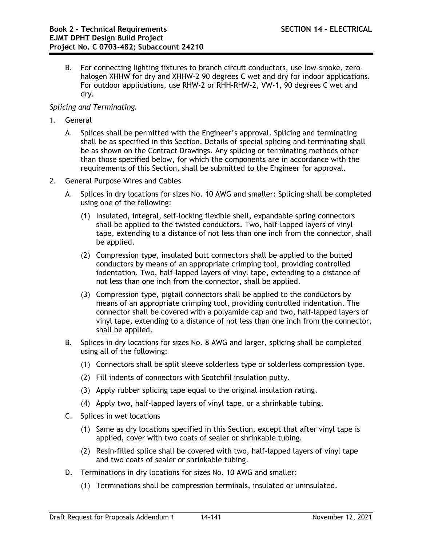B. For connecting lighting fixtures to branch circuit conductors, use low-smoke, zerohalogen XHHW for dry and XHHW-2 90 degrees C wet and dry for indoor applications. For outdoor applications, use RHW-2 or RHH-RHW-2, VW-1, 90 degrees C wet and dry.

# *Splicing and Terminating.*

- 1. General
	- A. Splices shall be permitted with the Engineer's approval. Splicing and terminating shall be as specified in this Section. Details of special splicing and terminating shall be as shown on the Contract Drawings. Any splicing or terminating methods other than those specified below, for which the components are in accordance with the requirements of this Section, shall be submitted to the Engineer for approval.
- 2. General Purpose Wires and Cables
	- A. Splices in dry locations for sizes No. 10 AWG and smaller: Splicing shall be completed using one of the following:
		- (1) Insulated, integral, self-locking flexible shell, expandable spring connectors shall be applied to the twisted conductors. Two, half-lapped layers of vinyl tape, extending to a distance of not less than one inch from the connector, shall be applied.
		- (2) Compression type, insulated butt connectors shall be applied to the butted conductors by means of an appropriate crimping tool, providing controlled indentation. Two, half-lapped layers of vinyl tape, extending to a distance of not less than one inch from the connector, shall be applied.
		- (3) Compression type, pigtail connectors shall be applied to the conductors by means of an appropriate crimping tool, providing controlled indentation. The connector shall be covered with a polyamide cap and two, half-lapped layers of vinyl tape, extending to a distance of not less than one inch from the connector, shall be applied.
	- B. Splices in dry locations for sizes No. 8 AWG and larger, splicing shall be completed using all of the following:
		- (1) Connectors shall be split sleeve solderless type or solderless compression type.
		- (2) Fill indents of connectors with Scotchfil insulation putty.
		- (3) Apply rubber splicing tape equal to the original insulation rating.
		- (4) Apply two, half-lapped layers of vinyl tape, or a shrinkable tubing.
	- C. Splices in wet locations
		- (1) Same as dry locations specified in this Section, except that after vinyl tape is applied, cover with two coats of sealer or shrinkable tubing.
		- (2) Resin-filled splice shall be covered with two, half-lapped layers of vinyl tape and two coats of sealer or shrinkable tubing.
	- D. Terminations in dry locations for sizes No. 10 AWG and smaller:
		- (1) Terminations shall be compression terminals, insulated or uninsulated.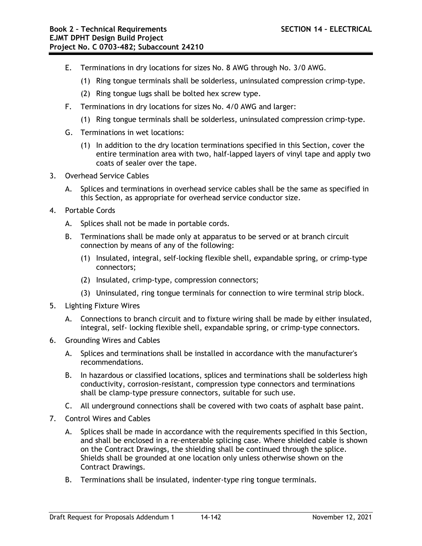- E. Terminations in dry locations for sizes No. 8 AWG through No. 3/0 AWG.
	- (1) Ring tongue terminals shall be solderless, uninsulated compression crimp-type.
	- (2) Ring tongue lugs shall be bolted hex screw type.
- F. Terminations in dry locations for sizes No. 4/0 AWG and larger:
	- (1) Ring tongue terminals shall be solderless, uninsulated compression crimp-type.
- G. Terminations in wet locations:
	- (1) In addition to the dry location terminations specified in this Section, cover the entire termination area with two, half-lapped layers of vinyl tape and apply two coats of sealer over the tape.
- 3. Overhead Service Cables
	- A. Splices and terminations in overhead service cables shall be the same as specified in this Section, as appropriate for overhead service conductor size.
- 4. Portable Cords
	- A. Splices shall not be made in portable cords.
	- B. Terminations shall be made only at apparatus to be served or at branch circuit connection by means of any of the following:
		- (1) Insulated, integral, self-locking flexible shell, expandable spring, or crimp-type connectors;
		- (2) Insulated, crimp-type, compression connectors;
		- (3) Uninsulated, ring tongue terminals for connection to wire terminal strip block.
- 5. Lighting Fixture Wires
	- A. Connections to branch circuit and to fixture wiring shall be made by either insulated, integral, self- locking flexible shell, expandable spring, or crimp-type connectors.
- 6. Grounding Wires and Cables
	- A. Splices and terminations shall be installed in accordance with the manufacturer's recommendations.
	- B. In hazardous or classified locations, splices and terminations shall be solderless high conductivity, corrosion-resistant, compression type connectors and terminations shall be clamp-type pressure connectors, suitable for such use.
	- C. All underground connections shall be covered with two coats of asphalt base paint.
- 7. Control Wires and Cables
	- A. Splices shall be made in accordance with the requirements specified in this Section, and shall be enclosed in a re-enterable splicing case. Where shielded cable is shown on the Contract Drawings, the shielding shall be continued through the splice. Shields shall be grounded at one location only unless otherwise shown on the Contract Drawings.
	- B. Terminations shall be insulated, indenter-type ring tongue terminals.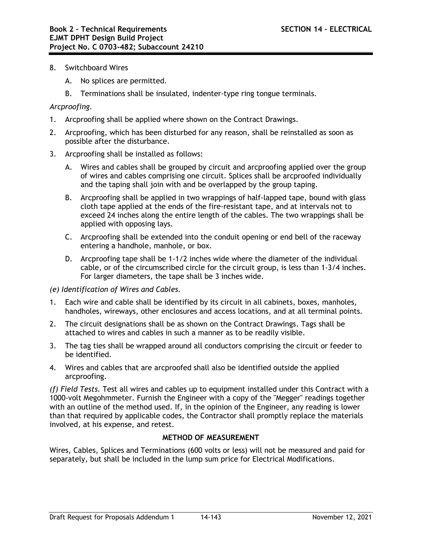- 8. Switchboard Wires
	- A. No splices are permitted.
	- B. Terminations shall be insulated, indenter-type ring tongue terminals.

### *Arcproofing.*

- 1. Arcproofing shall be applied where shown on the Contract Drawings.
- 2. Arcproofing, which has been disturbed for any reason, shall be reinstalled as soon as possible after the disturbance.
- 3. Arcproofing shall be installed as follows:
	- A. Wires and cables shall be grouped by circuit and arcproofing applied over the group of wires and cables comprising one circuit. Splices shall be arcproofed individually and the taping shall join with and be overlapped by the group taping.
	- B. Arcproofing shall be applied in two wrappings of half-lapped tape, bound with glass cloth tape applied at the ends of the fire-resistant tape, and at intervals not to exceed 24 inches along the entire length of the cables. The two wrappings shall be applied with opposing lays.
	- C. Arcproofing shall be extended into the conduit opening or end bell of the raceway entering a handhole, manhole, or box.
	- D. Arcproofing tape shall be 1-1/2 inches wide where the diameter of the individual cable, or of the circumscribed circle for the circuit group, is less than 1-3/4 inches. For larger diameters, the tape shall be 3 inches wide.

### *(e) Identification of Wires and Cables.*

- 1. Each wire and cable shall be identified by its circuit in all cabinets, boxes, manholes, handholes, wireways, other enclosures and access locations, and at all terminal points.
- 2. The circuit designations shall be as shown on the Contract Drawings. Tags shall be attached to wires and cables in such a manner as to be readily visible.
- 3. The tag ties shall be wrapped around all conductors comprising the circuit or feeder to be identified.
- 4. Wires and cables that are arcproofed shall also be identified outside the applied arcproofing.

*(f) Field Tests.* Test all wires and cables up to equipment installed under this Contract with a 1000-volt Megohmmeter. Furnish the Engineer with a copy of the "Megger" readings together with an outline of the method used. If, in the opinion of the Engineer, any reading is lower than that required by applicable codes, the Contractor shall promptly replace the materials involved, at his expense, and retest.

### **METHOD OF MEASUREMENT**

Wires, Cables, Splices and Terminations (600 volts or less) will not be measured and paid for separately, but shall be included in the lump sum price for Electrical Modifications.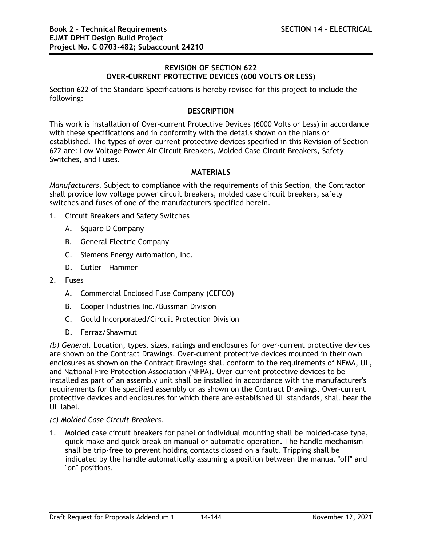## **REVISION OF SECTION 622 OVER-CURRENT PROTECTIVE DEVICES (600 VOLTS OR LESS)**

Section 622 of the Standard Specifications is hereby revised for this project to include the following:

### **DESCRIPTION**

This work is installation of Over-current Protective Devices (6000 Volts or Less) in accordance with these specifications and in conformity with the details shown on the plans or established. The types of over-current protective devices specified in this Revision of Section 622 are: Low Voltage Power Air Circuit Breakers, Molded Case Circuit Breakers, Safety Switches, and Fuses.

## **MATERIALS**

*Manufacturers.* Subject to compliance with the requirements of this Section, the Contractor shall provide low voltage power circuit breakers, molded case circuit breakers, safety switches and fuses of one of the manufacturers specified herein.

- 1. Circuit Breakers and Safety Switches
	- A. Square D Company
	- B. General Electric Company
	- C. Siemens Energy Automation, Inc.
	- D. Cutler Hammer
- 2. Fuses
	- A. Commercial Enclosed Fuse Company (CEFCO)
	- B. Cooper Industries Inc./Bussman Division
	- C. Gould Incorporated/Circuit Protection Division
	- D. Ferraz/Shawmut

*(b) General.* Location, types, sizes, ratings and enclosures for over-current protective devices are shown on the Contract Drawings. Over-current protective devices mounted in their own enclosures as shown on the Contract Drawings shall conform to the requirements of NEMA, UL, and National Fire Protection Association (NFPA). Over-current protective devices to be installed as part of an assembly unit shall be installed in accordance with the manufacturer's requirements for the specified assembly or as shown on the Contract Drawings. Over-current protective devices and enclosures for which there are established UL standards, shall bear the UL label.

### *(c) Molded Case Circuit Breakers.*

1. Molded case circuit breakers for panel or individual mounting shall be molded-case type, quick-make and quick-break on manual or automatic operation. The handle mechanism shall be trip-free to prevent holding contacts closed on a fault. Tripping shall be indicated by the handle automatically assuming a position between the manual "off" and "on" positions.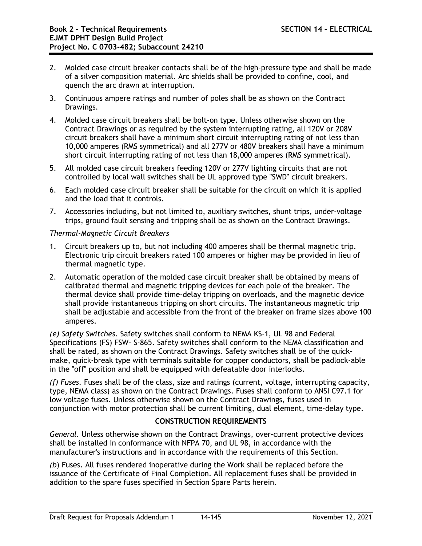- 2. Molded case circuit breaker contacts shall be of the high-pressure type and shall be made of a silver composition material. Arc shields shall be provided to confine, cool, and quench the arc drawn at interruption.
- 3. Continuous ampere ratings and number of poles shall be as shown on the Contract Drawings.
- 4. Molded case circuit breakers shall be bolt-on type. Unless otherwise shown on the Contract Drawings or as required by the system interrupting rating, all 120V or 208V circuit breakers shall have a minimum short circuit interrupting rating of not less than 10,000 amperes (RMS symmetrical) and all 277V or 480V breakers shall have a minimum short circuit interrupting rating of not less than 18,000 amperes (RMS symmetrical).
- 5. All molded case circuit breakers feeding 120V or 277V lighting circuits that are not controlled by local wall switches shall be UL approved type "SWD" circuit breakers.
- 6. Each molded case circuit breaker shall be suitable for the circuit on which it is applied and the load that it controls.
- 7. Accessories including, but not limited to, auxiliary switches, shunt trips, under-voltage trips, ground fault sensing and tripping shall be as shown on the Contract Drawings.

## *Thermal-Magnetic Circuit Breakers*

- 1. Circuit breakers up to, but not including 400 amperes shall be thermal magnetic trip. Electronic trip circuit breakers rated 100 amperes or higher may be provided in lieu of thermal magnetic type.
- 2. Automatic operation of the molded case circuit breaker shall be obtained by means of calibrated thermal and magnetic tripping devices for each pole of the breaker. The thermal device shall provide time-delay tripping on overloads, and the magnetic device shall provide instantaneous tripping on short circuits. The instantaneous magnetic trip shall be adjustable and accessible from the front of the breaker on frame sizes above 100 amperes.

*(e) Safety Switches.* Safety switches shall conform to NEMA KS-1, UL 98 and Federal Specifications (FS) FSW- S-865. Safety switches shall conform to the NEMA classification and shall be rated, as shown on the Contract Drawings. Safety switches shall be of the quickmake, quick-break type with terminals suitable for copper conductors, shall be padlock-able in the "off" position and shall be equipped with defeatable door interlocks.

*(f) Fuses.* Fuses shall be of the class, size and ratings (current, voltage, interrupting capacity, type, NEMA class) as shown on the Contract Drawings. Fuses shall conform to ANSI C97.1 for low voltage fuses. Unless otherwise shown on the Contract Drawings, fuses used in conjunction with motor protection shall be current limiting, dual element, time-delay type.

## **CONSTRUCTION REQUIREMENTS**

*General.* Unless otherwise shown on the Contract Drawings, over-current protective devices shall be installed in conformance with NFPA 70, and UL 98, in accordance with the manufacturer's instructions and in accordance with the requirements of this Section.

*(b*) Fuses. All fuses rendered inoperative during the Work shall be replaced before the issuance of the Certificate of Final Completion. All replacement fuses shall be provided in addition to the spare fuses specified in Section Spare Parts herein.